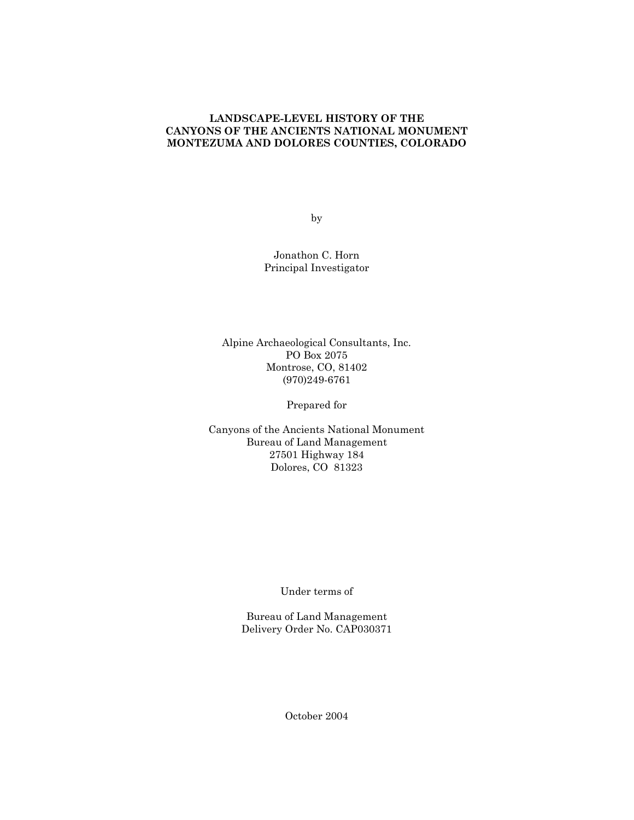# **LANDSCAPE-LEVEL HISTORY OF THE CANYONS OF THE ANCIENTS NATIONAL MONUMENT MONTEZUMA AND DOLORES COUNTIES, COLORADO**

by

Jonathon C. Horn Principal Investigator

Alpine Archaeological Consultants, Inc. PO Box 2075 Montrose, CO, 81402 (970)249-6761

Prepared for

Canyons of the Ancients National Monument Bureau of Land Management 27501 Highway 184 Dolores, CO 81323

Under terms of

Bureau of Land Management Delivery Order No. CAP030371

October 2004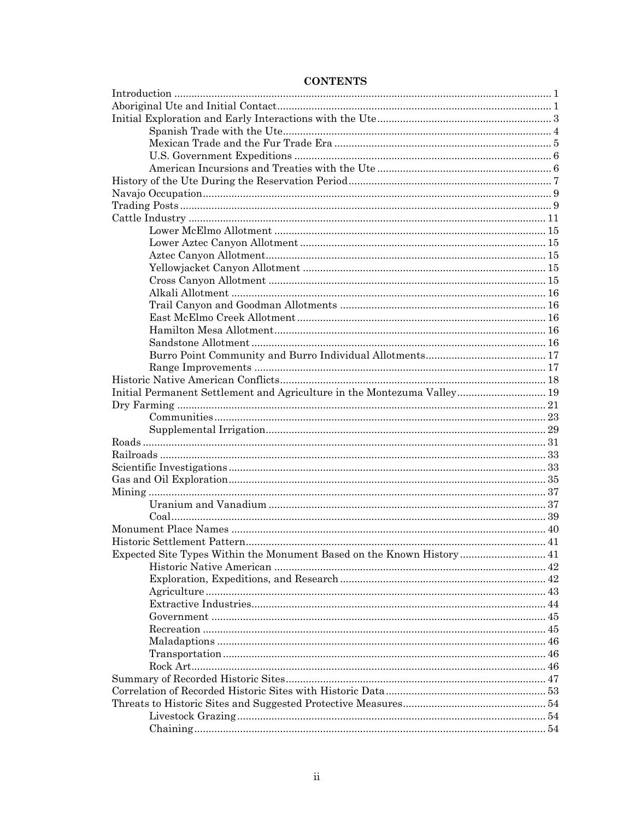| Initial Permanent Settlement and Agriculture in the Montezuma Valley 19 |  |  |  |  |
|-------------------------------------------------------------------------|--|--|--|--|
|                                                                         |  |  |  |  |
|                                                                         |  |  |  |  |
|                                                                         |  |  |  |  |
|                                                                         |  |  |  |  |
|                                                                         |  |  |  |  |
|                                                                         |  |  |  |  |
|                                                                         |  |  |  |  |
|                                                                         |  |  |  |  |
|                                                                         |  |  |  |  |
|                                                                         |  |  |  |  |
|                                                                         |  |  |  |  |
|                                                                         |  |  |  |  |
| Expected Site Types Within the Monument Based on the Known History  41  |  |  |  |  |
|                                                                         |  |  |  |  |
|                                                                         |  |  |  |  |
|                                                                         |  |  |  |  |
|                                                                         |  |  |  |  |
|                                                                         |  |  |  |  |
|                                                                         |  |  |  |  |
|                                                                         |  |  |  |  |
|                                                                         |  |  |  |  |
|                                                                         |  |  |  |  |
|                                                                         |  |  |  |  |
|                                                                         |  |  |  |  |
|                                                                         |  |  |  |  |
|                                                                         |  |  |  |  |
|                                                                         |  |  |  |  |
|                                                                         |  |  |  |  |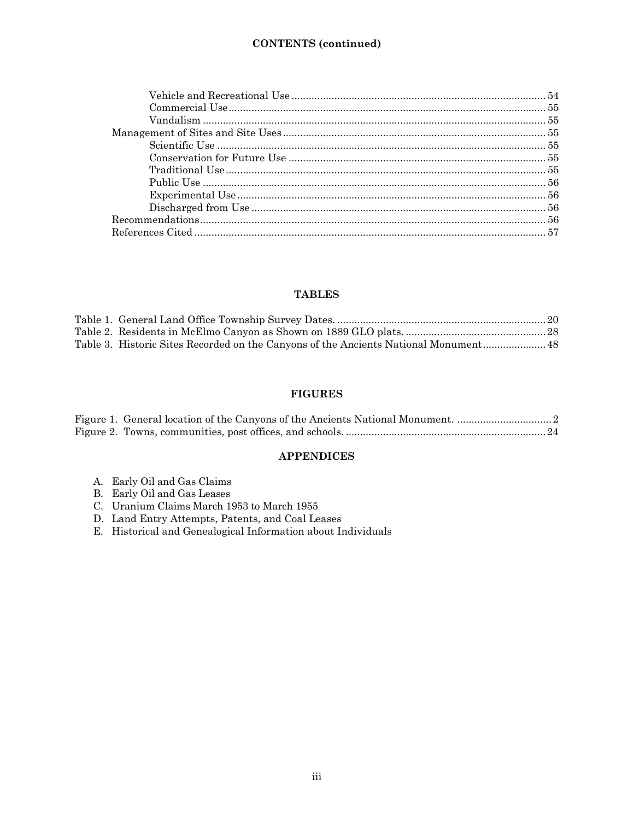# **TABLES**

| Table 3. Historic Sites Recorded on the Canyons of the Ancients National Monument 48 |  |
|--------------------------------------------------------------------------------------|--|

# **FIGURES**

# **APPENDICES**

- A. Early Oil and Gas Claims
- B. Early Oil and Gas Leases
- C. Uranium Claims March 1953 to March 1955
- D. Land Entry Attempts, Patents, and Coal Leases
- E. Historical and Genealogical Information about Individuals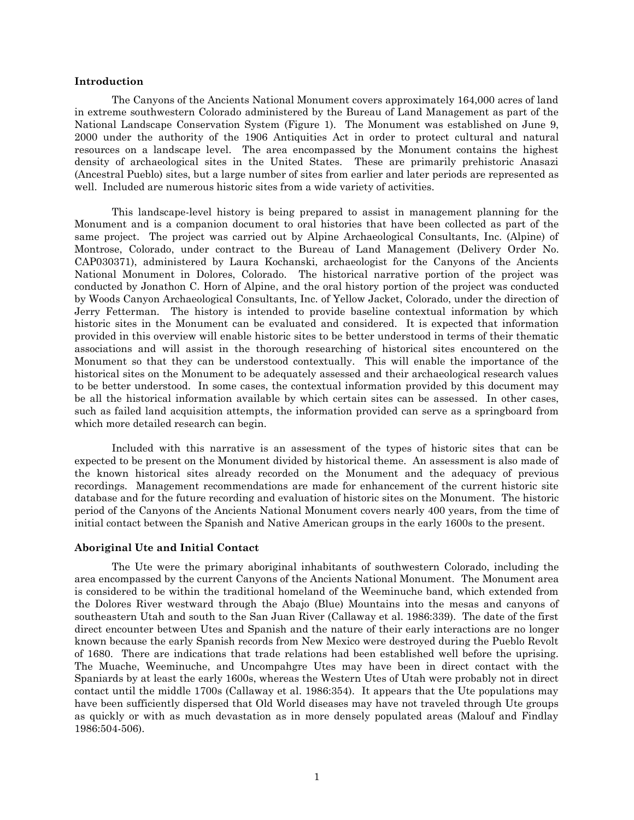#### <span id="page-3-0"></span>**Introduction**

The Canyons of the Ancients National Monument covers approximately 164,000 acres of land in extreme southwestern Colorado administered by the Bureau of Land Management as part of the National Landscape Conservation System [\(Figure 1\)](#page-4-0). The Monument was established on June 9, 2000 under the authority of the 1906 Antiquities Act in order to protect cultural and natural resources on a landscape level. The area encompassed by the Monument contains the highest density of archaeological sites in the United States. These are primarily prehistoric Anasazi (Ancestral Pueblo) sites, but a large number of sites from earlier and later periods are represented as well. Included are numerous historic sites from a wide variety of activities.

This landscape-level history is being prepared to assist in management planning for the Monument and is a companion document to oral histories that have been collected as part of the same project. The project was carried out by Alpine Archaeological Consultants, Inc. (Alpine) of Montrose, Colorado, under contract to the Bureau of Land Management (Delivery Order No. CAP030371), administered by Laura Kochanski, archaeologist for the Canyons of the Ancients National Monument in Dolores, Colorado. The historical narrative portion of the project was conducted by Jonathon C. Horn of Alpine, and the oral history portion of the project was conducted by Woods Canyon Archaeological Consultants, Inc. of Yellow Jacket, Colorado, under the direction of Jerry Fetterman. The history is intended to provide baseline contextual information by which historic sites in the Monument can be evaluated and considered. It is expected that information provided in this overview will enable historic sites to be better understood in terms of their thematic associations and will assist in the thorough researching of historical sites encountered on the Monument so that they can be understood contextually. This will enable the importance of the historical sites on the Monument to be adequately assessed and their archaeological research values to be better understood. In some cases, the contextual information provided by this document may be all the historical information available by which certain sites can be assessed. In other cases, such as failed land acquisition attempts, the information provided can serve as a springboard from which more detailed research can begin.

Included with this narrative is an assessment of the types of historic sites that can be expected to be present on the Monument divided by historical theme. An assessment is also made of the known historical sites already recorded on the Monument and the adequacy of previous recordings. Management recommendations are made for enhancement of the current historic site database and for the future recording and evaluation of historic sites on the Monument. The historic period of the Canyons of the Ancients National Monument covers nearly 400 years, from the time of initial contact between the Spanish and Native American groups in the early 1600s to the present.

# <span id="page-3-1"></span>**Aboriginal Ute and Initial Contact**

The Ute were the primary aboriginal inhabitants of southwestern Colorado, including the area encompassed by the current Canyons of the Ancients National Monument. The Monument area is considered to be within the traditional homeland of the Weeminuche band, which extended from the Dolores River westward through the Abajo (Blue) Mountains into the mesas and canyons of southeastern Utah and south to the San Juan River (Callaway et al. 1986:339). The date of the first direct encounter between Utes and Spanish and the nature of their early interactions are no longer known because the early Spanish records from New Mexico were destroyed during the Pueblo Revolt of 1680. There are indications that trade relations had been established well before the uprising. The Muache, Weeminuche, and Uncompahgre Utes may have been in direct contact with the Spaniards by at least the early 1600s, whereas the Western Utes of Utah were probably not in direct contact until the middle 1700s (Callaway et al. 1986:354). It appears that the Ute populations may have been sufficiently dispersed that Old World diseases may have not traveled through Ute groups as quickly or with as much devastation as in more densely populated areas (Malouf and Findlay 1986:504-506).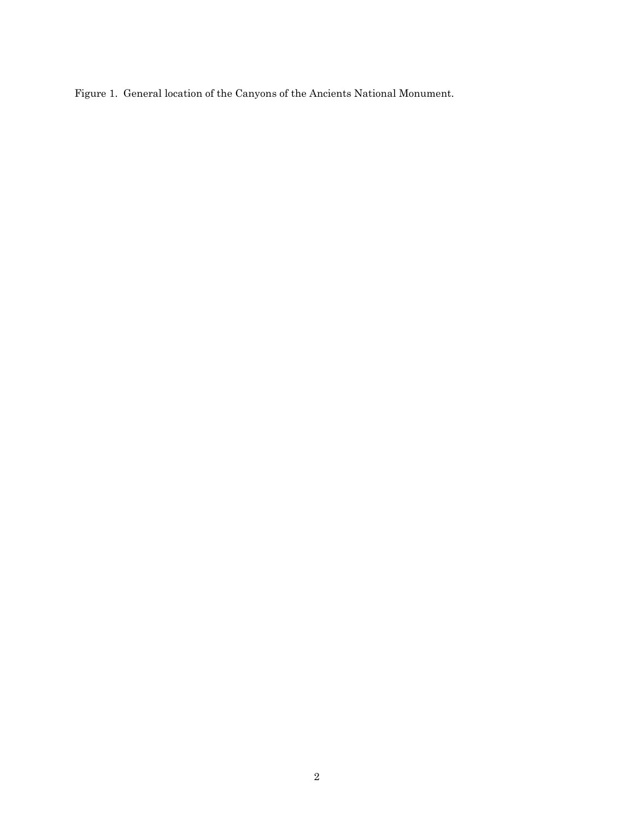<span id="page-4-0"></span>Figure 1. General location of the Canyons of the Ancients National Monument.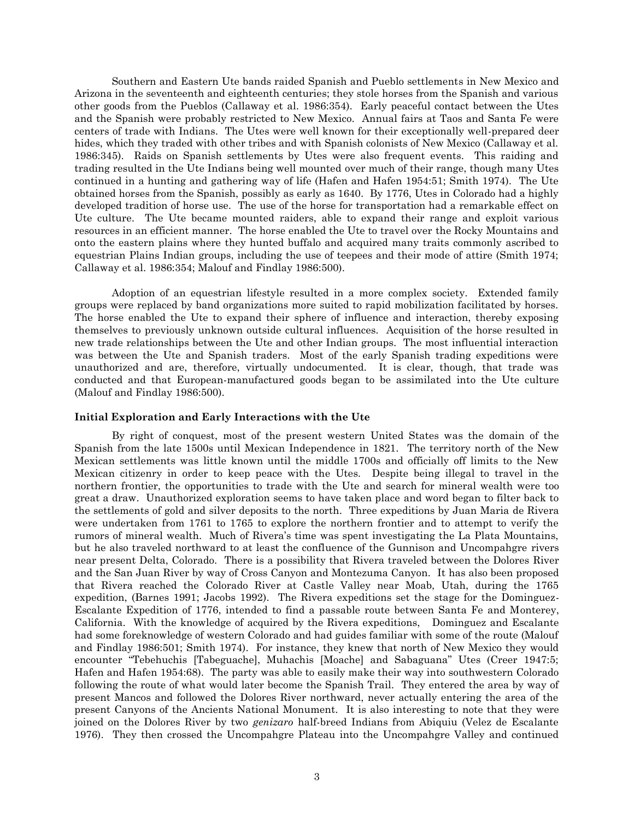Southern and Eastern Ute bands raided Spanish and Pueblo settlements in New Mexico and Arizona in the seventeenth and eighteenth centuries; they stole horses from the Spanish and various other goods from the Pueblos (Callaway et al. 1986:354). Early peaceful contact between the Utes and the Spanish were probably restricted to New Mexico. Annual fairs at Taos and Santa Fe were centers of trade with Indians. The Utes were well known for their exceptionally well-prepared deer hides, which they traded with other tribes and with Spanish colonists of New Mexico (Callaway et al. 1986:345). Raids on Spanish settlements by Utes were also frequent events. This raiding and trading resulted in the Ute Indians being well mounted over much of their range, though many Utes continued in a hunting and gathering way of life (Hafen and Hafen 1954:51; Smith 1974). The Ute obtained horses from the Spanish, possibly as early as 1640. By 1776, Utes in Colorado had a highly developed tradition of horse use. The use of the horse for transportation had a remarkable effect on Ute culture. The Ute became mounted raiders, able to expand their range and exploit various resources in an efficient manner. The horse enabled the Ute to travel over the Rocky Mountains and onto the eastern plains where they hunted buffalo and acquired many traits commonly ascribed to equestrian Plains Indian groups, including the use of teepees and their mode of attire (Smith 1974; Callaway et al. 1986:354; Malouf and Findlay 1986:500).

Adoption of an equestrian lifestyle resulted in a more complex society. Extended family groups were replaced by band organizations more suited to rapid mobilization facilitated by horses. The horse enabled the Ute to expand their sphere of influence and interaction, thereby exposing themselves to previously unknown outside cultural influences. Acquisition of the horse resulted in new trade relationships between the Ute and other Indian groups. The most influential interaction was between the Ute and Spanish traders. Most of the early Spanish trading expeditions were unauthorized and are, therefore, virtually undocumented. It is clear, though, that trade was conducted and that European-manufactured goods began to be assimilated into the Ute culture (Malouf and Findlay 1986:500).

# <span id="page-5-0"></span>**Initial Exploration and Early Interactions with the Ute**

By right of conquest, most of the present western United States was the domain of the Spanish from the late 1500s until Mexican Independence in 1821. The territory north of the New Mexican settlements was little known until the middle 1700s and officially off limits to the New Mexican citizenry in order to keep peace with the Utes. Despite being illegal to travel in the northern frontier, the opportunities to trade with the Ute and search for mineral wealth were too great a draw. Unauthorized exploration seems to have taken place and word began to filter back to the settlements of gold and silver deposits to the north. Three expeditions by Juan Maria de Rivera were undertaken from 1761 to 1765 to explore the northern frontier and to attempt to verify the rumors of mineral wealth. Much of Rivera's time was spent investigating the La Plata Mountains, but he also traveled northward to at least the confluence of the Gunnison and Uncompahgre rivers near present Delta, Colorado. There is a possibility that Rivera traveled between the Dolores River and the San Juan River by way of Cross Canyon and Montezuma Canyon. It has also been proposed that Rivera reached the Colorado River at Castle Valley near Moab, Utah, during the 1765 expedition, (Barnes 1991; Jacobs 1992). The Rivera expeditions set the stage for the Dominguez-Escalante Expedition of 1776, intended to find a passable route between Santa Fe and Monterey, California. With the knowledge of acquired by the Rivera expeditions, Dominguez and Escalante had some foreknowledge of western Colorado and had guides familiar with some of the route (Malouf and Findlay 1986:501; Smith 1974). For instance, they knew that north of New Mexico they would encounter "Tebehuchis [Tabeguache], Muhachis [Moache] and Sabaguana" Utes (Creer 1947:5; Hafen and Hafen 1954:68). The party was able to easily make their way into southwestern Colorado following the route of what would later become the Spanish Trail. They entered the area by way of present Mancos and followed the Dolores River northward, never actually entering the area of the present Canyons of the Ancients National Monument. It is also interesting to note that they were joined on the Dolores River by two *genizaro* half-breed Indians from Abiquiu (Velez de Escalante 1976). They then crossed the Uncompahgre Plateau into the Uncompahgre Valley and continued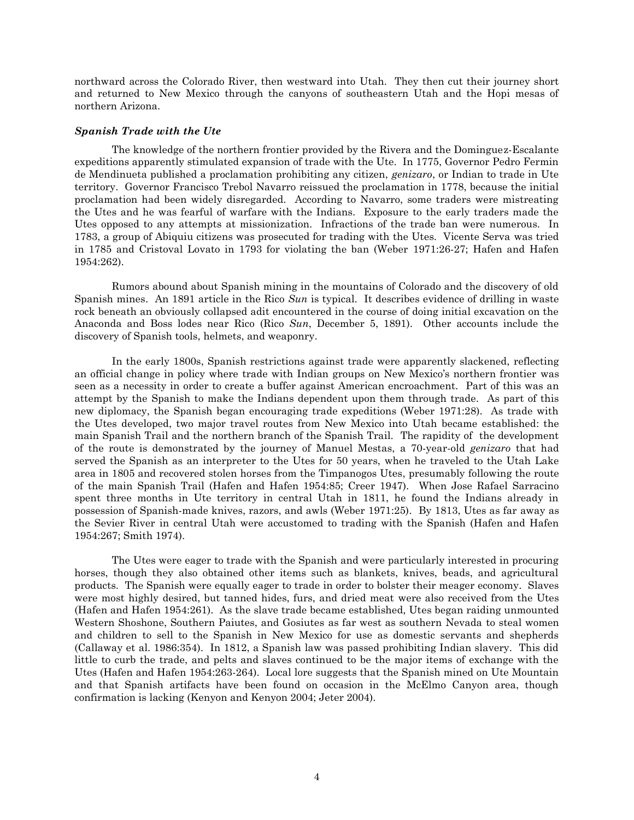northward across the Colorado River, then westward into Utah. They then cut their journey short and returned to New Mexico through the canyons of southeastern Utah and the Hopi mesas of northern Arizona.

### <span id="page-6-0"></span>*Spanish Trade with the Ute*

The knowledge of the northern frontier provided by the Rivera and the Dominguez-Escalante expeditions apparently stimulated expansion of trade with the Ute. In 1775, Governor Pedro Fermin de Mendinueta published a proclamation prohibiting any citizen, *genizaro*, or Indian to trade in Ute territory. Governor Francisco Trebol Navarro reissued the proclamation in 1778, because the initial proclamation had been widely disregarded. According to Navarro, some traders were mistreating the Utes and he was fearful of warfare with the Indians. Exposure to the early traders made the Utes opposed to any attempts at missionization. Infractions of the trade ban were numerous. In 1783, a group of Abiquiu citizens was prosecuted for trading with the Utes. Vicente Serva was tried in 1785 and Cristoval Lovato in 1793 for violating the ban (Weber 1971:26-27; Hafen and Hafen 1954:262).

Rumors abound about Spanish mining in the mountains of Colorado and the discovery of old Spanish mines. An 1891 article in the Rico *Sun* is typical. It describes evidence of drilling in waste rock beneath an obviously collapsed adit encountered in the course of doing initial excavation on the Anaconda and Boss lodes near Rico (Rico *Sun*, December 5, 1891). Other accounts include the discovery of Spanish tools, helmets, and weaponry.

In the early 1800s, Spanish restrictions against trade were apparently slackened, reflecting an official change in policy where trade with Indian groups on New Mexico's northern frontier was seen as a necessity in order to create a buffer against American encroachment. Part of this was an attempt by the Spanish to make the Indians dependent upon them through trade. As part of this new diplomacy, the Spanish began encouraging trade expeditions (Weber 1971:28). As trade with the Utes developed, two major travel routes from New Mexico into Utah became established: the main Spanish Trail and the northern branch of the Spanish Trail. The rapidity of the development of the route is demonstrated by the journey of Manuel Mestas, a 70-year-old *genizaro* that had served the Spanish as an interpreter to the Utes for 50 years, when he traveled to the Utah Lake area in 1805 and recovered stolen horses from the Timpanogos Utes, presumably following the route of the main Spanish Trail (Hafen and Hafen 1954:85; Creer 1947). When Jose Rafael Sarracino spent three months in Ute territory in central Utah in 1811, he found the Indians already in possession of Spanish-made knives, razors, and awls (Weber 1971:25). By 1813, Utes as far away as the Sevier River in central Utah were accustomed to trading with the Spanish (Hafen and Hafen 1954:267; Smith 1974).

The Utes were eager to trade with the Spanish and were particularly interested in procuring horses, though they also obtained other items such as blankets, knives, beads, and agricultural products. The Spanish were equally eager to trade in order to bolster their meager economy. Slaves were most highly desired, but tanned hides, furs, and dried meat were also received from the Utes (Hafen and Hafen 1954:261). As the slave trade became established, Utes began raiding unmounted Western Shoshone, Southern Paiutes, and Gosiutes as far west as southern Nevada to steal women and children to sell to the Spanish in New Mexico for use as domestic servants and shepherds (Callaway et al. 1986:354). In 1812, a Spanish law was passed prohibiting Indian slavery. This did little to curb the trade, and pelts and slaves continued to be the major items of exchange with the Utes (Hafen and Hafen 1954:263-264). Local lore suggests that the Spanish mined on Ute Mountain and that Spanish artifacts have been found on occasion in the McElmo Canyon area, though confirmation is lacking (Kenyon and Kenyon 2004; Jeter 2004).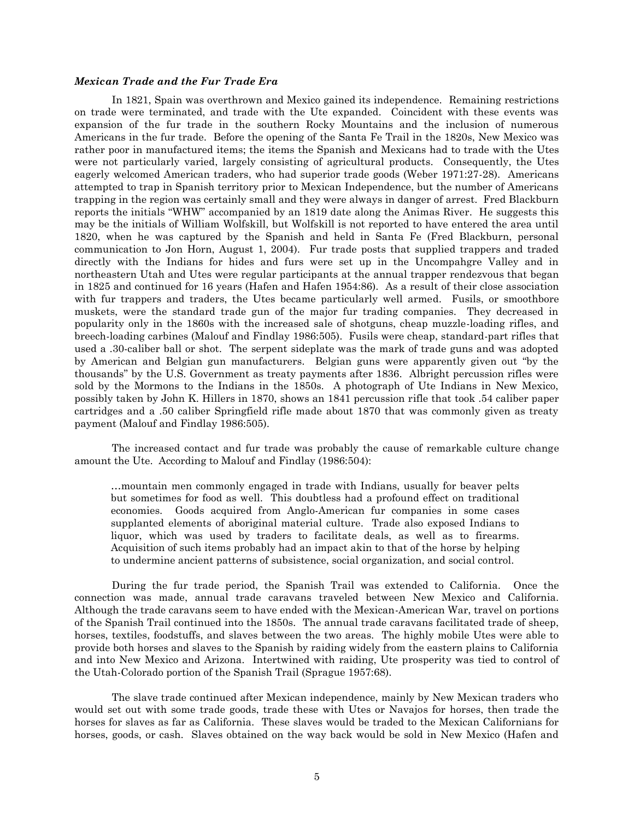#### <span id="page-7-0"></span>*Mexican Trade and the Fur Trade Era*

In 1821, Spain was overthrown and Mexico gained its independence. Remaining restrictions on trade were terminated, and trade with the Ute expanded. Coincident with these events was expansion of the fur trade in the southern Rocky Mountains and the inclusion of numerous Americans in the fur trade. Before the opening of the Santa Fe Trail in the 1820s, New Mexico was rather poor in manufactured items; the items the Spanish and Mexicans had to trade with the Utes were not particularly varied, largely consisting of agricultural products. Consequently, the Utes eagerly welcomed American traders, who had superior trade goods (Weber 1971:27-28). Americans attempted to trap in Spanish territory prior to Mexican Independence, but the number of Americans trapping in the region was certainly small and they were always in danger of arrest. Fred Blackburn reports the initials "WHW" accompanied by an 1819 date along the Animas River. He suggests this may be the initials of William Wolfskill, but Wolfskill is not reported to have entered the area until 1820, when he was captured by the Spanish and held in Santa Fe (Fred Blackburn, personal communication to Jon Horn, August 1, 2004). Fur trade posts that supplied trappers and traded directly with the Indians for hides and furs were set up in the Uncompahgre Valley and in northeastern Utah and Utes were regular participants at the annual trapper rendezvous that began in 1825 and continued for 16 years (Hafen and Hafen 1954:86). As a result of their close association with fur trappers and traders, the Utes became particularly well armed. Fusils, or smoothbore muskets, were the standard trade gun of the major fur trading companies. They decreased in popularity only in the 1860s with the increased sale of shotguns, cheap muzzle-loading rifles, and breech-loading carbines (Malouf and Findlay 1986:505). Fusils were cheap, standard-part rifles that used a .30-caliber ball or shot. The serpent sideplate was the mark of trade guns and was adopted by American and Belgian gun manufacturers. Belgian guns were apparently given out "by the thousands" by the U.S. Government as treaty payments after 1836. Albright percussion rifles were sold by the Mormons to the Indians in the 1850s. A photograph of Ute Indians in New Mexico, possibly taken by John K. Hillers in 1870, shows an 1841 percussion rifle that took .54 caliber paper cartridges and a .50 caliber Springfield rifle made about 1870 that was commonly given as treaty payment (Malouf and Findlay 1986:505).

The increased contact and fur trade was probably the cause of remarkable culture change amount the Ute. According to Malouf and Findlay (1986:504):

…mountain men commonly engaged in trade with Indians, usually for beaver pelts but sometimes for food as well. This doubtless had a profound effect on traditional economies. Goods acquired from Anglo-American fur companies in some cases supplanted elements of aboriginal material culture. Trade also exposed Indians to liquor, which was used by traders to facilitate deals, as well as to firearms. Acquisition of such items probably had an impact akin to that of the horse by helping to undermine ancient patterns of subsistence, social organization, and social control.

During the fur trade period, the Spanish Trail was extended to California. Once the connection was made, annual trade caravans traveled between New Mexico and California. Although the trade caravans seem to have ended with the Mexican-American War, travel on portions of the Spanish Trail continued into the 1850s. The annual trade caravans facilitated trade of sheep, horses, textiles, foodstuffs, and slaves between the two areas. The highly mobile Utes were able to provide both horses and slaves to the Spanish by raiding widely from the eastern plains to California and into New Mexico and Arizona. Intertwined with raiding, Ute prosperity was tied to control of the Utah-Colorado portion of the Spanish Trail (Sprague 1957:68).

The slave trade continued after Mexican independence, mainly by New Mexican traders who would set out with some trade goods, trade these with Utes or Navajos for horses, then trade the horses for slaves as far as California. These slaves would be traded to the Mexican Californians for horses, goods, or cash. Slaves obtained on the way back would be sold in New Mexico (Hafen and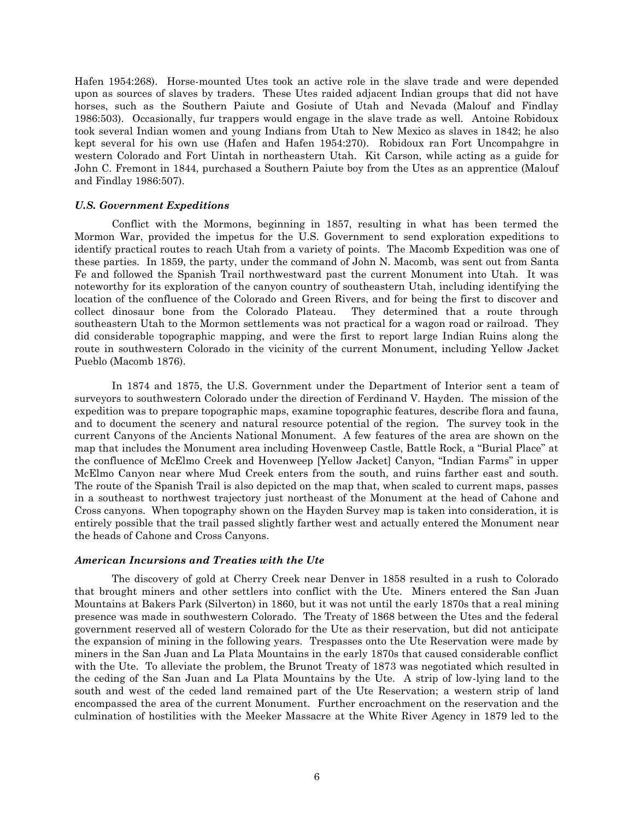Hafen 1954:268). Horse-mounted Utes took an active role in the slave trade and were depended upon as sources of slaves by traders. These Utes raided adjacent Indian groups that did not have horses, such as the Southern Paiute and Gosiute of Utah and Nevada (Malouf and Findlay 1986:503). Occasionally, fur trappers would engage in the slave trade as well. Antoine Robidoux took several Indian women and young Indians from Utah to New Mexico as slaves in 1842; he also kept several for his own use (Hafen and Hafen 1954:270). Robidoux ran Fort Uncompahgre in western Colorado and Fort Uintah in northeastern Utah. Kit Carson, while acting as a guide for John C. Fremont in 1844, purchased a Southern Paiute boy from the Utes as an apprentice (Malouf and Findlay 1986:507).

### <span id="page-8-0"></span>*U.S. Government Expeditions*

Conflict with the Mormons, beginning in 1857, resulting in what has been termed the Mormon War, provided the impetus for the U.S. Government to send exploration expeditions to identify practical routes to reach Utah from a variety of points. The Macomb Expedition was one of these parties. In 1859, the party, under the command of John N. Macomb, was sent out from Santa Fe and followed the Spanish Trail northwestward past the current Monument into Utah. It was noteworthy for its exploration of the canyon country of southeastern Utah, including identifying the location of the confluence of the Colorado and Green Rivers, and for being the first to discover and collect dinosaur bone from the Colorado Plateau. They determined that a route through southeastern Utah to the Mormon settlements was not practical for a wagon road or railroad. They did considerable topographic mapping, and were the first to report large Indian Ruins along the route in southwestern Colorado in the vicinity of the current Monument, including Yellow Jacket Pueblo (Macomb 1876).

In 1874 and 1875, the U.S. Government under the Department of Interior sent a team of surveyors to southwestern Colorado under the direction of Ferdinand V. Hayden. The mission of the expedition was to prepare topographic maps, examine topographic features, describe flora and fauna, and to document the scenery and natural resource potential of the region. The survey took in the current Canyons of the Ancients National Monument. A few features of the area are shown on the map that includes the Monument area including Hovenweep Castle, Battle Rock, a "Burial Place" at the confluence of McElmo Creek and Hovenweep [Yellow Jacket] Canyon, "Indian Farms" in upper McElmo Canyon near where Mud Creek enters from the south, and ruins farther east and south. The route of the Spanish Trail is also depicted on the map that, when scaled to current maps, passes in a southeast to northwest trajectory just northeast of the Monument at the head of Cahone and Cross canyons. When topography shown on the Hayden Survey map is taken into consideration, it is entirely possible that the trail passed slightly farther west and actually entered the Monument near the heads of Cahone and Cross Canyons.

#### <span id="page-8-1"></span>*American Incursions and Treaties with the Ute*

The discovery of gold at Cherry Creek near Denver in 1858 resulted in a rush to Colorado that brought miners and other settlers into conflict with the Ute. Miners entered the San Juan Mountains at Bakers Park (Silverton) in 1860, but it was not until the early 1870s that a real mining presence was made in southwestern Colorado. The Treaty of 1868 between the Utes and the federal government reserved all of western Colorado for the Ute as their reservation, but did not anticipate the expansion of mining in the following years. Trespasses onto the Ute Reservation were made by miners in the San Juan and La Plata Mountains in the early 1870s that caused considerable conflict with the Ute. To alleviate the problem, the Brunot Treaty of 1873 was negotiated which resulted in the ceding of the San Juan and La Plata Mountains by the Ute. A strip of low-lying land to the south and west of the ceded land remained part of the Ute Reservation; a western strip of land encompassed the area of the current Monument. Further encroachment on the reservation and the culmination of hostilities with the Meeker Massacre at the White River Agency in 1879 led to the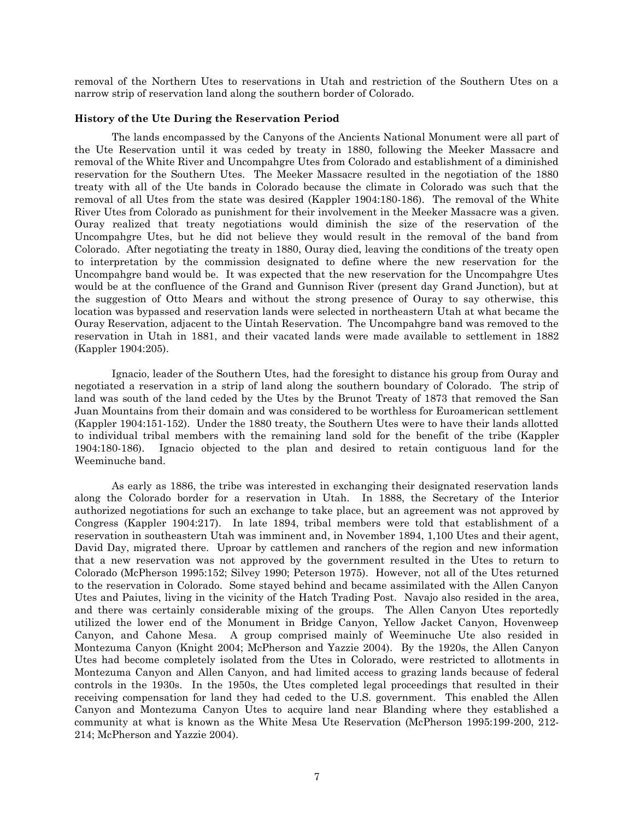removal of the Northern Utes to reservations in Utah and restriction of the Southern Utes on a narrow strip of reservation land along the southern border of Colorado.

#### <span id="page-9-0"></span>**History of the Ute During the Reservation Period**

The lands encompassed by the Canyons of the Ancients National Monument were all part of the Ute Reservation until it was ceded by treaty in 1880, following the Meeker Massacre and removal of the White River and Uncompahgre Utes from Colorado and establishment of a diminished reservation for the Southern Utes. The Meeker Massacre resulted in the negotiation of the 1880 treaty with all of the Ute bands in Colorado because the climate in Colorado was such that the removal of all Utes from the state was desired (Kappler 1904:180-186). The removal of the White River Utes from Colorado as punishment for their involvement in the Meeker Massacre was a given. Ouray realized that treaty negotiations would diminish the size of the reservation of the Uncompahgre Utes, but he did not believe they would result in the removal of the band from Colorado. After negotiating the treaty in 1880, Ouray died, leaving the conditions of the treaty open to interpretation by the commission designated to define where the new reservation for the Uncompahgre band would be. It was expected that the new reservation for the Uncompahgre Utes would be at the confluence of the Grand and Gunnison River (present day Grand Junction), but at the suggestion of Otto Mears and without the strong presence of Ouray to say otherwise, this location was bypassed and reservation lands were selected in northeastern Utah at what became the Ouray Reservation, adjacent to the Uintah Reservation. The Uncompahgre band was removed to the reservation in Utah in 1881, and their vacated lands were made available to settlement in 1882 (Kappler 1904:205).

Ignacio, leader of the Southern Utes, had the foresight to distance his group from Ouray and negotiated a reservation in a strip of land along the southern boundary of Colorado. The strip of land was south of the land ceded by the Utes by the Brunot Treaty of 1873 that removed the San Juan Mountains from their domain and was considered to be worthless for Euroamerican settlement (Kappler 1904:151-152). Under the 1880 treaty, the Southern Utes were to have their lands allotted to individual tribal members with the remaining land sold for the benefit of the tribe (Kappler 1904:180-186). Ignacio objected to the plan and desired to retain contiguous land for the Weeminuche band.

As early as 1886, the tribe was interested in exchanging their designated reservation lands along the Colorado border for a reservation in Utah. In 1888, the Secretary of the Interior authorized negotiations for such an exchange to take place, but an agreement was not approved by Congress (Kappler 1904:217). In late 1894, tribal members were told that establishment of a reservation in southeastern Utah was imminent and, in November 1894, 1,100 Utes and their agent, David Day, migrated there. Uproar by cattlemen and ranchers of the region and new information that a new reservation was not approved by the government resulted in the Utes to return to Colorado (McPherson 1995:152; Silvey 1990; Peterson 1975). However, not all of the Utes returned to the reservation in Colorado. Some stayed behind and became assimilated with the Allen Canyon Utes and Paiutes, living in the vicinity of the Hatch Trading Post. Navajo also resided in the area, and there was certainly considerable mixing of the groups. The Allen Canyon Utes reportedly utilized the lower end of the Monument in Bridge Canyon, Yellow Jacket Canyon, Hovenweep Canyon, and Cahone Mesa. A group comprised mainly of Weeminuche Ute also resided in Montezuma Canyon (Knight 2004; McPherson and Yazzie 2004). By the 1920s, the Allen Canyon Utes had become completely isolated from the Utes in Colorado, were restricted to allotments in Montezuma Canyon and Allen Canyon, and had limited access to grazing lands because of federal controls in the 1930s. In the 1950s, the Utes completed legal proceedings that resulted in their receiving compensation for land they had ceded to the U.S. government. This enabled the Allen Canyon and Montezuma Canyon Utes to acquire land near Blanding where they established a community at what is known as the White Mesa Ute Reservation (McPherson 1995:199-200, 212- 214; McPherson and Yazzie 2004).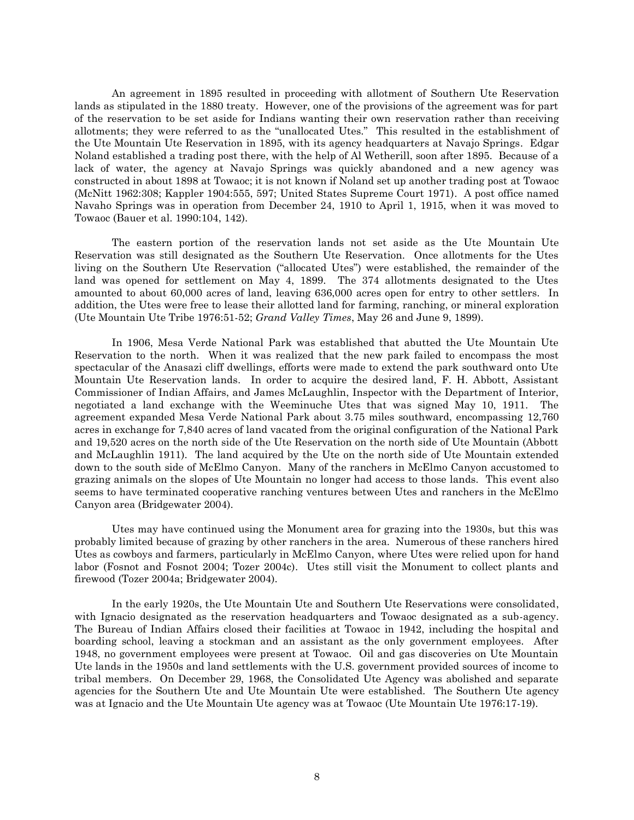An agreement in 1895 resulted in proceeding with allotment of Southern Ute Reservation lands as stipulated in the 1880 treaty. However, one of the provisions of the agreement was for part of the reservation to be set aside for Indians wanting their own reservation rather than receiving allotments; they were referred to as the "unallocated Utes." This resulted in the establishment of the Ute Mountain Ute Reservation in 1895, with its agency headquarters at Navajo Springs. Edgar Noland established a trading post there, with the help of Al Wetherill, soon after 1895. Because of a lack of water, the agency at Navajo Springs was quickly abandoned and a new agency was constructed in about 1898 at Towaoc; it is not known if Noland set up another trading post at Towaoc (McNitt 1962:308; Kappler 1904:555, 597; United States Supreme Court 1971). A post office named Navaho Springs was in operation from December 24, 1910 to April 1, 1915, when it was moved to Towaoc (Bauer et al. 1990:104, 142).

The eastern portion of the reservation lands not set aside as the Ute Mountain Ute Reservation was still designated as the Southern Ute Reservation. Once allotments for the Utes living on the Southern Ute Reservation ("allocated Utes") were established, the remainder of the land was opened for settlement on May 4, 1899. The 374 allotments designated to the Utes amounted to about 60,000 acres of land, leaving 636,000 acres open for entry to other settlers. In addition, the Utes were free to lease their allotted land for farming, ranching, or mineral exploration (Ute Mountain Ute Tribe 1976:51-52; *Grand Valley Times*, May 26 and June 9, 1899).

In 1906, Mesa Verde National Park was established that abutted the Ute Mountain Ute Reservation to the north. When it was realized that the new park failed to encompass the most spectacular of the Anasazi cliff dwellings, efforts were made to extend the park southward onto Ute Mountain Ute Reservation lands. In order to acquire the desired land, F. H. Abbott, Assistant Commissioner of Indian Affairs, and James McLaughlin, Inspector with the Department of Interior, negotiated a land exchange with the Weeminuche Utes that was signed May 10, 1911. The agreement expanded Mesa Verde National Park about 3.75 miles southward, encompassing 12,760 acres in exchange for 7,840 acres of land vacated from the original configuration of the National Park and 19,520 acres on the north side of the Ute Reservation on the north side of Ute Mountain (Abbott and McLaughlin 1911). The land acquired by the Ute on the north side of Ute Mountain extended down to the south side of McElmo Canyon. Many of the ranchers in McElmo Canyon accustomed to grazing animals on the slopes of Ute Mountain no longer had access to those lands. This event also seems to have terminated cooperative ranching ventures between Utes and ranchers in the McElmo Canyon area (Bridgewater 2004).

Utes may have continued using the Monument area for grazing into the 1930s, but this was probably limited because of grazing by other ranchers in the area. Numerous of these ranchers hired Utes as cowboys and farmers, particularly in McElmo Canyon, where Utes were relied upon for hand labor (Fosnot and Fosnot 2004; Tozer 2004c). Utes still visit the Monument to collect plants and firewood (Tozer 2004a; Bridgewater 2004).

In the early 1920s, the Ute Mountain Ute and Southern Ute Reservations were consolidated, with Ignacio designated as the reservation headquarters and Towaoc designated as a sub-agency. The Bureau of Indian Affairs closed their facilities at Towaoc in 1942, including the hospital and boarding school, leaving a stockman and an assistant as the only government employees. After 1948, no government employees were present at Towaoc. Oil and gas discoveries on Ute Mountain Ute lands in the 1950s and land settlements with the U.S. government provided sources of income to tribal members. On December 29, 1968, the Consolidated Ute Agency was abolished and separate agencies for the Southern Ute and Ute Mountain Ute were established. The Southern Ute agency was at Ignacio and the Ute Mountain Ute agency was at Towaoc (Ute Mountain Ute 1976:17-19).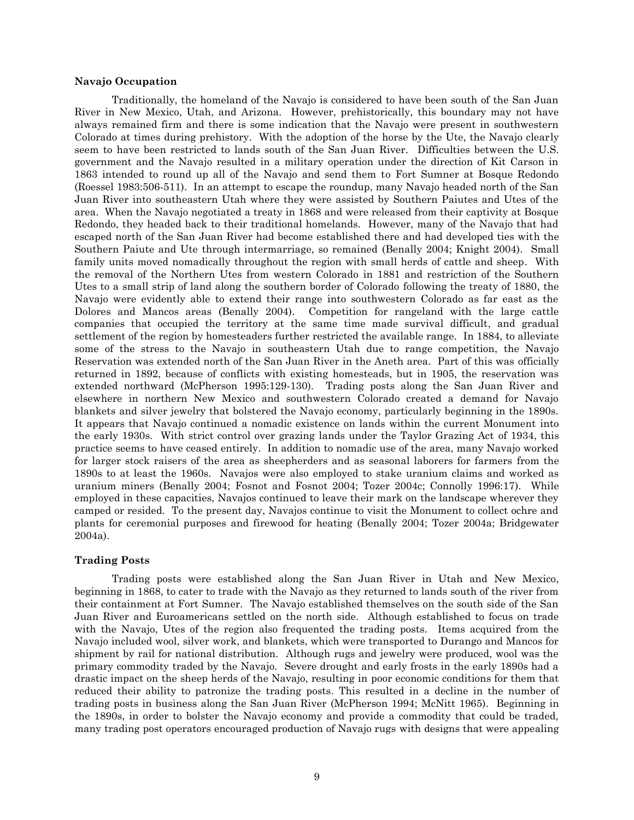### <span id="page-11-0"></span>**Navajo Occupation**

Traditionally, the homeland of the Navajo is considered to have been south of the San Juan River in New Mexico, Utah, and Arizona. However, prehistorically, this boundary may not have always remained firm and there is some indication that the Navajo were present in southwestern Colorado at times during prehistory. With the adoption of the horse by the Ute, the Navajo clearly seem to have been restricted to lands south of the San Juan River. Difficulties between the U.S. government and the Navajo resulted in a military operation under the direction of Kit Carson in 1863 intended to round up all of the Navajo and send them to Fort Sumner at Bosque Redondo (Roessel 1983:506-511). In an attempt to escape the roundup, many Navajo headed north of the San Juan River into southeastern Utah where they were assisted by Southern Paiutes and Utes of the area. When the Navajo negotiated a treaty in 1868 and were released from their captivity at Bosque Redondo, they headed back to their traditional homelands. However, many of the Navajo that had escaped north of the San Juan River had become established there and had developed ties with the Southern Paiute and Ute through intermarriage, so remained (Benally 2004; Knight 2004). Small family units moved nomadically throughout the region with small herds of cattle and sheep. With the removal of the Northern Utes from western Colorado in 1881 and restriction of the Southern Utes to a small strip of land along the southern border of Colorado following the treaty of 1880, the Navajo were evidently able to extend their range into southwestern Colorado as far east as the Dolores and Mancos areas (Benally 2004). Competition for rangeland with the large cattle companies that occupied the territory at the same time made survival difficult, and gradual settlement of the region by homesteaders further restricted the available range. In 1884, to alleviate some of the stress to the Navajo in southeastern Utah due to range competition, the Navajo Reservation was extended north of the San Juan River in the Aneth area. Part of this was officially returned in 1892, because of conflicts with existing homesteads, but in 1905, the reservation was extended northward (McPherson 1995:129-130). Trading posts along the San Juan River and elsewhere in northern New Mexico and southwestern Colorado created a demand for Navajo blankets and silver jewelry that bolstered the Navajo economy, particularly beginning in the 1890s. It appears that Navajo continued a nomadic existence on lands within the current Monument into the early 1930s. With strict control over grazing lands under the Taylor Grazing Act of 1934, this practice seems to have ceased entirely. In addition to nomadic use of the area, many Navajo worked for larger stock raisers of the area as sheepherders and as seasonal laborers for farmers from the 1890s to at least the 1960s. Navajos were also employed to stake uranium claims and worked as uranium miners (Benally 2004; Fosnot and Fosnot 2004; Tozer 2004c; Connolly 1996:17). While employed in these capacities, Navajos continued to leave their mark on the landscape wherever they camped or resided. To the present day, Navajos continue to visit the Monument to collect ochre and plants for ceremonial purposes and firewood for heating (Benally 2004; Tozer 2004a; Bridgewater 2004a).

# <span id="page-11-1"></span>**Trading Posts**

Trading posts were established along the San Juan River in Utah and New Mexico, beginning in 1868, to cater to trade with the Navajo as they returned to lands south of the river from their containment at Fort Sumner. The Navajo established themselves on the south side of the San Juan River and Euroamericans settled on the north side. Although established to focus on trade with the Navajo, Utes of the region also frequented the trading posts. Items acquired from the Navajo included wool, silver work, and blankets, which were transported to Durango and Mancos for shipment by rail for national distribution. Although rugs and jewelry were produced, wool was the primary commodity traded by the Navajo. Severe drought and early frosts in the early 1890s had a drastic impact on the sheep herds of the Navajo, resulting in poor economic conditions for them that reduced their ability to patronize the trading posts. This resulted in a decline in the number of trading posts in business along the San Juan River (McPherson 1994; McNitt 1965). Beginning in the 1890s, in order to bolster the Navajo economy and provide a commodity that could be traded, many trading post operators encouraged production of Navajo rugs with designs that were appealing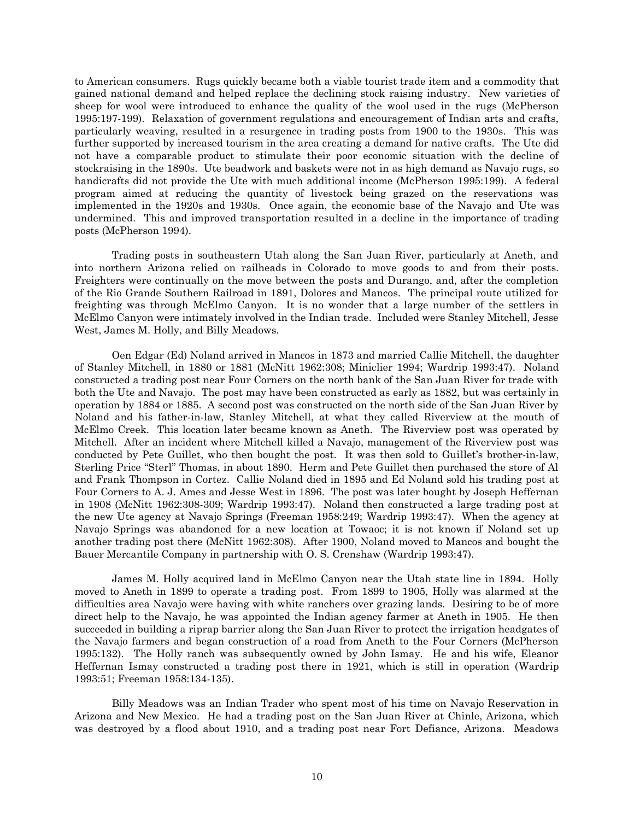to American consumers. Rugs quickly became both a viable tourist trade item and a commodity that gained national demand and helped replace the declining stock raising industry. New varieties of sheep for wool were introduced to enhance the quality of the wool used in the rugs (McPherson 1995:197-199). Relaxation of government regulations and encouragement of Indian arts and crafts, particularly weaving, resulted in a resurgence in trading posts from 1900 to the 1930s. This was further supported by increased tourism in the area creating a demand for native crafts. The Ute did not have a comparable product to stimulate their poor economic situation with the decline of stockraising in the 1890s. Ute beadwork and baskets were not in as high demand as Navajo rugs, so handicrafts did not provide the Ute with much additional income (McPherson 1995:199). A federal program aimed at reducing the quantity of livestock being grazed on the reservations was implemented in the 1920s and 1930s. Once again, the economic base of the Navajo and Ute was undermined. This and improved transportation resulted in a decline in the importance of trading posts (McPherson 1994).

Trading posts in southeastern Utah along the San Juan River, particularly at Aneth, and into northern Arizona relied on railheads in Colorado to move goods to and from their posts. Freighters were continually on the move between the posts and Durango, and, after the completion of the Rio Grande Southern Railroad in 1891, Dolores and Mancos. The principal route utilized for freighting was through McElmo Canyon. It is no wonder that a large number of the settlers in McElmo Canyon were intimately involved in the Indian trade. Included were Stanley Mitchell, Jesse West, James M. Holly, and Billy Meadows.

Oen Edgar (Ed) Noland arrived in Mancos in 1873 and married Callie Mitchell, the daughter of Stanley Mitchell, in 1880 or 1881 (McNitt 1962:308; Miniclier 1994; Wardrip 1993:47). Noland constructed a trading post near Four Corners on the north bank of the San Juan River for trade with both the Ute and Navajo. The post may have been constructed as early as 1882, but was certainly in operation by 1884 or 1885. A second post was constructed on the north side of the San Juan River by Noland and his father-in-law, Stanley Mitchell, at what they called Riverview at the mouth of McElmo Creek. This location later became known as Aneth. The Riverview post was operated by Mitchell. After an incident where Mitchell killed a Navajo, management of the Riverview post was conducted by Pete Guillet, who then bought the post. It was then sold to Guillet's brother-in-law, Sterling Price "Sterl" Thomas, in about 1890. Herm and Pete Guillet then purchased the store of Al and Frank Thompson in Cortez. Callie Noland died in 1895 and Ed Noland sold his trading post at Four Corners to A. J. Ames and Jesse West in 1896. The post was later bought by Joseph Heffernan in 1908 (McNitt 1962:308-309; Wardrip 1993:47). Noland then constructed a large trading post at the new Ute agency at Navajo Springs (Freeman 1958:249; Wardrip 1993:47). When the agency at Navajo Springs was abandoned for a new location at Towaoc; it is not known if Noland set up another trading post there (McNitt 1962:308). After 1900, Noland moved to Mancos and bought the Bauer Mercantile Company in partnership with O. S. Crenshaw (Wardrip 1993:47).

James M. Holly acquired land in McElmo Canyon near the Utah state line in 1894. Holly moved to Aneth in 1899 to operate a trading post. From 1899 to 1905, Holly was alarmed at the difficulties area Navajo were having with white ranchers over grazing lands. Desiring to be of more direct help to the Navajo, he was appointed the Indian agency farmer at Aneth in 1905. He then succeeded in building a riprap barrier along the San Juan River to protect the irrigation headgates of the Navajo farmers and began construction of a road from Aneth to the Four Corners (McPherson 1995:132). The Holly ranch was subsequently owned by John Ismay. He and his wife, Eleanor Heffernan Ismay constructed a trading post there in 1921, which is still in operation (Wardrip 1993:51; Freeman 1958:134-135).

Billy Meadows was an Indian Trader who spent most of his time on Navajo Reservation in Arizona and New Mexico. He had a trading post on the San Juan River at Chinle, Arizona, which was destroyed by a flood about 1910, and a trading post near Fort Defiance, Arizona. Meadows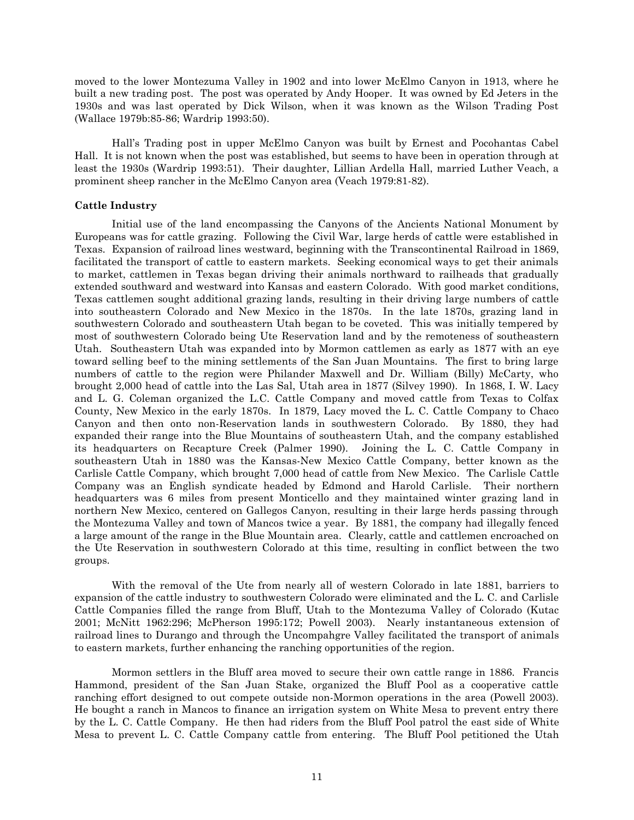moved to the lower Montezuma Valley in 1902 and into lower McElmo Canyon in 1913, where he built a new trading post. The post was operated by Andy Hooper. It was owned by Ed Jeters in the 1930s and was last operated by Dick Wilson, when it was known as the Wilson Trading Post (Wallace 1979b:85-86; Wardrip 1993:50).

Hall's Trading post in upper McElmo Canyon was built by Ernest and Pocohantas Cabel Hall. It is not known when the post was established, but seems to have been in operation through at least the 1930s (Wardrip 1993:51). Their daughter, Lillian Ardella Hall, married Luther Veach, a prominent sheep rancher in the McElmo Canyon area (Veach 1979:81-82).

# <span id="page-13-0"></span>**Cattle Industry**

Initial use of the land encompassing the Canyons of the Ancients National Monument by Europeans was for cattle grazing. Following the Civil War, large herds of cattle were established in Texas. Expansion of railroad lines westward, beginning with the Transcontinental Railroad in 1869, facilitated the transport of cattle to eastern markets. Seeking economical ways to get their animals to market, cattlemen in Texas began driving their animals northward to railheads that gradually extended southward and westward into Kansas and eastern Colorado. With good market conditions, Texas cattlemen sought additional grazing lands, resulting in their driving large numbers of cattle into southeastern Colorado and New Mexico in the 1870s. In the late 1870s, grazing land in southwestern Colorado and southeastern Utah began to be coveted. This was initially tempered by most of southwestern Colorado being Ute Reservation land and by the remoteness of southeastern Utah. Southeastern Utah was expanded into by Mormon cattlemen as early as 1877 with an eye toward selling beef to the mining settlements of the San Juan Mountains. The first to bring large numbers of cattle to the region were Philander Maxwell and Dr. William (Billy) McCarty, who brought 2,000 head of cattle into the Las Sal, Utah area in 1877 (Silvey 1990). In 1868, I. W. Lacy and L. G. Coleman organized the L.C. Cattle Company and moved cattle from Texas to Colfax County, New Mexico in the early 1870s. In 1879, Lacy moved the L. C. Cattle Company to Chaco Canyon and then onto non-Reservation lands in southwestern Colorado. By 1880, they had expanded their range into the Blue Mountains of southeastern Utah, and the company established its headquarters on Recapture Creek (Palmer 1990). Joining the L. C. Cattle Company in southeastern Utah in 1880 was the Kansas-New Mexico Cattle Company, better known as the Carlisle Cattle Company, which brought 7,000 head of cattle from New Mexico. The Carlisle Cattle Company was an English syndicate headed by Edmond and Harold Carlisle. Their northern headquarters was 6 miles from present Monticello and they maintained winter grazing land in northern New Mexico, centered on Gallegos Canyon, resulting in their large herds passing through the Montezuma Valley and town of Mancos twice a year. By 1881, the company had illegally fenced a large amount of the range in the Blue Mountain area. Clearly, cattle and cattlemen encroached on the Ute Reservation in southwestern Colorado at this time, resulting in conflict between the two groups.

With the removal of the Ute from nearly all of western Colorado in late 1881, barriers to expansion of the cattle industry to southwestern Colorado were eliminated and the L. C. and Carlisle Cattle Companies filled the range from Bluff, Utah to the Montezuma Valley of Colorado (Kutac 2001; McNitt 1962:296; McPherson 1995:172; Powell 2003). Nearly instantaneous extension of railroad lines to Durango and through the Uncompahgre Valley facilitated the transport of animals to eastern markets, further enhancing the ranching opportunities of the region.

Mormon settlers in the Bluff area moved to secure their own cattle range in 1886. Francis Hammond, president of the San Juan Stake, organized the Bluff Pool as a cooperative cattle ranching effort designed to out compete outside non-Mormon operations in the area (Powell 2003). He bought a ranch in Mancos to finance an irrigation system on White Mesa to prevent entry there by the L. C. Cattle Company. He then had riders from the Bluff Pool patrol the east side of White Mesa to prevent L. C. Cattle Company cattle from entering. The Bluff Pool petitioned the Utah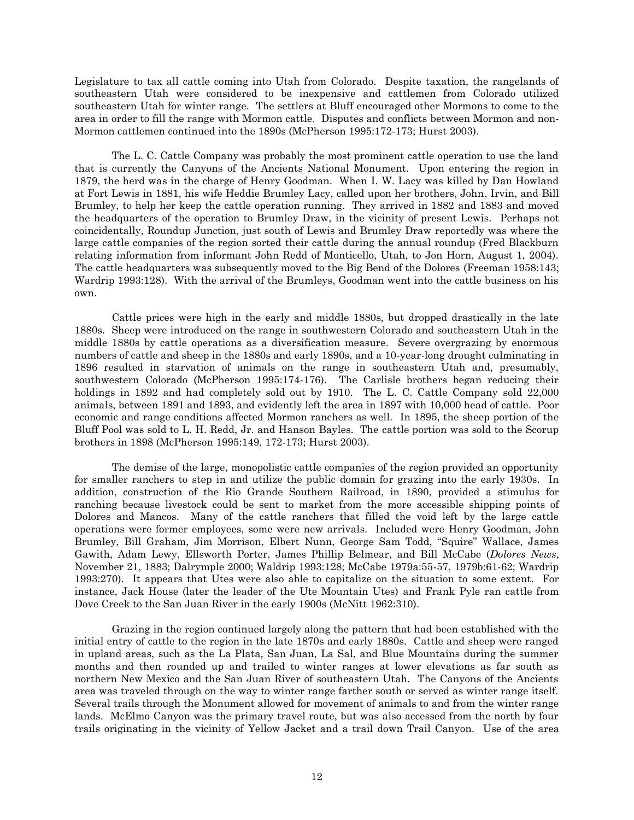Legislature to tax all cattle coming into Utah from Colorado. Despite taxation, the rangelands of southeastern Utah were considered to be inexpensive and cattlemen from Colorado utilized southeastern Utah for winter range. The settlers at Bluff encouraged other Mormons to come to the area in order to fill the range with Mormon cattle. Disputes and conflicts between Mormon and non-Mormon cattlemen continued into the 1890s (McPherson 1995:172-173; Hurst 2003).

The L. C. Cattle Company was probably the most prominent cattle operation to use the land that is currently the Canyons of the Ancients National Monument. Upon entering the region in 1879, the herd was in the charge of Henry Goodman. When I. W. Lacy was killed by Dan Howland at Fort Lewis in 1881, his wife Heddie Brumley Lacy, called upon her brothers, John, Irvin, and Bill Brumley, to help her keep the cattle operation running. They arrived in 1882 and 1883 and moved the headquarters of the operation to Brumley Draw, in the vicinity of present Lewis. Perhaps not coincidentally, Roundup Junction, just south of Lewis and Brumley Draw reportedly was where the large cattle companies of the region sorted their cattle during the annual roundup (Fred Blackburn relating information from informant John Redd of Monticello, Utah, to Jon Horn, August 1, 2004). The cattle headquarters was subsequently moved to the Big Bend of the Dolores (Freeman 1958:143; Wardrip 1993:128). With the arrival of the Brumleys, Goodman went into the cattle business on his own.

Cattle prices were high in the early and middle 1880s, but dropped drastically in the late 1880s. Sheep were introduced on the range in southwestern Colorado and southeastern Utah in the middle 1880s by cattle operations as a diversification measure. Severe overgrazing by enormous numbers of cattle and sheep in the 1880s and early 1890s, and a 10-year-long drought culminating in 1896 resulted in starvation of animals on the range in southeastern Utah and, presumably, southwestern Colorado (McPherson 1995:174-176). The Carlisle brothers began reducing their holdings in 1892 and had completely sold out by 1910. The L. C. Cattle Company sold 22,000 animals, between 1891 and 1893, and evidently left the area in 1897 with 10,000 head of cattle. Poor economic and range conditions affected Mormon ranchers as well. In 1895, the sheep portion of the Bluff Pool was sold to L. H. Redd, Jr. and Hanson Bayles. The cattle portion was sold to the Scorup brothers in 1898 (McPherson 1995:149, 172-173; Hurst 2003).

The demise of the large, monopolistic cattle companies of the region provided an opportunity for smaller ranchers to step in and utilize the public domain for grazing into the early 1930s. In addition, construction of the Rio Grande Southern Railroad, in 1890, provided a stimulus for ranching because livestock could be sent to market from the more accessible shipping points of Dolores and Mancos. Many of the cattle ranchers that filled the void left by the large cattle operations were former employees, some were new arrivals. Included were Henry Goodman, John Brumley, Bill Graham, Jim Morrison, Elbert Nunn, George Sam Todd, "Squire" Wallace, James Gawith, Adam Lewy, Ellsworth Porter, James Phillip Belmear, and Bill McCabe (*Dolores News*, November 21, 1883; Dalrymple 2000; Waldrip 1993:128; McCabe 1979a:55-57, 1979b:61-62; Wardrip 1993:270). It appears that Utes were also able to capitalize on the situation to some extent. For instance, Jack House (later the leader of the Ute Mountain Utes) and Frank Pyle ran cattle from Dove Creek to the San Juan River in the early 1900s (McNitt 1962:310).

Grazing in the region continued largely along the pattern that had been established with the initial entry of cattle to the region in the late 1870s and early 1880s. Cattle and sheep were ranged in upland areas, such as the La Plata, San Juan, La Sal, and Blue Mountains during the summer months and then rounded up and trailed to winter ranges at lower elevations as far south as northern New Mexico and the San Juan River of southeastern Utah. The Canyons of the Ancients area was traveled through on the way to winter range farther south or served as winter range itself. Several trails through the Monument allowed for movement of animals to and from the winter range lands. McElmo Canyon was the primary travel route, but was also accessed from the north by four trails originating in the vicinity of Yellow Jacket and a trail down Trail Canyon. Use of the area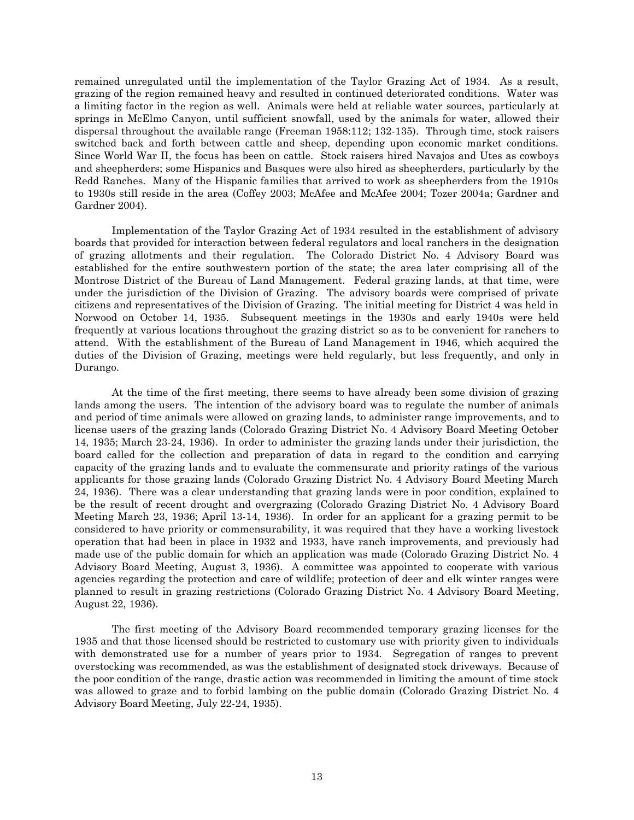remained unregulated until the implementation of the Taylor Grazing Act of 1934. As a result, grazing of the region remained heavy and resulted in continued deteriorated conditions. Water was a limiting factor in the region as well. Animals were held at reliable water sources, particularly at springs in McElmo Canyon, until sufficient snowfall, used by the animals for water, allowed their dispersal throughout the available range (Freeman 1958:112; 132-135). Through time, stock raisers switched back and forth between cattle and sheep, depending upon economic market conditions. Since World War II, the focus has been on cattle. Stock raisers hired Navajos and Utes as cowboys and sheepherders; some Hispanics and Basques were also hired as sheepherders, particularly by the Redd Ranches. Many of the Hispanic families that arrived to work as sheepherders from the 1910s to 1930s still reside in the area (Coffey 2003; McAfee and McAfee 2004; Tozer 2004a; Gardner and Gardner 2004).

Implementation of the Taylor Grazing Act of 1934 resulted in the establishment of advisory boards that provided for interaction between federal regulators and local ranchers in the designation of grazing allotments and their regulation. The Colorado District No. 4 Advisory Board was established for the entire southwestern portion of the state; the area later comprising all of the Montrose District of the Bureau of Land Management. Federal grazing lands, at that time, were under the jurisdiction of the Division of Grazing. The advisory boards were comprised of private citizens and representatives of the Division of Grazing. The initial meeting for District 4 was held in Norwood on October 14, 1935. Subsequent meetings in the 1930s and early 1940s were held frequently at various locations throughout the grazing district so as to be convenient for ranchers to attend. With the establishment of the Bureau of Land Management in 1946, which acquired the duties of the Division of Grazing, meetings were held regularly, but less frequently, and only in Durango.

At the time of the first meeting, there seems to have already been some division of grazing lands among the users. The intention of the advisory board was to regulate the number of animals and period of time animals were allowed on grazing lands, to administer range improvements, and to license users of the grazing lands (Colorado Grazing District No. 4 Advisory Board Meeting October 14, 1935; March 23-24, 1936). In order to administer the grazing lands under their jurisdiction, the board called for the collection and preparation of data in regard to the condition and carrying capacity of the grazing lands and to evaluate the commensurate and priority ratings of the various applicants for those grazing lands (Colorado Grazing District No. 4 Advisory Board Meeting March 24, 1936). There was a clear understanding that grazing lands were in poor condition, explained to be the result of recent drought and overgrazing (Colorado Grazing District No. 4 Advisory Board Meeting March 23, 1936; April 13-14, 1936). In order for an applicant for a grazing permit to be considered to have priority or commensurability, it was required that they have a working livestock operation that had been in place in 1932 and 1933, have ranch improvements, and previously had made use of the public domain for which an application was made (Colorado Grazing District No. 4 Advisory Board Meeting, August 3, 1936). A committee was appointed to cooperate with various agencies regarding the protection and care of wildlife; protection of deer and elk winter ranges were planned to result in grazing restrictions (Colorado Grazing District No. 4 Advisory Board Meeting, August 22, 1936).

The first meeting of the Advisory Board recommended temporary grazing licenses for the 1935 and that those licensed should be restricted to customary use with priority given to individuals with demonstrated use for a number of years prior to 1934. Segregation of ranges to prevent overstocking was recommended, as was the establishment of designated stock driveways. Because of the poor condition of the range, drastic action was recommended in limiting the amount of time stock was allowed to graze and to forbid lambing on the public domain (Colorado Grazing District No. 4 Advisory Board Meeting, July 22-24, 1935).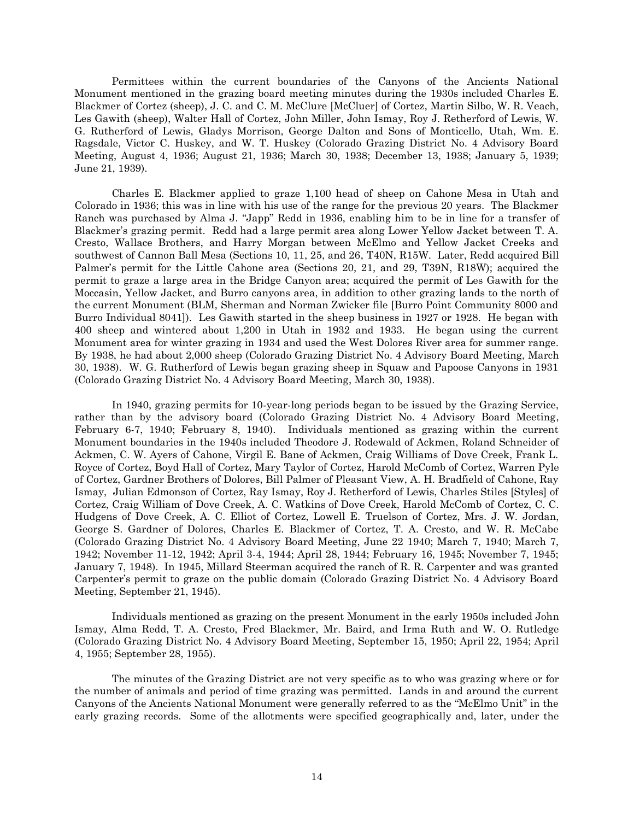Permittees within the current boundaries of the Canyons of the Ancients National Monument mentioned in the grazing board meeting minutes during the 1930s included Charles E. Blackmer of Cortez (sheep), J. C. and C. M. McClure [McCluer] of Cortez, Martin Silbo, W. R. Veach, Les Gawith (sheep), Walter Hall of Cortez, John Miller, John Ismay, Roy J. Retherford of Lewis, W. G. Rutherford of Lewis, Gladys Morrison, George Dalton and Sons of Monticello, Utah, Wm. E. Ragsdale, Victor C. Huskey, and W. T. Huskey (Colorado Grazing District No. 4 Advisory Board Meeting, August 4, 1936; August 21, 1936; March 30, 1938; December 13, 1938; January 5, 1939; June 21, 1939).

Charles E. Blackmer applied to graze 1,100 head of sheep on Cahone Mesa in Utah and Colorado in 1936; this was in line with his use of the range for the previous 20 years. The Blackmer Ranch was purchased by Alma J. "Japp" Redd in 1936, enabling him to be in line for a transfer of Blackmer's grazing permit. Redd had a large permit area along Lower Yellow Jacket between T. A. Cresto, Wallace Brothers, and Harry Morgan between McElmo and Yellow Jacket Creeks and southwest of Cannon Ball Mesa (Sections 10, 11, 25, and 26, T40N, R15W. Later, Redd acquired Bill Palmer's permit for the Little Cahone area (Sections 20, 21, and 29, T39N, R18W); acquired the permit to graze a large area in the Bridge Canyon area; acquired the permit of Les Gawith for the Moccasin, Yellow Jacket, and Burro canyons area, in addition to other grazing lands to the north of the current Monument (BLM, Sherman and Norman Zwicker file [Burro Point Community 8000 and Burro Individual 8041]). Les Gawith started in the sheep business in 1927 or 1928. He began with 400 sheep and wintered about 1,200 in Utah in 1932 and 1933. He began using the current Monument area for winter grazing in 1934 and used the West Dolores River area for summer range. By 1938, he had about 2,000 sheep (Colorado Grazing District No. 4 Advisory Board Meeting, March 30, 1938). W. G. Rutherford of Lewis began grazing sheep in Squaw and Papoose Canyons in 1931 (Colorado Grazing District No. 4 Advisory Board Meeting, March 30, 1938).

In 1940, grazing permits for 10-year-long periods began to be issued by the Grazing Service, rather than by the advisory board (Colorado Grazing District No. 4 Advisory Board Meeting, February 6-7, 1940; February 8, 1940). Individuals mentioned as grazing within the current Monument boundaries in the 1940s included Theodore J. Rodewald of Ackmen, Roland Schneider of Ackmen, C. W. Ayers of Cahone, Virgil E. Bane of Ackmen, Craig Williams of Dove Creek, Frank L. Royce of Cortez, Boyd Hall of Cortez, Mary Taylor of Cortez, Harold McComb of Cortez, Warren Pyle of Cortez, Gardner Brothers of Dolores, Bill Palmer of Pleasant View, A. H. Bradfield of Cahone, Ray Ismay, Julian Edmonson of Cortez, Ray Ismay, Roy J. Retherford of Lewis, Charles Stiles [Styles] of Cortez, Craig William of Dove Creek, A. C. Watkins of Dove Creek, Harold McComb of Cortez, C. C. Hudgens of Dove Creek, A. C. Elliot of Cortez, Lowell E. Truelson of Cortez, Mrs. J. W. Jordan, George S. Gardner of Dolores, Charles E. Blackmer of Cortez, T. A. Cresto, and W. R. McCabe (Colorado Grazing District No. 4 Advisory Board Meeting, June 22 1940; March 7, 1940; March 7, 1942; November 11-12, 1942; April 3-4, 1944; April 28, 1944; February 16, 1945; November 7, 1945; January 7, 1948). In 1945, Millard Steerman acquired the ranch of R. R. Carpenter and was granted Carpenter's permit to graze on the public domain (Colorado Grazing District No. 4 Advisory Board Meeting, September 21, 1945).

Individuals mentioned as grazing on the present Monument in the early 1950s included John Ismay, Alma Redd, T. A. Cresto, Fred Blackmer, Mr. Baird, and Irma Ruth and W. O. Rutledge (Colorado Grazing District No. 4 Advisory Board Meeting, September 15, 1950; April 22, 1954; April 4, 1955; September 28, 1955).

The minutes of the Grazing District are not very specific as to who was grazing where or for the number of animals and period of time grazing was permitted. Lands in and around the current Canyons of the Ancients National Monument were generally referred to as the "McElmo Unit" in the early grazing records. Some of the allotments were specified geographically and, later, under the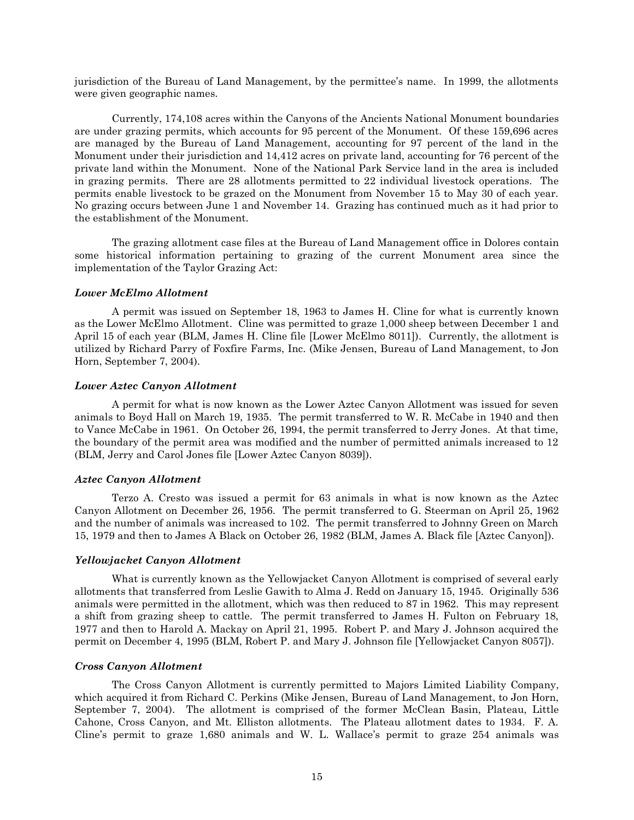jurisdiction of the Bureau of Land Management, by the permittee's name. In 1999, the allotments were given geographic names.

Currently, 174,108 acres within the Canyons of the Ancients National Monument boundaries are under grazing permits, which accounts for 95 percent of the Monument. Of these 159,696 acres are managed by the Bureau of Land Management, accounting for 97 percent of the land in the Monument under their jurisdiction and 14,412 acres on private land, accounting for 76 percent of the private land within the Monument. None of the National Park Service land in the area is included in grazing permits. There are 28 allotments permitted to 22 individual livestock operations. The permits enable livestock to be grazed on the Monument from November 15 to May 30 of each year. No grazing occurs between June 1 and November 14. Grazing has continued much as it had prior to the establishment of the Monument.

The grazing allotment case files at the Bureau of Land Management office in Dolores contain some historical information pertaining to grazing of the current Monument area since the implementation of the Taylor Grazing Act:

#### <span id="page-17-0"></span>*Lower McElmo Allotment*

A permit was issued on September 18, 1963 to James H. Cline for what is currently known as the Lower McElmo Allotment. Cline was permitted to graze 1,000 sheep between December 1 and April 15 of each year (BLM, James H. Cline file [Lower McElmo 8011]). Currently, the allotment is utilized by Richard Parry of Foxfire Farms, Inc. (Mike Jensen, Bureau of Land Management, to Jon Horn, September 7, 2004).

#### <span id="page-17-1"></span>*Lower Aztec Canyon Allotment*

A permit for what is now known as the Lower Aztec Canyon Allotment was issued for seven animals to Boyd Hall on March 19, 1935. The permit transferred to W. R. McCabe in 1940 and then to Vance McCabe in 1961. On October 26, 1994, the permit transferred to Jerry Jones. At that time, the boundary of the permit area was modified and the number of permitted animals increased to 12 (BLM, Jerry and Carol Jones file [Lower Aztec Canyon 8039]).

#### <span id="page-17-2"></span>*Aztec Canyon Allotment*

Terzo A. Cresto was issued a permit for 63 animals in what is now known as the Aztec Canyon Allotment on December 26, 1956. The permit transferred to G. Steerman on April 25, 1962 and the number of animals was increased to 102. The permit transferred to Johnny Green on March 15, 1979 and then to James A Black on October 26, 1982 (BLM, James A. Black file [Aztec Canyon]).

#### <span id="page-17-3"></span>*Yellowjacket Canyon Allotment*

What is currently known as the Yellowjacket Canyon Allotment is comprised of several early allotments that transferred from Leslie Gawith to Alma J. Redd on January 15, 1945. Originally 536 animals were permitted in the allotment, which was then reduced to 87 in 1962. This may represent a shift from grazing sheep to cattle. The permit transferred to James H. Fulton on February 18, 1977 and then to Harold A. Mackay on April 21, 1995. Robert P. and Mary J. Johnson acquired the permit on December 4, 1995 (BLM, Robert P. and Mary J. Johnson file [Yellowjacket Canyon 8057]).

#### <span id="page-17-4"></span>*Cross Canyon Allotment*

The Cross Canyon Allotment is currently permitted to Majors Limited Liability Company, which acquired it from Richard C. Perkins (Mike Jensen, Bureau of Land Management, to Jon Horn, September 7, 2004). The allotment is comprised of the former McClean Basin, Plateau, Little Cahone, Cross Canyon, and Mt. Elliston allotments. The Plateau allotment dates to 1934. F. A. Cline's permit to graze 1,680 animals and W. L. Wallace's permit to graze 254 animals was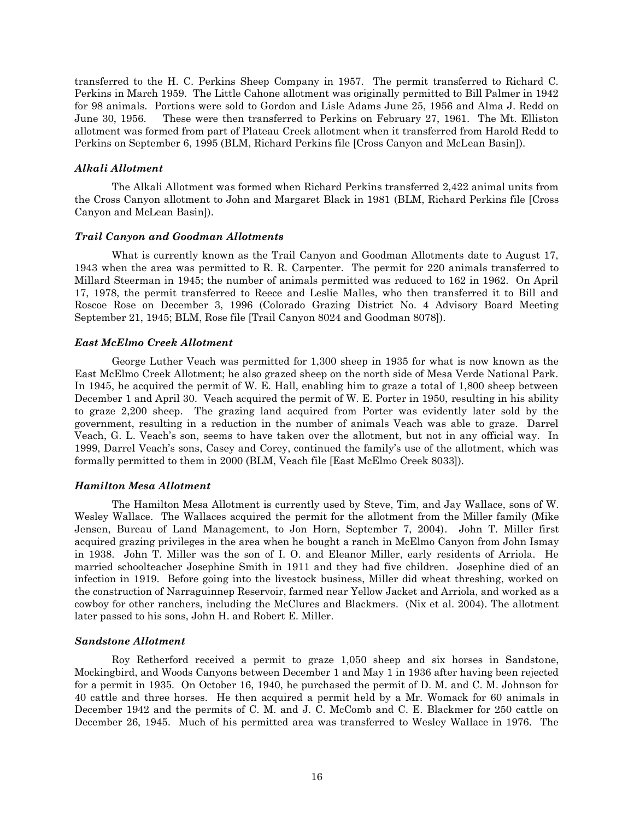transferred to the H. C. Perkins Sheep Company in 1957. The permit transferred to Richard C. Perkins in March 1959. The Little Cahone allotment was originally permitted to Bill Palmer in 1942 for 98 animals. Portions were sold to Gordon and Lisle Adams June 25, 1956 and Alma J. Redd on June 30, 1956. These were then transferred to Perkins on February 27, 1961. The Mt. Elliston allotment was formed from part of Plateau Creek allotment when it transferred from Harold Redd to Perkins on September 6, 1995 (BLM, Richard Perkins file [Cross Canyon and McLean Basin]).

# <span id="page-18-0"></span>*Alkali Allotment*

The Alkali Allotment was formed when Richard Perkins transferred 2,422 animal units from the Cross Canyon allotment to John and Margaret Black in 1981 (BLM, Richard Perkins file [Cross Canyon and McLean Basin]).

# <span id="page-18-1"></span>*Trail Canyon and Goodman Allotments*

What is currently known as the Trail Canyon and Goodman Allotments date to August 17, 1943 when the area was permitted to R. R. Carpenter. The permit for 220 animals transferred to Millard Steerman in 1945; the number of animals permitted was reduced to 162 in 1962. On April 17, 1978, the permit transferred to Reece and Leslie Malles, who then transferred it to Bill and Roscoe Rose on December 3, 1996 (Colorado Grazing District No. 4 Advisory Board Meeting September 21, 1945; BLM, Rose file [Trail Canyon 8024 and Goodman 8078]).

# <span id="page-18-2"></span>*East McElmo Creek Allotment*

George Luther Veach was permitted for 1,300 sheep in 1935 for what is now known as the East McElmo Creek Allotment; he also grazed sheep on the north side of Mesa Verde National Park. In 1945, he acquired the permit of W. E. Hall, enabling him to graze a total of 1,800 sheep between December 1 and April 30. Veach acquired the permit of W. E. Porter in 1950, resulting in his ability to graze 2,200 sheep. The grazing land acquired from Porter was evidently later sold by the government, resulting in a reduction in the number of animals Veach was able to graze. Darrel Veach, G. L. Veach's son, seems to have taken over the allotment, but not in any official way. In 1999, Darrel Veach's sons, Casey and Corey, continued the family's use of the allotment, which was formally permitted to them in 2000 (BLM, Veach file [East McElmo Creek 8033]).

# <span id="page-18-3"></span>*Hamilton Mesa Allotment*

The Hamilton Mesa Allotment is currently used by Steve, Tim, and Jay Wallace, sons of W. Wesley Wallace. The Wallaces acquired the permit for the allotment from the Miller family (Mike Jensen, Bureau of Land Management, to Jon Horn, September 7, 2004). John T. Miller first acquired grazing privileges in the area when he bought a ranch in McElmo Canyon from John Ismay in 1938. John T. Miller was the son of I. O. and Eleanor Miller, early residents of Arriola. He married schoolteacher Josephine Smith in 1911 and they had five children. Josephine died of an infection in 1919. Before going into the livestock business, Miller did wheat threshing, worked on the construction of Narraguinnep Reservoir, farmed near Yellow Jacket and Arriola, and worked as a cowboy for other ranchers, including the McClures and Blackmers. (Nix et al. 2004). The allotment later passed to his sons, John H. and Robert E. Miller.

# <span id="page-18-4"></span>*Sandstone Allotment*

Roy Retherford received a permit to graze 1,050 sheep and six horses in Sandstone, Mockingbird, and Woods Canyons between December 1 and May 1 in 1936 after having been rejected for a permit in 1935. On October 16, 1940, he purchased the permit of D. M. and C. M. Johnson for 40 cattle and three horses. He then acquired a permit held by a Mr. Womack for 60 animals in December 1942 and the permits of C. M. and J. C. McComb and C. E. Blackmer for 250 cattle on December 26, 1945. Much of his permitted area was transferred to Wesley Wallace in 1976. The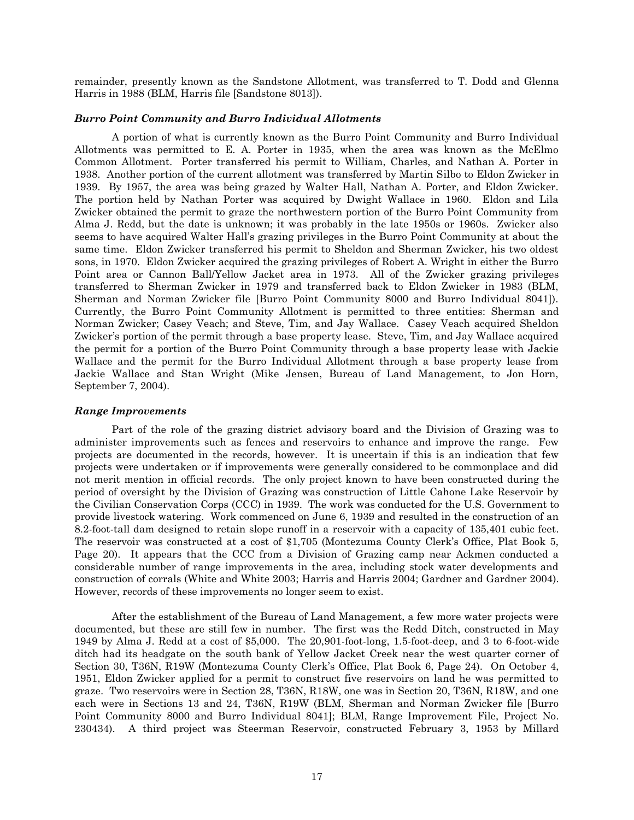remainder, presently known as the Sandstone Allotment, was transferred to T. Dodd and Glenna Harris in 1988 (BLM, Harris file [Sandstone 8013]).

### <span id="page-19-0"></span>*Burro Point Community and Burro Individual Allotments*

A portion of what is currently known as the Burro Point Community and Burro Individual Allotments was permitted to E. A. Porter in 1935, when the area was known as the McElmo Common Allotment. Porter transferred his permit to William, Charles, and Nathan A. Porter in 1938. Another portion of the current allotment was transferred by Martin Silbo to Eldon Zwicker in 1939. By 1957, the area was being grazed by Walter Hall, Nathan A. Porter, and Eldon Zwicker. The portion held by Nathan Porter was acquired by Dwight Wallace in 1960. Eldon and Lila Zwicker obtained the permit to graze the northwestern portion of the Burro Point Community from Alma J. Redd, but the date is unknown; it was probably in the late 1950s or 1960s. Zwicker also seems to have acquired Walter Hall's grazing privileges in the Burro Point Community at about the same time. Eldon Zwicker transferred his permit to Sheldon and Sherman Zwicker, his two oldest sons, in 1970. Eldon Zwicker acquired the grazing privileges of Robert A. Wright in either the Burro Point area or Cannon Ball/Yellow Jacket area in 1973. All of the Zwicker grazing privileges transferred to Sherman Zwicker in 1979 and transferred back to Eldon Zwicker in 1983 (BLM, Sherman and Norman Zwicker file [Burro Point Community 8000 and Burro Individual 8041]). Currently, the Burro Point Community Allotment is permitted to three entities: Sherman and Norman Zwicker; Casey Veach; and Steve, Tim, and Jay Wallace. Casey Veach acquired Sheldon Zwicker's portion of the permit through a base property lease. Steve, Tim, and Jay Wallace acquired the permit for a portion of the Burro Point Community through a base property lease with Jackie Wallace and the permit for the Burro Individual Allotment through a base property lease from Jackie Wallace and Stan Wright (Mike Jensen, Bureau of Land Management, to Jon Horn, September 7, 2004).

### <span id="page-19-1"></span>*Range Improvements*

Part of the role of the grazing district advisory board and the Division of Grazing was to administer improvements such as fences and reservoirs to enhance and improve the range. Few projects are documented in the records, however. It is uncertain if this is an indication that few projects were undertaken or if improvements were generally considered to be commonplace and did not merit mention in official records. The only project known to have been constructed during the period of oversight by the Division of Grazing was construction of Little Cahone Lake Reservoir by the Civilian Conservation Corps (CCC) in 1939. The work was conducted for the U.S. Government to provide livestock watering. Work commenced on June 6, 1939 and resulted in the construction of an 8.2-foot-tall dam designed to retain slope runoff in a reservoir with a capacity of 135,401 cubic feet. The reservoir was constructed at a cost of \$1,705 (Montezuma County Clerk's Office, Plat Book 5, Page 20). It appears that the CCC from a Division of Grazing camp near Ackmen conducted a considerable number of range improvements in the area, including stock water developments and construction of corrals (White and White 2003; Harris and Harris 2004; Gardner and Gardner 2004). However, records of these improvements no longer seem to exist.

After the establishment of the Bureau of Land Management, a few more water projects were documented, but these are still few in number. The first was the Redd Ditch, constructed in May 1949 by Alma J. Redd at a cost of \$5,000. The 20,901-foot-long, 1.5-foot-deep, and 3 to 6-foot-wide ditch had its headgate on the south bank of Yellow Jacket Creek near the west quarter corner of Section 30, T36N, R19W (Montezuma County Clerk's Office, Plat Book 6, Page 24). On October 4, 1951, Eldon Zwicker applied for a permit to construct five reservoirs on land he was permitted to graze. Two reservoirs were in Section 28, T36N, R18W, one was in Section 20, T36N, R18W, and one each were in Sections 13 and 24, T36N, R19W (BLM, Sherman and Norman Zwicker file [Burro Point Community 8000 and Burro Individual 8041]; BLM, Range Improvement File, Project No. 230434). A third project was Steerman Reservoir, constructed February 3, 1953 by Millard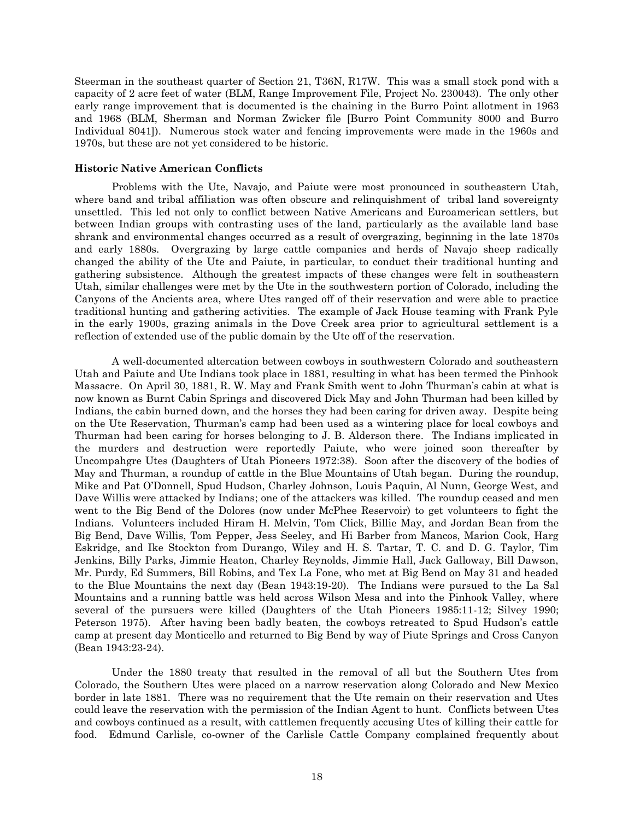Steerman in the southeast quarter of Section 21, T36N, R17W. This was a small stock pond with a capacity of 2 acre feet of water (BLM, Range Improvement File, Project No. 230043). The only other early range improvement that is documented is the chaining in the Burro Point allotment in 1963 and 1968 (BLM, Sherman and Norman Zwicker file [Burro Point Community 8000 and Burro Individual 8041]). Numerous stock water and fencing improvements were made in the 1960s and 1970s, but these are not yet considered to be historic.

# <span id="page-20-0"></span>**Historic Native American Conflicts**

Problems with the Ute, Navajo, and Paiute were most pronounced in southeastern Utah, where band and tribal affiliation was often obscure and relinquishment of tribal land sovereignty unsettled. This led not only to conflict between Native Americans and Euroamerican settlers, but between Indian groups with contrasting uses of the land, particularly as the available land base shrank and environmental changes occurred as a result of overgrazing, beginning in the late 1870s and early 1880s. Overgrazing by large cattle companies and herds of Navajo sheep radically changed the ability of the Ute and Paiute, in particular, to conduct their traditional hunting and gathering subsistence. Although the greatest impacts of these changes were felt in southeastern Utah, similar challenges were met by the Ute in the southwestern portion of Colorado, including the Canyons of the Ancients area, where Utes ranged off of their reservation and were able to practice traditional hunting and gathering activities. The example of Jack House teaming with Frank Pyle in the early 1900s, grazing animals in the Dove Creek area prior to agricultural settlement is a reflection of extended use of the public domain by the Ute off of the reservation.

A well-documented altercation between cowboys in southwestern Colorado and southeastern Utah and Paiute and Ute Indians took place in 1881, resulting in what has been termed the Pinhook Massacre. On April 30, 1881, R. W. May and Frank Smith went to John Thurman's cabin at what is now known as Burnt Cabin Springs and discovered Dick May and John Thurman had been killed by Indians, the cabin burned down, and the horses they had been caring for driven away. Despite being on the Ute Reservation, Thurman's camp had been used as a wintering place for local cowboys and Thurman had been caring for horses belonging to J. B. Alderson there. The Indians implicated in the murders and destruction were reportedly Paiute, who were joined soon thereafter by Uncompahgre Utes (Daughters of Utah Pioneers 1972:38). Soon after the discovery of the bodies of May and Thurman, a roundup of cattle in the Blue Mountains of Utah began. During the roundup, Mike and Pat O'Donnell, Spud Hudson, Charley Johnson, Louis Paquin, Al Nunn, George West, and Dave Willis were attacked by Indians; one of the attackers was killed. The roundup ceased and men went to the Big Bend of the Dolores (now under McPhee Reservoir) to get volunteers to fight the Indians. Volunteers included Hiram H. Melvin, Tom Click, Billie May, and Jordan Bean from the Big Bend, Dave Willis, Tom Pepper, Jess Seeley, and Hi Barber from Mancos, Marion Cook, Harg Eskridge, and Ike Stockton from Durango, Wiley and H. S. Tartar, T. C. and D. G. Taylor, Tim Jenkins, Billy Parks, Jimmie Heaton, Charley Reynolds, Jimmie Hall, Jack Galloway, Bill Dawson, Mr. Purdy, Ed Summers, Bill Robins, and Tex La Fone, who met at Big Bend on May 31 and headed to the Blue Mountains the next day (Bean 1943:19-20). The Indians were pursued to the La Sal Mountains and a running battle was held across Wilson Mesa and into the Pinhook Valley, where several of the pursuers were killed (Daughters of the Utah Pioneers 1985:11-12; Silvey 1990; Peterson 1975). After having been badly beaten, the cowboys retreated to Spud Hudson's cattle camp at present day Monticello and returned to Big Bend by way of Piute Springs and Cross Canyon (Bean 1943:23-24).

Under the 1880 treaty that resulted in the removal of all but the Southern Utes from Colorado, the Southern Utes were placed on a narrow reservation along Colorado and New Mexico border in late 1881. There was no requirement that the Ute remain on their reservation and Utes could leave the reservation with the permission of the Indian Agent to hunt. Conflicts between Utes and cowboys continued as a result, with cattlemen frequently accusing Utes of killing their cattle for food. Edmund Carlisle, co-owner of the Carlisle Cattle Company complained frequently about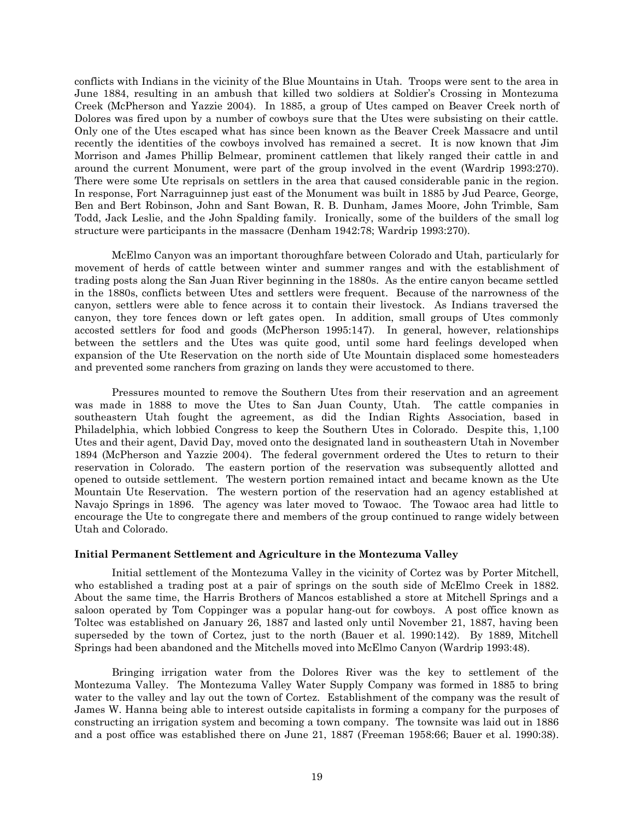conflicts with Indians in the vicinity of the Blue Mountains in Utah. Troops were sent to the area in June 1884, resulting in an ambush that killed two soldiers at Soldier's Crossing in Montezuma Creek (McPherson and Yazzie 2004). In 1885, a group of Utes camped on Beaver Creek north of Dolores was fired upon by a number of cowboys sure that the Utes were subsisting on their cattle. Only one of the Utes escaped what has since been known as the Beaver Creek Massacre and until recently the identities of the cowboys involved has remained a secret. It is now known that Jim Morrison and James Phillip Belmear, prominent cattlemen that likely ranged their cattle in and around the current Monument, were part of the group involved in the event (Wardrip 1993:270). There were some Ute reprisals on settlers in the area that caused considerable panic in the region. In response, Fort Narraguinnep just east of the Monument was built in 1885 by Jud Pearce, George, Ben and Bert Robinson, John and Sant Bowan, R. B. Dunham, James Moore, John Trimble, Sam Todd, Jack Leslie, and the John Spalding family. Ironically, some of the builders of the small log structure were participants in the massacre (Denham 1942:78; Wardrip 1993:270).

McElmo Canyon was an important thoroughfare between Colorado and Utah, particularly for movement of herds of cattle between winter and summer ranges and with the establishment of trading posts along the San Juan River beginning in the 1880s. As the entire canyon became settled in the 1880s, conflicts between Utes and settlers were frequent. Because of the narrowness of the canyon, settlers were able to fence across it to contain their livestock. As Indians traversed the canyon, they tore fences down or left gates open. In addition, small groups of Utes commonly accosted settlers for food and goods (McPherson 1995:147). In general, however, relationships between the settlers and the Utes was quite good, until some hard feelings developed when expansion of the Ute Reservation on the north side of Ute Mountain displaced some homesteaders and prevented some ranchers from grazing on lands they were accustomed to there.

Pressures mounted to remove the Southern Utes from their reservation and an agreement was made in 1888 to move the Utes to San Juan County, Utah. The cattle companies in southeastern Utah fought the agreement, as did the Indian Rights Association, based in Philadelphia, which lobbied Congress to keep the Southern Utes in Colorado. Despite this, 1,100 Utes and their agent, David Day, moved onto the designated land in southeastern Utah in November 1894 (McPherson and Yazzie 2004). The federal government ordered the Utes to return to their reservation in Colorado. The eastern portion of the reservation was subsequently allotted and opened to outside settlement. The western portion remained intact and became known as the Ute Mountain Ute Reservation. The western portion of the reservation had an agency established at Navajo Springs in 1896. The agency was later moved to Towaoc. The Towaoc area had little to encourage the Ute to congregate there and members of the group continued to range widely between Utah and Colorado.

# <span id="page-21-0"></span>**Initial Permanent Settlement and Agriculture in the Montezuma Valley**

Initial settlement of the Montezuma Valley in the vicinity of Cortez was by Porter Mitchell, who established a trading post at a pair of springs on the south side of McElmo Creek in 1882. About the same time, the Harris Brothers of Mancos established a store at Mitchell Springs and a saloon operated by Tom Coppinger was a popular hang-out for cowboys. A post office known as Toltec was established on January 26, 1887 and lasted only until November 21, 1887, having been superseded by the town of Cortez, just to the north (Bauer et al. 1990:142). By 1889, Mitchell Springs had been abandoned and the Mitchells moved into McElmo Canyon (Wardrip 1993:48).

Bringing irrigation water from the Dolores River was the key to settlement of the Montezuma Valley. The Montezuma Valley Water Supply Company was formed in 1885 to bring water to the valley and lay out the town of Cortez. Establishment of the company was the result of James W. Hanna being able to interest outside capitalists in forming a company for the purposes of constructing an irrigation system and becoming a town company. The townsite was laid out in 1886 and a post office was established there on June 21, 1887 (Freeman 1958:66; Bauer et al. 1990:38).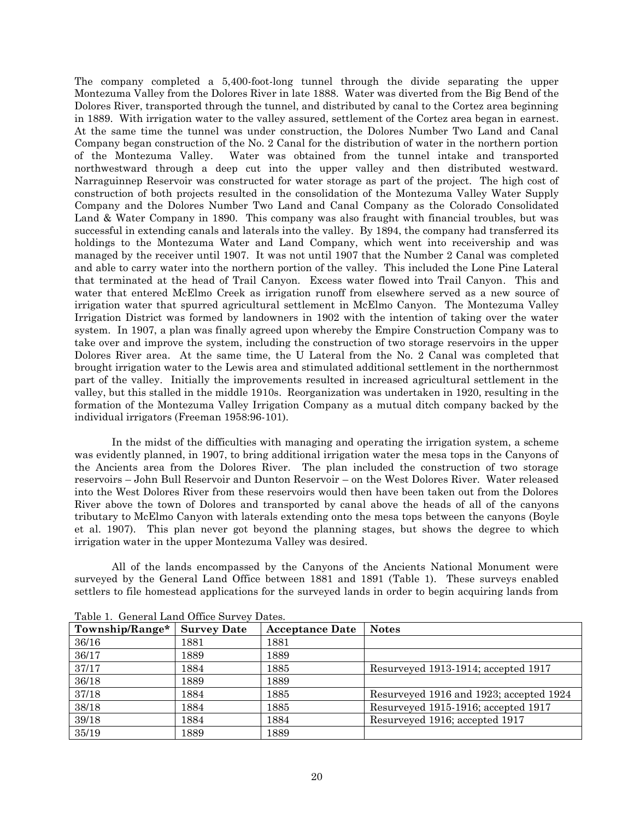The company completed a 5,400-foot-long tunnel through the divide separating the upper Montezuma Valley from the Dolores River in late 1888. Water was diverted from the Big Bend of the Dolores River, transported through the tunnel, and distributed by canal to the Cortez area beginning in 1889. With irrigation water to the valley assured, settlement of the Cortez area began in earnest. At the same time the tunnel was under construction, the Dolores Number Two Land and Canal Company began construction of the No. 2 Canal for the distribution of water in the northern portion of the Montezuma Valley. Water was obtained from the tunnel intake and transported northwestward through a deep cut into the upper valley and then distributed westward. Narraguinnep Reservoir was constructed for water storage as part of the project. The high cost of construction of both projects resulted in the consolidation of the Montezuma Valley Water Supply Company and the Dolores Number Two Land and Canal Company as the Colorado Consolidated Land & Water Company in 1890. This company was also fraught with financial troubles, but was successful in extending canals and laterals into the valley. By 1894, the company had transferred its holdings to the Montezuma Water and Land Company, which went into receivership and was managed by the receiver until 1907. It was not until 1907 that the Number 2 Canal was completed and able to carry water into the northern portion of the valley. This included the Lone Pine Lateral that terminated at the head of Trail Canyon. Excess water flowed into Trail Canyon. This and water that entered McElmo Creek as irrigation runoff from elsewhere served as a new source of irrigation water that spurred agricultural settlement in McElmo Canyon. The Montezuma Valley Irrigation District was formed by landowners in 1902 with the intention of taking over the water system. In 1907, a plan was finally agreed upon whereby the Empire Construction Company was to take over and improve the system, including the construction of two storage reservoirs in the upper Dolores River area. At the same time, the U Lateral from the No. 2 Canal was completed that brought irrigation water to the Lewis area and stimulated additional settlement in the northernmost part of the valley. Initially the improvements resulted in increased agricultural settlement in the valley, but this stalled in the middle 1910s. Reorganization was undertaken in 1920, resulting in the formation of the Montezuma Valley Irrigation Company as a mutual ditch company backed by the individual irrigators (Freeman 1958:96-101).

In the midst of the difficulties with managing and operating the irrigation system, a scheme was evidently planned, in 1907, to bring additional irrigation water the mesa tops in the Canyons of the Ancients area from the Dolores River. The plan included the construction of two storage reservoirs – John Bull Reservoir and Dunton Reservoir – on the West Dolores River. Water released into the West Dolores River from these reservoirs would then have been taken out from the Dolores River above the town of Dolores and transported by canal above the heads of all of the canyons tributary to McElmo Canyon with laterals extending onto the mesa tops between the canyons (Boyle et al. 1907). This plan never got beyond the planning stages, but shows the degree to which irrigation water in the upper Montezuma Valley was desired.

All of the lands encompassed by the Canyons of the Ancients National Monument were surveyed by the General Land Office between 1881 and 1891 [\(Table 1\)](#page-22-0). These surveys enabled settlers to file homestead applications for the surveyed lands in order to begin acquiring lands from

| Township/Range* | <b>Survey Date</b> | <b>Acceptance Date</b> | <b>Notes</b>                            |
|-----------------|--------------------|------------------------|-----------------------------------------|
| 36/16           | 1881               | 1881                   |                                         |
| 36/17           | 1889               | 1889                   |                                         |
| 37/17           | 1884               | 1885                   | Resurveyed 1913-1914; accepted 1917     |
| 36/18           | 1889               | 1889                   |                                         |
| 37/18           | 1884               | 1885                   | Resurveyed 1916 and 1923; accepted 1924 |
| 38/18           | 1884               | 1885                   | Resurveyed 1915-1916; accepted 1917     |
| 39/18           | 1884               | 1884                   | Resurveyed 1916; accepted 1917          |
| 35/19           | 1889               | 1889                   |                                         |

<span id="page-22-0"></span>Table 1. General Land Office Survey Dates.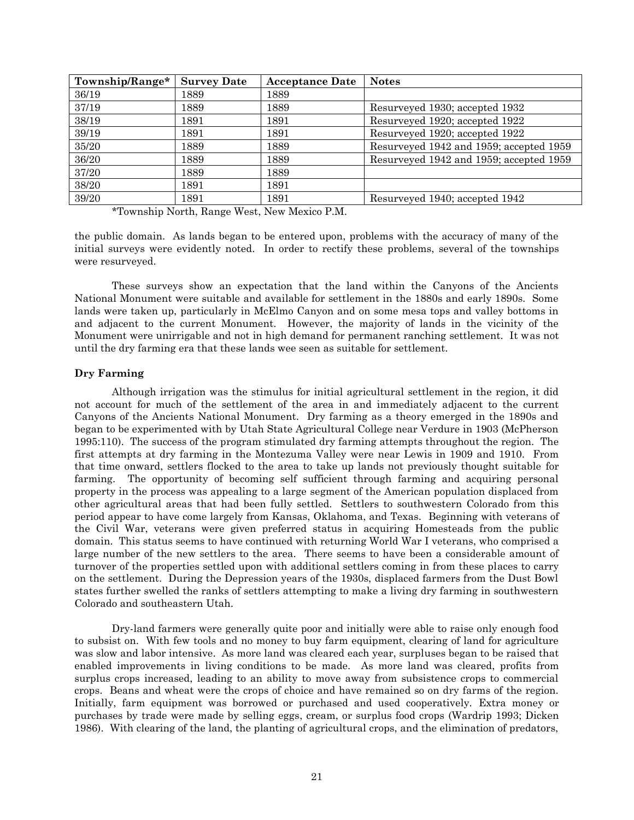| Township/Range* | <b>Survey Date</b> | <b>Acceptance Date</b> | <b>Notes</b>                            |
|-----------------|--------------------|------------------------|-----------------------------------------|
| 36/19           | 1889               | 1889                   |                                         |
| 37/19           | 1889               | 1889                   | Resurveyed 1930; accepted 1932          |
| 38/19           | 1891               | 1891                   | Resurveyed 1920; accepted 1922          |
| 39/19           | 1891               | 1891                   | Resurveyed 1920; accepted 1922          |
| 35/20           | 1889               | 1889                   | Resurveyed 1942 and 1959; accepted 1959 |
| 36/20           | 1889               | 1889                   | Resurveyed 1942 and 1959; accepted 1959 |
| 37/20           | 1889               | 1889                   |                                         |
| 38/20           | 1891               | 1891                   |                                         |
| 39/20           | 1891               | 1891                   | Resurveyed 1940; accepted 1942          |

\*Township North, Range West, New Mexico P.M.

the public domain. As lands began to be entered upon, problems with the accuracy of many of the initial surveys were evidently noted. In order to rectify these problems, several of the townships were resurveyed.

These surveys show an expectation that the land within the Canyons of the Ancients National Monument were suitable and available for settlement in the 1880s and early 1890s. Some lands were taken up, particularly in McElmo Canyon and on some mesa tops and valley bottoms in and adjacent to the current Monument. However, the majority of lands in the vicinity of the Monument were unirrigable and not in high demand for permanent ranching settlement. It was not until the dry farming era that these lands wee seen as suitable for settlement.

# <span id="page-23-0"></span>**Dry Farming**

Although irrigation was the stimulus for initial agricultural settlement in the region, it did not account for much of the settlement of the area in and immediately adjacent to the current Canyons of the Ancients National Monument. Dry farming as a theory emerged in the 1890s and began to be experimented with by Utah State Agricultural College near Verdure in 1903 (McPherson 1995:110). The success of the program stimulated dry farming attempts throughout the region. The first attempts at dry farming in the Montezuma Valley were near Lewis in 1909 and 1910. From that time onward, settlers flocked to the area to take up lands not previously thought suitable for farming. The opportunity of becoming self sufficient through farming and acquiring personal property in the process was appealing to a large segment of the American population displaced from other agricultural areas that had been fully settled. Settlers to southwestern Colorado from this period appear to have come largely from Kansas, Oklahoma, and Texas. Beginning with veterans of the Civil War, veterans were given preferred status in acquiring Homesteads from the public domain. This status seems to have continued with returning World War I veterans, who comprised a large number of the new settlers to the area. There seems to have been a considerable amount of turnover of the properties settled upon with additional settlers coming in from these places to carry on the settlement. During the Depression years of the 1930s, displaced farmers from the Dust Bowl states further swelled the ranks of settlers attempting to make a living dry farming in southwestern Colorado and southeastern Utah.

Dry-land farmers were generally quite poor and initially were able to raise only enough food to subsist on. With few tools and no money to buy farm equipment, clearing of land for agriculture was slow and labor intensive. As more land was cleared each year, surpluses began to be raised that enabled improvements in living conditions to be made. As more land was cleared, profits from surplus crops increased, leading to an ability to move away from subsistence crops to commercial crops. Beans and wheat were the crops of choice and have remained so on dry farms of the region. Initially, farm equipment was borrowed or purchased and used cooperatively. Extra money or purchases by trade were made by selling eggs, cream, or surplus food crops (Wardrip 1993; Dicken 1986). With clearing of the land, the planting of agricultural crops, and the elimination of predators,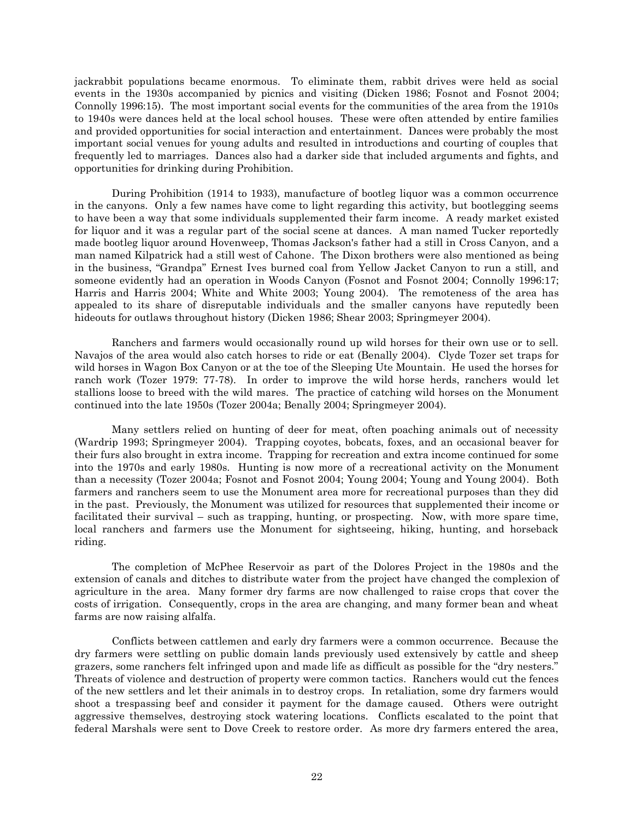jackrabbit populations became enormous. To eliminate them, rabbit drives were held as social events in the 1930s accompanied by picnics and visiting (Dicken 1986; Fosnot and Fosnot 2004; Connolly 1996:15). The most important social events for the communities of the area from the 1910s to 1940s were dances held at the local school houses. These were often attended by entire families and provided opportunities for social interaction and entertainment. Dances were probably the most important social venues for young adults and resulted in introductions and courting of couples that frequently led to marriages. Dances also had a darker side that included arguments and fights, and opportunities for drinking during Prohibition.

During Prohibition (1914 to 1933), manufacture of bootleg liquor was a common occurrence in the canyons. Only a few names have come to light regarding this activity, but bootlegging seems to have been a way that some individuals supplemented their farm income. A ready market existed for liquor and it was a regular part of the social scene at dances. A man named Tucker reportedly made bootleg liquor around Hovenweep, Thomas Jackson's father had a still in Cross Canyon, and a man named Kilpatrick had a still west of Cahone. The Dixon brothers were also mentioned as being in the business, "Grandpa" Ernest Ives burned coal from Yellow Jacket Canyon to run a still, and someone evidently had an operation in Woods Canyon (Fosnot and Fosnot 2004; Connolly 1996:17; Harris and Harris 2004; White and White 2003; Young 2004). The remoteness of the area has appealed to its share of disreputable individuals and the smaller canyons have reputedly been hideouts for outlaws throughout history (Dicken 1986; Shear 2003; Springmeyer 2004).

Ranchers and farmers would occasionally round up wild horses for their own use or to sell. Navajos of the area would also catch horses to ride or eat (Benally 2004). Clyde Tozer set traps for wild horses in Wagon Box Canyon or at the toe of the Sleeping Ute Mountain. He used the horses for ranch work (Tozer 1979: 77-78). In order to improve the wild horse herds, ranchers would let stallions loose to breed with the wild mares. The practice of catching wild horses on the Monument continued into the late 1950s (Tozer 2004a; Benally 2004; Springmeyer 2004).

Many settlers relied on hunting of deer for meat, often poaching animals out of necessity (Wardrip 1993; Springmeyer 2004). Trapping coyotes, bobcats, foxes, and an occasional beaver for their furs also brought in extra income. Trapping for recreation and extra income continued for some into the 1970s and early 1980s. Hunting is now more of a recreational activity on the Monument than a necessity (Tozer 2004a; Fosnot and Fosnot 2004; Young 2004; Young and Young 2004). Both farmers and ranchers seem to use the Monument area more for recreational purposes than they did in the past. Previously, the Monument was utilized for resources that supplemented their income or facilitated their survival – such as trapping, hunting, or prospecting. Now, with more spare time, local ranchers and farmers use the Monument for sightseeing, hiking, hunting, and horseback riding.

The completion of McPhee Reservoir as part of the Dolores Project in the 1980s and the extension of canals and ditches to distribute water from the project have changed the complexion of agriculture in the area. Many former dry farms are now challenged to raise crops that cover the costs of irrigation. Consequently, crops in the area are changing, and many former bean and wheat farms are now raising alfalfa.

Conflicts between cattlemen and early dry farmers were a common occurrence. Because the dry farmers were settling on public domain lands previously used extensively by cattle and sheep grazers, some ranchers felt infringed upon and made life as difficult as possible for the "dry nesters." Threats of violence and destruction of property were common tactics. Ranchers would cut the fences of the new settlers and let their animals in to destroy crops. In retaliation, some dry farmers would shoot a trespassing beef and consider it payment for the damage caused. Others were outright aggressive themselves, destroying stock watering locations. Conflicts escalated to the point that federal Marshals were sent to Dove Creek to restore order. As more dry farmers entered the area,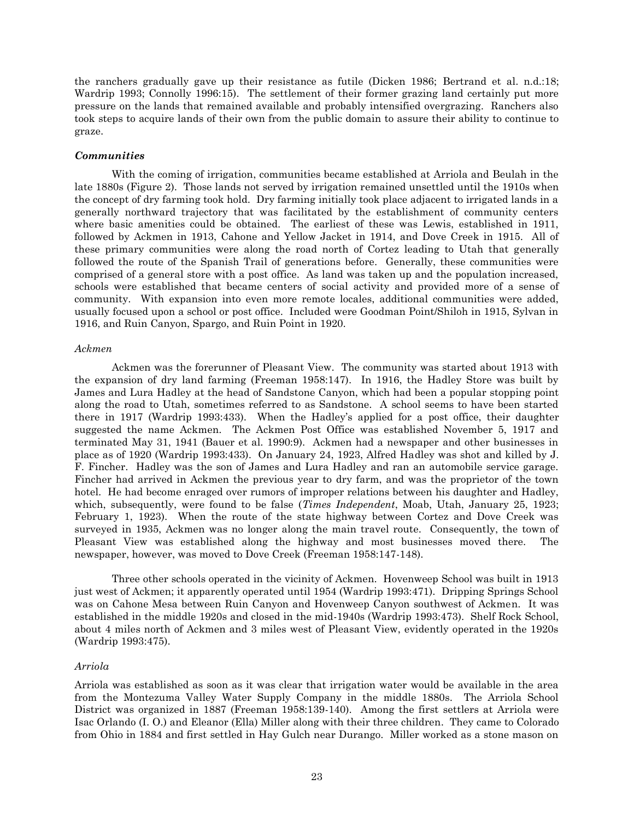the ranchers gradually gave up their resistance as futile (Dicken 1986; Bertrand et al. n.d.:18; Wardrip 1993; Connolly 1996:15). The settlement of their former grazing land certainly put more pressure on the lands that remained available and probably intensified overgrazing. Ranchers also took steps to acquire lands of their own from the public domain to assure their ability to continue to graze.

# <span id="page-25-0"></span>*Communities*

With the coming of irrigation, communities became established at Arriola and Beulah in the late 1880s [\(Figure 2\)](#page-26-0). Those lands not served by irrigation remained unsettled until the 1910s when the concept of dry farming took hold. Dry farming initially took place adjacent to irrigated lands in a generally northward trajectory that was facilitated by the establishment of community centers where basic amenities could be obtained. The earliest of these was Lewis, established in 1911, followed by Ackmen in 1913, Cahone and Yellow Jacket in 1914, and Dove Creek in 1915. All of these primary communities were along the road north of Cortez leading to Utah that generally followed the route of the Spanish Trail of generations before. Generally, these communities were comprised of a general store with a post office. As land was taken up and the population increased, schools were established that became centers of social activity and provided more of a sense of community. With expansion into even more remote locales, additional communities were added, usually focused upon a school or post office. Included were Goodman Point/Shiloh in 1915, Sylvan in 1916, and Ruin Canyon, Spargo, and Ruin Point in 1920.

#### *Ackmen*

Ackmen was the forerunner of Pleasant View. The community was started about 1913 with the expansion of dry land farming (Freeman 1958:147). In 1916, the Hadley Store was built by James and Lura Hadley at the head of Sandstone Canyon, which had been a popular stopping point along the road to Utah, sometimes referred to as Sandstone. A school seems to have been started there in 1917 (Wardrip 1993:433). When the Hadley's applied for a post office, their daughter suggested the name Ackmen. The Ackmen Post Office was established November 5, 1917 and terminated May 31, 1941 (Bauer et al. 1990:9). Ackmen had a newspaper and other businesses in place as of 1920 (Wardrip 1993:433). On January 24, 1923, Alfred Hadley was shot and killed by J. F. Fincher. Hadley was the son of James and Lura Hadley and ran an automobile service garage. Fincher had arrived in Ackmen the previous year to dry farm, and was the proprietor of the town hotel. He had become enraged over rumors of improper relations between his daughter and Hadley, which, subsequently, were found to be false (*Times Independent*, Moab, Utah, January 25, 1923; February 1, 1923). When the route of the state highway between Cortez and Dove Creek was surveyed in 1935, Ackmen was no longer along the main travel route. Consequently, the town of Pleasant View was established along the highway and most businesses moved there. The newspaper, however, was moved to Dove Creek (Freeman 1958:147-148).

Three other schools operated in the vicinity of Ackmen. Hovenweep School was built in 1913 just west of Ackmen; it apparently operated until 1954 (Wardrip 1993:471). Dripping Springs School was on Cahone Mesa between Ruin Canyon and Hovenweep Canyon southwest of Ackmen. It was established in the middle 1920s and closed in the mid-1940s (Wardrip 1993:473). Shelf Rock School, about 4 miles north of Ackmen and 3 miles west of Pleasant View, evidently operated in the 1920s (Wardrip 1993:475).

#### *Arriola*

Arriola was established as soon as it was clear that irrigation water would be available in the area from the Montezuma Valley Water Supply Company in the middle 1880s. The Arriola School District was organized in 1887 (Freeman 1958:139-140). Among the first settlers at Arriola were Isac Orlando (I. O.) and Eleanor (Ella) Miller along with their three children. They came to Colorado from Ohio in 1884 and first settled in Hay Gulch near Durango. Miller worked as a stone mason on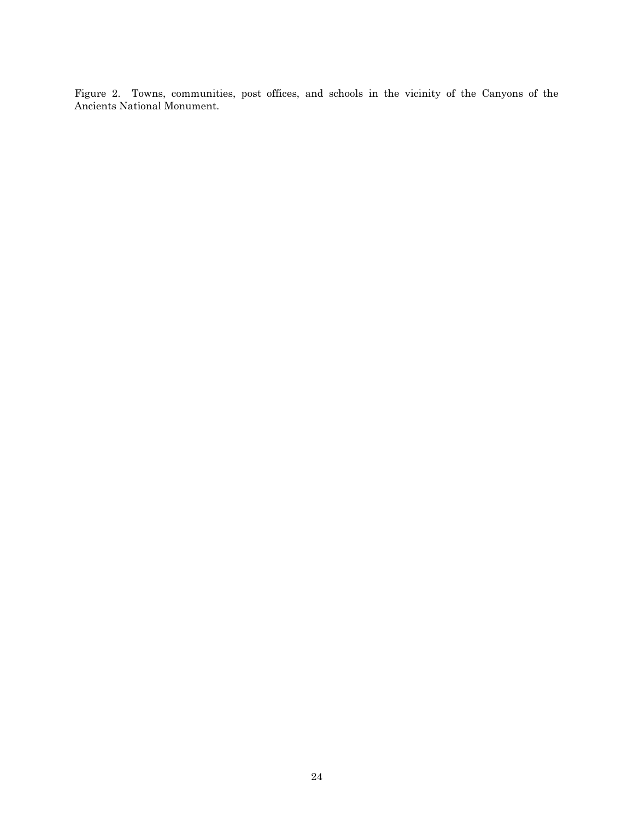<span id="page-26-0"></span>Figure 2. Towns, communities, post offices, and schools in the vicinity of the Canyons of the Ancients National Monument.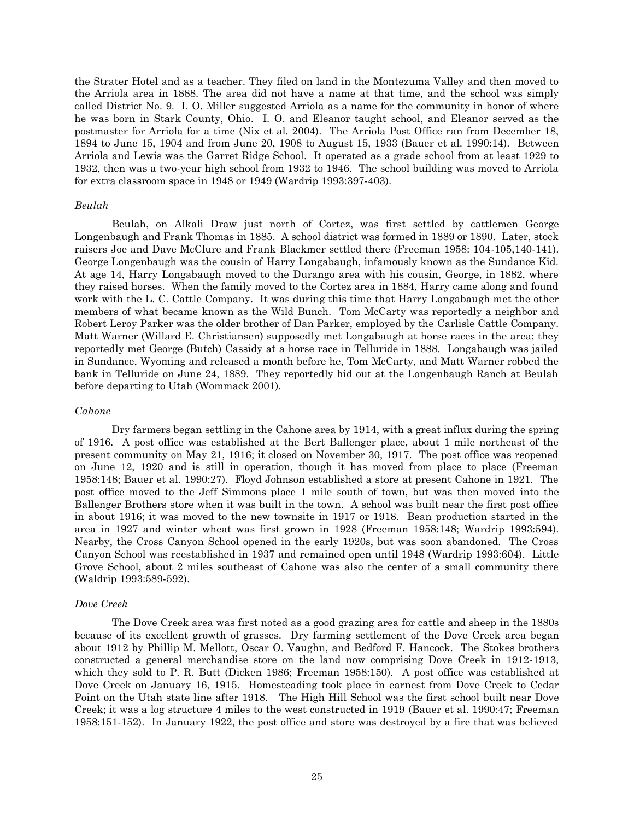the Strater Hotel and as a teacher. They filed on land in the Montezuma Valley and then moved to the Arriola area in 1888. The area did not have a name at that time, and the school was simply called District No. 9. I. O. Miller suggested Arriola as a name for the community in honor of where he was born in Stark County, Ohio. I. O. and Eleanor taught school, and Eleanor served as the postmaster for Arriola for a time (Nix et al. 2004). The Arriola Post Office ran from December 18, 1894 to June 15, 1904 and from June 20, 1908 to August 15, 1933 (Bauer et al. 1990:14). Between Arriola and Lewis was the Garret Ridge School. It operated as a grade school from at least 1929 to 1932, then was a two-year high school from 1932 to 1946. The school building was moved to Arriola for extra classroom space in 1948 or 1949 (Wardrip 1993:397-403).

### *Beulah*

Beulah, on Alkali Draw just north of Cortez, was first settled by cattlemen George Longenbaugh and Frank Thomas in 1885. A school district was formed in 1889 or 1890. Later, stock raisers Joe and Dave McClure and Frank Blackmer settled there (Freeman 1958: 104-105,140-141). George Longenbaugh was the cousin of Harry Longabaugh, infamously known as the Sundance Kid. At age 14, Harry Longabaugh moved to the Durango area with his cousin, George, in 1882, where they raised horses. When the family moved to the Cortez area in 1884, Harry came along and found work with the L. C. Cattle Company. It was during this time that Harry Longabaugh met the other members of what became known as the Wild Bunch. Tom McCarty was reportedly a neighbor and Robert Leroy Parker was the older brother of Dan Parker, employed by the Carlisle Cattle Company. Matt Warner (Willard E. Christiansen) supposedly met Longabaugh at horse races in the area; they reportedly met George (Butch) Cassidy at a horse race in Telluride in 1888. Longabaugh was jailed in Sundance, Wyoming and released a month before he, Tom McCarty, and Matt Warner robbed the bank in Telluride on June 24, 1889. They reportedly hid out at the Longenbaugh Ranch at Beulah before departing to Utah (Wommack 2001).

### *Cahone*

Dry farmers began settling in the Cahone area by 1914, with a great influx during the spring of 1916. A post office was established at the Bert Ballenger place, about 1 mile northeast of the present community on May 21, 1916; it closed on November 30, 1917. The post office was reopened on June 12, 1920 and is still in operation, though it has moved from place to place (Freeman 1958:148; Bauer et al. 1990:27). Floyd Johnson established a store at present Cahone in 1921. The post office moved to the Jeff Simmons place 1 mile south of town, but was then moved into the Ballenger Brothers store when it was built in the town. A school was built near the first post office in about 1916; it was moved to the new townsite in 1917 or 1918. Bean production started in the area in 1927 and winter wheat was first grown in 1928 (Freeman 1958:148; Wardrip 1993:594). Nearby, the Cross Canyon School opened in the early 1920s, but was soon abandoned. The Cross Canyon School was reestablished in 1937 and remained open until 1948 (Wardrip 1993:604). Little Grove School, about 2 miles southeast of Cahone was also the center of a small community there (Waldrip 1993:589-592).

# *Dove Creek*

The Dove Creek area was first noted as a good grazing area for cattle and sheep in the 1880s because of its excellent growth of grasses. Dry farming settlement of the Dove Creek area began about 1912 by Phillip M. Mellott, Oscar O. Vaughn, and Bedford F. Hancock. The Stokes brothers constructed a general merchandise store on the land now comprising Dove Creek in 1912-1913, which they sold to P. R. Butt (Dicken 1986; Freeman 1958:150). A post office was established at Dove Creek on January 16, 1915. Homesteading took place in earnest from Dove Creek to Cedar Point on the Utah state line after 1918. The High Hill School was the first school built near Dove Creek; it was a log structure 4 miles to the west constructed in 1919 (Bauer et al. 1990:47; Freeman 1958:151-152). In January 1922, the post office and store was destroyed by a fire that was believed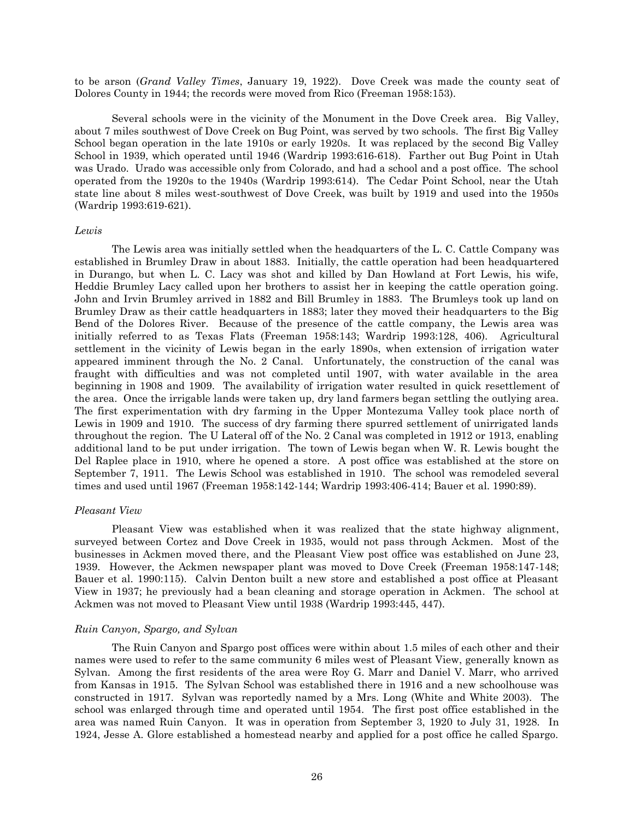to be arson (*Grand Valley Times*, January 19, 1922). Dove Creek was made the county seat of Dolores County in 1944; the records were moved from Rico (Freeman 1958:153).

Several schools were in the vicinity of the Monument in the Dove Creek area. Big Valley, about 7 miles southwest of Dove Creek on Bug Point, was served by two schools. The first Big Valley School began operation in the late 1910s or early 1920s. It was replaced by the second Big Valley School in 1939, which operated until 1946 (Wardrip 1993:616-618). Farther out Bug Point in Utah was Urado. Urado was accessible only from Colorado, and had a school and a post office. The school operated from the 1920s to the 1940s (Wardrip 1993:614). The Cedar Point School, near the Utah state line about 8 miles west-southwest of Dove Creek, was built by 1919 and used into the 1950s (Wardrip 1993:619-621).

#### *Lewis*

The Lewis area was initially settled when the headquarters of the L. C. Cattle Company was established in Brumley Draw in about 1883. Initially, the cattle operation had been headquartered in Durango, but when L. C. Lacy was shot and killed by Dan Howland at Fort Lewis, his wife, Heddie Brumley Lacy called upon her brothers to assist her in keeping the cattle operation going. John and Irvin Brumley arrived in 1882 and Bill Brumley in 1883. The Brumleys took up land on Brumley Draw as their cattle headquarters in 1883; later they moved their headquarters to the Big Bend of the Dolores River. Because of the presence of the cattle company, the Lewis area was initially referred to as Texas Flats (Freeman 1958:143; Wardrip 1993:128, 406). Agricultural settlement in the vicinity of Lewis began in the early 1890s, when extension of irrigation water appeared imminent through the No. 2 Canal. Unfortunately, the construction of the canal was fraught with difficulties and was not completed until 1907, with water available in the area beginning in 1908 and 1909. The availability of irrigation water resulted in quick resettlement of the area. Once the irrigable lands were taken up, dry land farmers began settling the outlying area. The first experimentation with dry farming in the Upper Montezuma Valley took place north of Lewis in 1909 and 1910. The success of dry farming there spurred settlement of unirrigated lands throughout the region. The U Lateral off of the No. 2 Canal was completed in 1912 or 1913, enabling additional land to be put under irrigation. The town of Lewis began when W. R. Lewis bought the Del Raplee place in 1910, where he opened a store. A post office was established at the store on September 7, 1911. The Lewis School was established in 1910. The school was remodeled several times and used until 1967 (Freeman 1958:142-144; Wardrip 1993:406-414; Bauer et al. 1990:89).

#### *Pleasant View*

Pleasant View was established when it was realized that the state highway alignment, surveyed between Cortez and Dove Creek in 1935, would not pass through Ackmen. Most of the businesses in Ackmen moved there, and the Pleasant View post office was established on June 23, 1939. However, the Ackmen newspaper plant was moved to Dove Creek (Freeman 1958:147-148; Bauer et al. 1990:115). Calvin Denton built a new store and established a post office at Pleasant View in 1937; he previously had a bean cleaning and storage operation in Ackmen. The school at Ackmen was not moved to Pleasant View until 1938 (Wardrip 1993:445, 447).

#### *Ruin Canyon, Spargo, and Sylvan*

The Ruin Canyon and Spargo post offices were within about 1.5 miles of each other and their names were used to refer to the same community 6 miles west of Pleasant View, generally known as Sylvan. Among the first residents of the area were Roy G. Marr and Daniel V. Marr, who arrived from Kansas in 1915. The Sylvan School was established there in 1916 and a new schoolhouse was constructed in 1917. Sylvan was reportedly named by a Mrs. Long (White and White 2003). The school was enlarged through time and operated until 1954. The first post office established in the area was named Ruin Canyon. It was in operation from September 3, 1920 to July 31, 1928. In 1924, Jesse A. Glore established a homestead nearby and applied for a post office he called Spargo.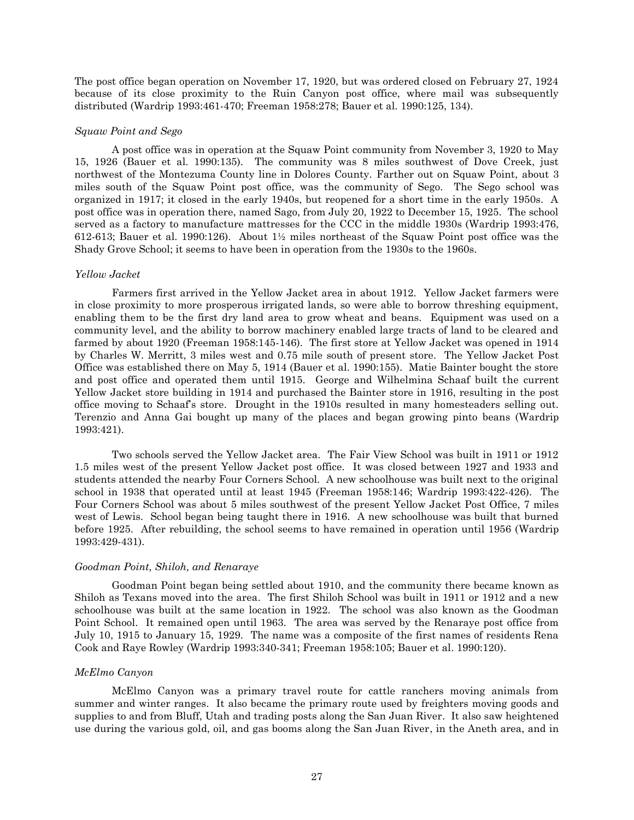The post office began operation on November 17, 1920, but was ordered closed on February 27, 1924 because of its close proximity to the Ruin Canyon post office, where mail was subsequently distributed (Wardrip 1993:461-470; Freeman 1958:278; Bauer et al. 1990:125, 134).

#### *Squaw Point and Sego*

A post office was in operation at the Squaw Point community from November 3, 1920 to May 15, 1926 (Bauer et al. 1990:135). The community was 8 miles southwest of Dove Creek, just northwest of the Montezuma County line in Dolores County. Farther out on Squaw Point, about 3 miles south of the Squaw Point post office, was the community of Sego. The Sego school was organized in 1917; it closed in the early 1940s, but reopened for a short time in the early 1950s. A post office was in operation there, named Sago, from July 20, 1922 to December 15, 1925. The school served as a factory to manufacture mattresses for the CCC in the middle 1930s (Wardrip 1993:476, 612-613; Bauer et al. 1990:126). About 1½ miles northeast of the Squaw Point post office was the Shady Grove School; it seems to have been in operation from the 1930s to the 1960s.

### *Yellow Jacket*

Farmers first arrived in the Yellow Jacket area in about 1912. Yellow Jacket farmers were in close proximity to more prosperous irrigated lands, so were able to borrow threshing equipment, enabling them to be the first dry land area to grow wheat and beans. Equipment was used on a community level, and the ability to borrow machinery enabled large tracts of land to be cleared and farmed by about 1920 (Freeman 1958:145-146). The first store at Yellow Jacket was opened in 1914 by Charles W. Merritt, 3 miles west and 0.75 mile south of present store. The Yellow Jacket Post Office was established there on May 5, 1914 (Bauer et al. 1990:155). Matie Bainter bought the store and post office and operated them until 1915. George and Wilhelmina Schaaf built the current Yellow Jacket store building in 1914 and purchased the Bainter store in 1916, resulting in the post office moving to Schaaf's store. Drought in the 1910s resulted in many homesteaders selling out. Terenzio and Anna Gai bought up many of the places and began growing pinto beans (Wardrip 1993:421).

Two schools served the Yellow Jacket area. The Fair View School was built in 1911 or 1912 1.5 miles west of the present Yellow Jacket post office. It was closed between 1927 and 1933 and students attended the nearby Four Corners School. A new schoolhouse was built next to the original school in 1938 that operated until at least 1945 (Freeman 1958:146; Wardrip 1993:422-426). The Four Corners School was about 5 miles southwest of the present Yellow Jacket Post Office, 7 miles west of Lewis. School began being taught there in 1916. A new schoolhouse was built that burned before 1925. After rebuilding, the school seems to have remained in operation until 1956 (Wardrip 1993:429-431).

# *Goodman Point, Shiloh, and Renaraye*

Goodman Point began being settled about 1910, and the community there became known as Shiloh as Texans moved into the area. The first Shiloh School was built in 1911 or 1912 and a new schoolhouse was built at the same location in 1922. The school was also known as the Goodman Point School. It remained open until 1963. The area was served by the Renaraye post office from July 10, 1915 to January 15, 1929. The name was a composite of the first names of residents Rena Cook and Raye Rowley (Wardrip 1993:340-341; Freeman 1958:105; Bauer et al. 1990:120).

# *McElmo Canyon*

McElmo Canyon was a primary travel route for cattle ranchers moving animals from summer and winter ranges. It also became the primary route used by freighters moving goods and supplies to and from Bluff, Utah and trading posts along the San Juan River. It also saw heightened use during the various gold, oil, and gas booms along the San Juan River, in the Aneth area, and in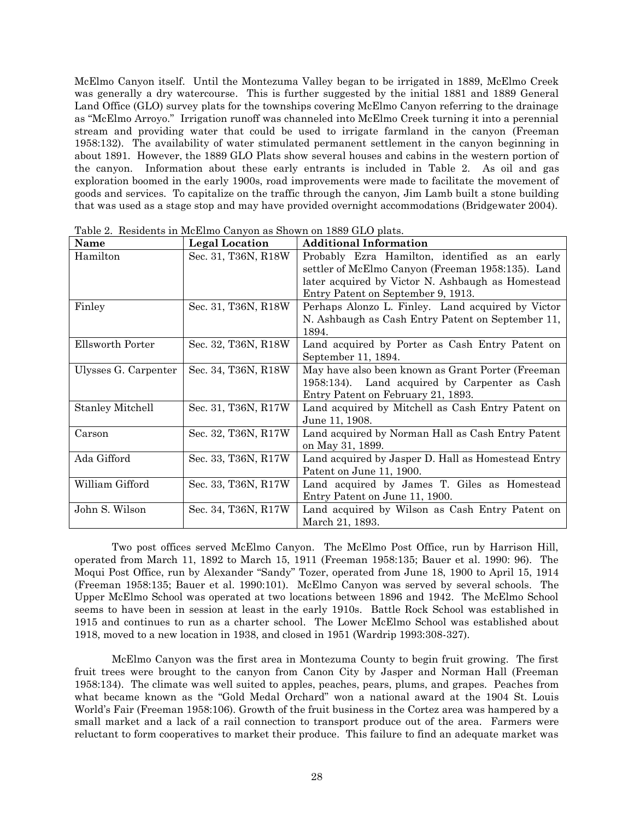McElmo Canyon itself. Until the Montezuma Valley began to be irrigated in 1889, McElmo Creek was generally a dry watercourse. This is further suggested by the initial 1881 and 1889 General Land Office (GLO) survey plats for the townships covering McElmo Canyon referring to the drainage as "McElmo Arroyo." Irrigation runoff was channeled into McElmo Creek turning it into a perennial stream and providing water that could be used to irrigate farmland in the canyon (Freeman 1958:132). The availability of water stimulated permanent settlement in the canyon beginning in about 1891. However, the 1889 GLO Plats show several houses and cabins in the western portion of the canyon. Information about these early entrants is included in [Table 2.](#page-30-0) As oil and gas exploration boomed in the early 1900s, road improvements were made to facilitate the movement of goods and services. To capitalize on the traffic through the canyon, Jim Lamb built a stone building that was used as a stage stop and may have provided overnight accommodations (Bridgewater 2004).

| Name                    | <b>Legal Location</b> | <b>Additional Information</b>                      |
|-------------------------|-----------------------|----------------------------------------------------|
| Hamilton                | Sec. 31, T36N, R18W   | Probably Ezra Hamilton, identified as an early     |
|                         |                       | settler of McElmo Canyon (Freeman 1958:135). Land  |
|                         |                       | later acquired by Victor N. Ashbaugh as Homestead  |
|                         |                       | Entry Patent on September 9, 1913.                 |
| Finley                  | Sec. 31, T36N, R18W   | Perhaps Alonzo L. Finley. Land acquired by Victor  |
|                         |                       | N. Ashbaugh as Cash Entry Patent on September 11,  |
|                         |                       | 1894.                                              |
| Ellsworth Porter        | Sec. 32, T36N, R18W   | Land acquired by Porter as Cash Entry Patent on    |
|                         |                       | September 11, 1894.                                |
| Ulysses G. Carpenter    | Sec. 34, T36N, R18W   | May have also been known as Grant Porter (Freeman  |
|                         |                       | 1958:134). Land acquired by Carpenter as Cash      |
|                         |                       | Entry Patent on February 21, 1893.                 |
| <b>Stanley Mitchell</b> | Sec. 31, T36N, R17W   | Land acquired by Mitchell as Cash Entry Patent on  |
|                         |                       | June 11, 1908.                                     |
| Carson                  | Sec. 32, T36N, R17W   | Land acquired by Norman Hall as Cash Entry Patent  |
|                         |                       | on May 31, 1899.                                   |
| Ada Gifford             | Sec. 33, T36N, R17W   | Land acquired by Jasper D. Hall as Homestead Entry |
|                         |                       | Patent on June 11, 1900.                           |
| William Gifford         | Sec. 33, T36N, R17W   | Land acquired by James T. Giles as Homestead       |
|                         |                       | Entry Patent on June 11, 1900.                     |
| John S. Wilson          | Sec. 34, T36N, R17W   | Land acquired by Wilson as Cash Entry Patent on    |
|                         |                       | March 21, 1893.                                    |

<span id="page-30-0"></span>Table 2. Residents in McElmo Canyon as Shown on 1889 GLO plats.

Two post offices served McElmo Canyon. The McElmo Post Office, run by Harrison Hill, operated from March 11, 1892 to March 15, 1911 (Freeman 1958:135; Bauer et al. 1990: 96). The Moqui Post Office, run by Alexander "Sandy" Tozer, operated from June 18, 1900 to April 15, 1914 (Freeman 1958:135; Bauer et al. 1990:101). McElmo Canyon was served by several schools. The Upper McElmo School was operated at two locations between 1896 and 1942. The McElmo School seems to have been in session at least in the early 1910s. Battle Rock School was established in 1915 and continues to run as a charter school. The Lower McElmo School was established about 1918, moved to a new location in 1938, and closed in 1951 (Wardrip 1993:308-327).

McElmo Canyon was the first area in Montezuma County to begin fruit growing. The first fruit trees were brought to the canyon from Canon City by Jasper and Norman Hall (Freeman 1958:134). The climate was well suited to apples, peaches, pears, plums, and grapes. Peaches from what became known as the "Gold Medal Orchard" won a national award at the 1904 St. Louis World's Fair (Freeman 1958:106). Growth of the fruit business in the Cortez area was hampered by a small market and a lack of a rail connection to transport produce out of the area. Farmers were reluctant to form cooperatives to market their produce. This failure to find an adequate market was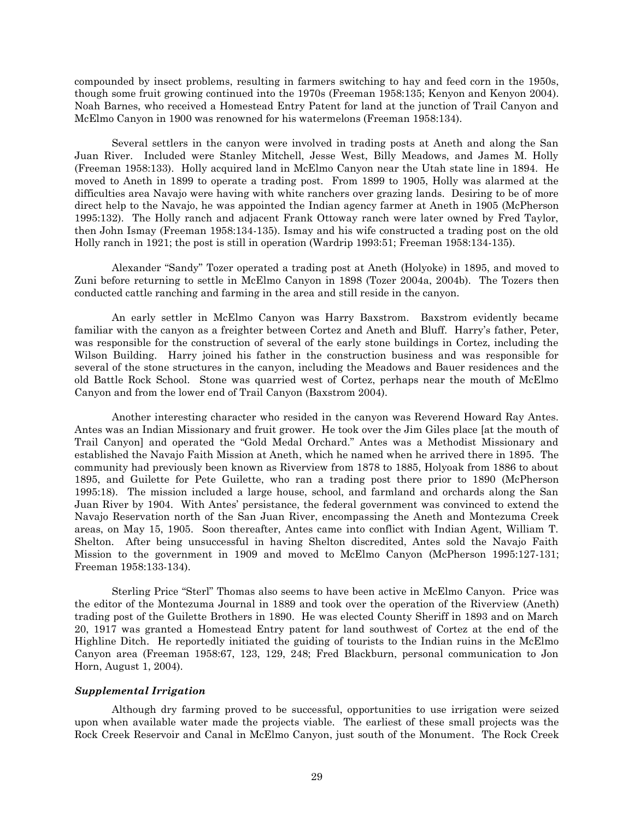compounded by insect problems, resulting in farmers switching to hay and feed corn in the 1950s, though some fruit growing continued into the 1970s (Freeman 1958:135; Kenyon and Kenyon 2004). Noah Barnes, who received a Homestead Entry Patent for land at the junction of Trail Canyon and McElmo Canyon in 1900 was renowned for his watermelons (Freeman 1958:134).

Several settlers in the canyon were involved in trading posts at Aneth and along the San Juan River. Included were Stanley Mitchell, Jesse West, Billy Meadows, and James M. Holly (Freeman 1958:133). Holly acquired land in McElmo Canyon near the Utah state line in 1894. He moved to Aneth in 1899 to operate a trading post. From 1899 to 1905, Holly was alarmed at the difficulties area Navajo were having with white ranchers over grazing lands. Desiring to be of more direct help to the Navajo, he was appointed the Indian agency farmer at Aneth in 1905 (McPherson 1995:132). The Holly ranch and adjacent Frank Ottoway ranch were later owned by Fred Taylor, then John Ismay (Freeman 1958:134-135). Ismay and his wife constructed a trading post on the old Holly ranch in 1921; the post is still in operation (Wardrip 1993:51; Freeman 1958:134-135).

Alexander "Sandy" Tozer operated a trading post at Aneth (Holyoke) in 1895, and moved to Zuni before returning to settle in McElmo Canyon in 1898 (Tozer 2004a, 2004b). The Tozers then conducted cattle ranching and farming in the area and still reside in the canyon.

An early settler in McElmo Canyon was Harry Baxstrom. Baxstrom evidently became familiar with the canyon as a freighter between Cortez and Aneth and Bluff. Harry's father, Peter, was responsible for the construction of several of the early stone buildings in Cortez, including the Wilson Building. Harry joined his father in the construction business and was responsible for several of the stone structures in the canyon, including the Meadows and Bauer residences and the old Battle Rock School. Stone was quarried west of Cortez, perhaps near the mouth of McElmo Canyon and from the lower end of Trail Canyon (Baxstrom 2004).

Another interesting character who resided in the canyon was Reverend Howard Ray Antes. Antes was an Indian Missionary and fruit grower. He took over the Jim Giles place [at the mouth of Trail Canyon] and operated the "Gold Medal Orchard." Antes was a Methodist Missionary and established the Navajo Faith Mission at Aneth, which he named when he arrived there in 1895. The community had previously been known as Riverview from 1878 to 1885, Holyoak from 1886 to about 1895, and Guilette for Pete Guilette, who ran a trading post there prior to 1890 (McPherson 1995:18). The mission included a large house, school, and farmland and orchards along the San Juan River by 1904. With Antes' persistance, the federal government was convinced to extend the Navajo Reservation north of the San Juan River, encompassing the Aneth and Montezuma Creek areas, on May 15, 1905. Soon thereafter, Antes came into conflict with Indian Agent, William T. Shelton. After being unsuccessful in having Shelton discredited, Antes sold the Navajo Faith Mission to the government in 1909 and moved to McElmo Canyon (McPherson 1995:127-131; Freeman 1958:133-134).

Sterling Price "Sterl" Thomas also seems to have been active in McElmo Canyon. Price was the editor of the Montezuma Journal in 1889 and took over the operation of the Riverview (Aneth) trading post of the Guilette Brothers in 1890. He was elected County Sheriff in 1893 and on March 20, 1917 was granted a Homestead Entry patent for land southwest of Cortez at the end of the Highline Ditch. He reportedly initiated the guiding of tourists to the Indian ruins in the McElmo Canyon area (Freeman 1958:67, 123, 129, 248; Fred Blackburn, personal communication to Jon Horn, August 1, 2004).

# <span id="page-31-0"></span>*Supplemental Irrigation*

Although dry farming proved to be successful, opportunities to use irrigation were seized upon when available water made the projects viable. The earliest of these small projects was the Rock Creek Reservoir and Canal in McElmo Canyon, just south of the Monument. The Rock Creek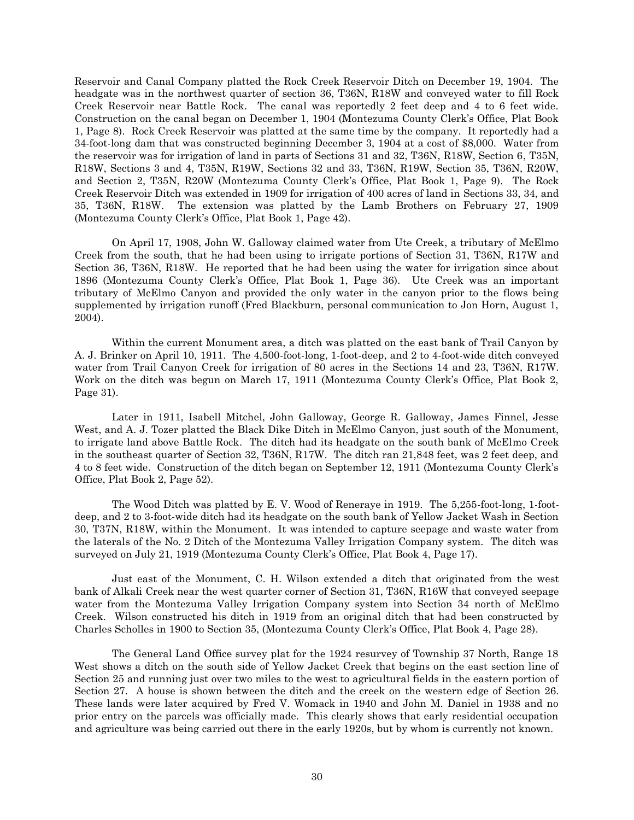Reservoir and Canal Company platted the Rock Creek Reservoir Ditch on December 19, 1904. The headgate was in the northwest quarter of section 36, T36N, R18W and conveyed water to fill Rock Creek Reservoir near Battle Rock. The canal was reportedly 2 feet deep and 4 to 6 feet wide. Construction on the canal began on December 1, 1904 (Montezuma County Clerk's Office, Plat Book 1, Page 8). Rock Creek Reservoir was platted at the same time by the company. It reportedly had a 34-foot-long dam that was constructed beginning December 3, 1904 at a cost of \$8,000. Water from the reservoir was for irrigation of land in parts of Sections 31 and 32, T36N, R18W, Section 6, T35N, R18W, Sections 3 and 4, T35N, R19W, Sections 32 and 33, T36N, R19W, Section 35, T36N, R20W, and Section 2, T35N, R20W (Montezuma County Clerk's Office, Plat Book 1, Page 9). The Rock Creek Reservoir Ditch was extended in 1909 for irrigation of 400 acres of land in Sections 33, 34, and 35, T36N, R18W. The extension was platted by the Lamb Brothers on February 27, 1909 (Montezuma County Clerk's Office, Plat Book 1, Page 42).

On April 17, 1908, John W. Galloway claimed water from Ute Creek, a tributary of McElmo Creek from the south, that he had been using to irrigate portions of Section 31, T36N, R17W and Section 36, T36N, R18W. He reported that he had been using the water for irrigation since about 1896 (Montezuma County Clerk's Office, Plat Book 1, Page 36). Ute Creek was an important tributary of McElmo Canyon and provided the only water in the canyon prior to the flows being supplemented by irrigation runoff (Fred Blackburn, personal communication to Jon Horn, August 1, 2004).

Within the current Monument area, a ditch was platted on the east bank of Trail Canyon by A. J. Brinker on April 10, 1911. The 4,500-foot-long, 1-foot-deep, and 2 to 4-foot-wide ditch conveyed water from Trail Canyon Creek for irrigation of 80 acres in the Sections 14 and 23, T36N, R17W. Work on the ditch was begun on March 17, 1911 (Montezuma County Clerk's Office, Plat Book 2, Page 31).

Later in 1911, Isabell Mitchel, John Galloway, George R. Galloway, James Finnel, Jesse West, and A. J. Tozer platted the Black Dike Ditch in McElmo Canyon, just south of the Monument, to irrigate land above Battle Rock. The ditch had its headgate on the south bank of McElmo Creek in the southeast quarter of Section 32, T36N, R17W. The ditch ran 21,848 feet, was 2 feet deep, and 4 to 8 feet wide. Construction of the ditch began on September 12, 1911 (Montezuma County Clerk's Office, Plat Book 2, Page 52).

The Wood Ditch was platted by E. V. Wood of Reneraye in 1919. The 5,255-foot-long, 1-footdeep, and 2 to 3-foot-wide ditch had its headgate on the south bank of Yellow Jacket Wash in Section 30, T37N, R18W, within the Monument. It was intended to capture seepage and waste water from the laterals of the No. 2 Ditch of the Montezuma Valley Irrigation Company system. The ditch was surveyed on July 21, 1919 (Montezuma County Clerk's Office, Plat Book 4, Page 17).

Just east of the Monument, C. H. Wilson extended a ditch that originated from the west bank of Alkali Creek near the west quarter corner of Section 31, T36N, R16W that conveyed seepage water from the Montezuma Valley Irrigation Company system into Section 34 north of McElmo Creek. Wilson constructed his ditch in 1919 from an original ditch that had been constructed by Charles Scholles in 1900 to Section 35, (Montezuma County Clerk's Office, Plat Book 4, Page 28).

The General Land Office survey plat for the 1924 resurvey of Township 37 North, Range 18 West shows a ditch on the south side of Yellow Jacket Creek that begins on the east section line of Section 25 and running just over two miles to the west to agricultural fields in the eastern portion of Section 27. A house is shown between the ditch and the creek on the western edge of Section 26. These lands were later acquired by Fred V. Womack in 1940 and John M. Daniel in 1938 and no prior entry on the parcels was officially made. This clearly shows that early residential occupation and agriculture was being carried out there in the early 1920s, but by whom is currently not known.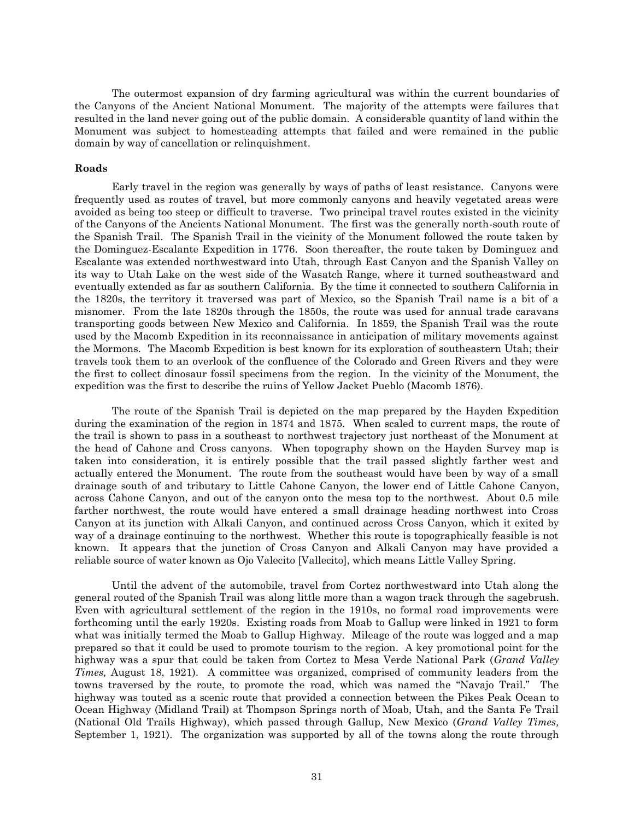The outermost expansion of dry farming agricultural was within the current boundaries of the Canyons of the Ancient National Monument. The majority of the attempts were failures that resulted in the land never going out of the public domain. A considerable quantity of land within the Monument was subject to homesteading attempts that failed and were remained in the public domain by way of cancellation or relinquishment.

### <span id="page-33-0"></span>**Roads**

Early travel in the region was generally by ways of paths of least resistance. Canyons were frequently used as routes of travel, but more commonly canyons and heavily vegetated areas were avoided as being too steep or difficult to traverse. Two principal travel routes existed in the vicinity of the Canyons of the Ancients National Monument. The first was the generally north-south route of the Spanish Trail. The Spanish Trail in the vicinity of the Monument followed the route taken by the Dominguez-Escalante Expedition in 1776. Soon thereafter, the route taken by Dominguez and Escalante was extended northwestward into Utah, through East Canyon and the Spanish Valley on its way to Utah Lake on the west side of the Wasatch Range, where it turned southeastward and eventually extended as far as southern California. By the time it connected to southern California in the 1820s, the territory it traversed was part of Mexico, so the Spanish Trail name is a bit of a misnomer. From the late 1820s through the 1850s, the route was used for annual trade caravans transporting goods between New Mexico and California. In 1859, the Spanish Trail was the route used by the Macomb Expedition in its reconnaissance in anticipation of military movements against the Mormons. The Macomb Expedition is best known for its exploration of southeastern Utah; their travels took them to an overlook of the confluence of the Colorado and Green Rivers and they were the first to collect dinosaur fossil specimens from the region. In the vicinity of the Monument, the expedition was the first to describe the ruins of Yellow Jacket Pueblo (Macomb 1876).

The route of the Spanish Trail is depicted on the map prepared by the Hayden Expedition during the examination of the region in 1874 and 1875. When scaled to current maps, the route of the trail is shown to pass in a southeast to northwest trajectory just northeast of the Monument at the head of Cahone and Cross canyons. When topography shown on the Hayden Survey map is taken into consideration, it is entirely possible that the trail passed slightly farther west and actually entered the Monument. The route from the southeast would have been by way of a small drainage south of and tributary to Little Cahone Canyon, the lower end of Little Cahone Canyon, across Cahone Canyon, and out of the canyon onto the mesa top to the northwest. About 0.5 mile farther northwest, the route would have entered a small drainage heading northwest into Cross Canyon at its junction with Alkali Canyon, and continued across Cross Canyon, which it exited by way of a drainage continuing to the northwest. Whether this route is topographically feasible is not known. It appears that the junction of Cross Canyon and Alkali Canyon may have provided a reliable source of water known as Ojo Valecito [Vallecito], which means Little Valley Spring.

Until the advent of the automobile, travel from Cortez northwestward into Utah along the general routed of the Spanish Trail was along little more than a wagon track through the sagebrush. Even with agricultural settlement of the region in the 1910s, no formal road improvements were forthcoming until the early 1920s. Existing roads from Moab to Gallup were linked in 1921 to form what was initially termed the Moab to Gallup Highway. Mileage of the route was logged and a map prepared so that it could be used to promote tourism to the region. A key promotional point for the highway was a spur that could be taken from Cortez to Mesa Verde National Park (*Grand Valley Times,* August 18, 1921). A committee was organized, comprised of community leaders from the towns traversed by the route, to promote the road, which was named the "Navajo Trail." The highway was touted as a scenic route that provided a connection between the Pikes Peak Ocean to Ocean Highway (Midland Trail) at Thompson Springs north of Moab, Utah, and the Santa Fe Trail (National Old Trails Highway), which passed through Gallup, New Mexico (*Grand Valley Times,* September 1, 1921). The organization was supported by all of the towns along the route through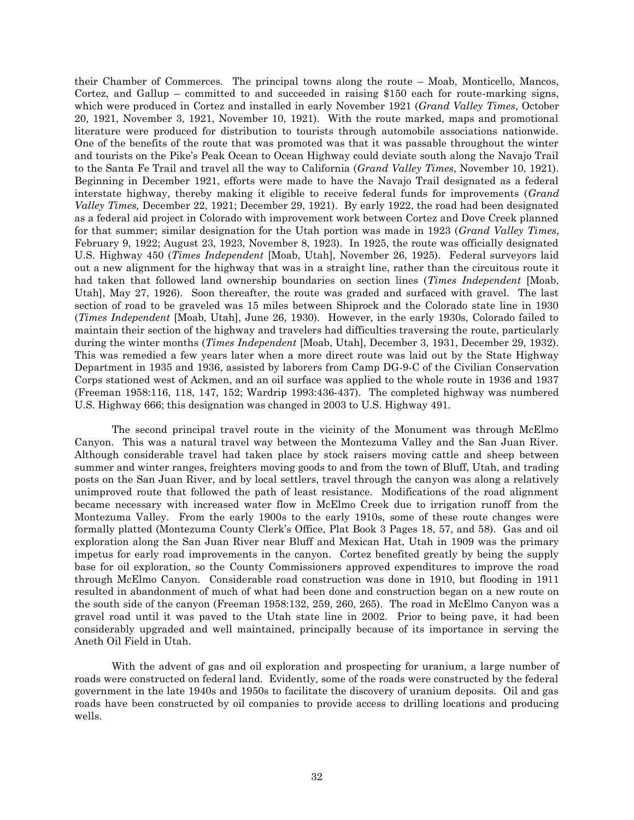their Chamber of Commerces. The principal towns along the route – Moab, Monticello, Mancos, Cortez, and Gallup – committed to and succeeded in raising \$150 each for route-marking signs, which were produced in Cortez and installed in early November 1921 (*Grand Valley Times*, October 20, 1921, November 3, 1921, November 10, 1921). With the route marked, maps and promotional literature were produced for distribution to tourists through automobile associations nationwide. One of the benefits of the route that was promoted was that it was passable throughout the winter and tourists on the Pike's Peak Ocean to Ocean Highway could deviate south along the Navajo Trail to the Santa Fe Trail and travel all the way to California (*Grand Valley Times*, November 10, 1921). Beginning in December 1921, efforts were made to have the Navajo Trail designated as a federal interstate highway, thereby making it eligible to receive federal funds for improvements (*Grand Valley Times,* December 22, 1921; December 29, 1921). By early 1922, the road had been designated as a federal aid project in Colorado with improvement work between Cortez and Dove Creek planned for that summer; similar designation for the Utah portion was made in 1923 (*Grand Valley Times*, February 9, 1922; August 23, 1923, November 8, 1923). In 1925, the route was officially designated U.S. Highway 450 (*Times Independent* [Moab, Utah], November 26, 1925). Federal surveyors laid out a new alignment for the highway that was in a straight line, rather than the circuitous route it had taken that followed land ownership boundaries on section lines (*Times Independent* [Moab, Utah], May 27, 1926). Soon thereafter, the route was graded and surfaced with gravel. The last section of road to be graveled was 15 miles between Shiprock and the Colorado state line in 1930 (*Times Independent* [Moab, Utah], June 26, 1930). However, in the early 1930s, Colorado failed to maintain their section of the highway and travelers had difficulties traversing the route, particularly during the winter months (*Times Independent* [Moab, Utah], December 3, 1931, December 29, 1932). This was remedied a few years later when a more direct route was laid out by the State Highway Department in 1935 and 1936, assisted by laborers from Camp DG-9-C of the Civilian Conservation Corps stationed west of Ackmen, and an oil surface was applied to the whole route in 1936 and 1937 (Freeman 1958:116, 118, 147, 152; Wardrip 1993:436-437). The completed highway was numbered U.S. Highway 666; this designation was changed in 2003 to U.S. Highway 491.

The second principal travel route in the vicinity of the Monument was through McElmo Canyon. This was a natural travel way between the Montezuma Valley and the San Juan River. Although considerable travel had taken place by stock raisers moving cattle and sheep between summer and winter ranges, freighters moving goods to and from the town of Bluff, Utah, and trading posts on the San Juan River, and by local settlers, travel through the canyon was along a relatively unimproved route that followed the path of least resistance. Modifications of the road alignment became necessary with increased water flow in McElmo Creek due to irrigation runoff from the Montezuma Valley. From the early 1900s to the early 1910s, some of these route changes were formally platted (Montezuma County Clerk's Office, Plat Book 3 Pages 18, 57, and 58). Gas and oil exploration along the San Juan River near Bluff and Mexican Hat, Utah in 1909 was the primary impetus for early road improvements in the canyon. Cortez benefited greatly by being the supply base for oil exploration, so the County Commissioners approved expenditures to improve the road through McElmo Canyon. Considerable road construction was done in 1910, but flooding in 1911 resulted in abandonment of much of what had been done and construction began on a new route on the south side of the canyon (Freeman 1958:132, 259, 260, 265). The road in McElmo Canyon was a gravel road until it was paved to the Utah state line in 2002. Prior to being pave, it had been considerably upgraded and well maintained, principally because of its importance in serving the Aneth Oil Field in Utah.

With the advent of gas and oil exploration and prospecting for uranium, a large number of roads were constructed on federal land. Evidently, some of the roads were constructed by the federal government in the late 1940s and 1950s to facilitate the discovery of uranium deposits. Oil and gas roads have been constructed by oil companies to provide access to drilling locations and producing wells.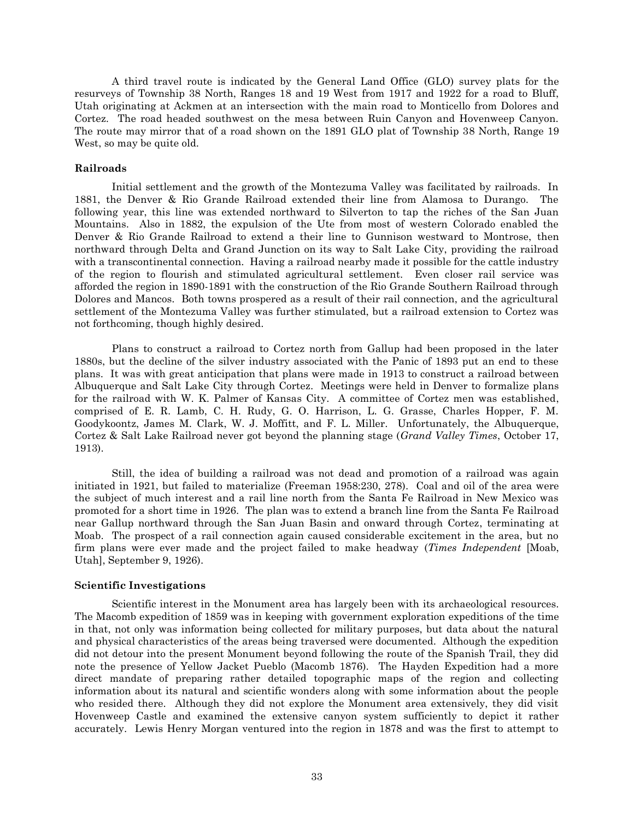A third travel route is indicated by the General Land Office (GLO) survey plats for the resurveys of Township 38 North, Ranges 18 and 19 West from 1917 and 1922 for a road to Bluff, Utah originating at Ackmen at an intersection with the main road to Monticello from Dolores and Cortez. The road headed southwest on the mesa between Ruin Canyon and Hovenweep Canyon. The route may mirror that of a road shown on the 1891 GLO plat of Township 38 North, Range 19 West, so may be quite old.

# <span id="page-35-0"></span>**Railroads**

Initial settlement and the growth of the Montezuma Valley was facilitated by railroads. In 1881, the Denver & Rio Grande Railroad extended their line from Alamosa to Durango. The following year, this line was extended northward to Silverton to tap the riches of the San Juan Mountains. Also in 1882, the expulsion of the Ute from most of western Colorado enabled the Denver & Rio Grande Railroad to extend a their line to Gunnison westward to Montrose, then northward through Delta and Grand Junction on its way to Salt Lake City, providing the railroad with a transcontinental connection. Having a railroad nearby made it possible for the cattle industry of the region to flourish and stimulated agricultural settlement. Even closer rail service was afforded the region in 1890-1891 with the construction of the Rio Grande Southern Railroad through Dolores and Mancos. Both towns prospered as a result of their rail connection, and the agricultural settlement of the Montezuma Valley was further stimulated, but a railroad extension to Cortez was not forthcoming, though highly desired.

Plans to construct a railroad to Cortez north from Gallup had been proposed in the later 1880s, but the decline of the silver industry associated with the Panic of 1893 put an end to these plans. It was with great anticipation that plans were made in 1913 to construct a railroad between Albuquerque and Salt Lake City through Cortez. Meetings were held in Denver to formalize plans for the railroad with W. K. Palmer of Kansas City. A committee of Cortez men was established, comprised of E. R. Lamb, C. H. Rudy, G. O. Harrison, L. G. Grasse, Charles Hopper, F. M. Goodykoontz, James M. Clark, W. J. Moffitt, and F. L. Miller. Unfortunately, the Albuquerque, Cortez & Salt Lake Railroad never got beyond the planning stage (*Grand Valley Times*, October 17, 1913).

Still, the idea of building a railroad was not dead and promotion of a railroad was again initiated in 1921, but failed to materialize (Freeman 1958:230, 278). Coal and oil of the area were the subject of much interest and a rail line north from the Santa Fe Railroad in New Mexico was promoted for a short time in 1926. The plan was to extend a branch line from the Santa Fe Railroad near Gallup northward through the San Juan Basin and onward through Cortez, terminating at Moab. The prospect of a rail connection again caused considerable excitement in the area, but no firm plans were ever made and the project failed to make headway (*Times Independent* [Moab, Utah], September 9, 1926).

# <span id="page-35-1"></span>**Scientific Investigations**

Scientific interest in the Monument area has largely been with its archaeological resources. The Macomb expedition of 1859 was in keeping with government exploration expeditions of the time in that, not only was information being collected for military purposes, but data about the natural and physical characteristics of the areas being traversed were documented. Although the expedition did not detour into the present Monument beyond following the route of the Spanish Trail, they did note the presence of Yellow Jacket Pueblo (Macomb 1876). The Hayden Expedition had a more direct mandate of preparing rather detailed topographic maps of the region and collecting information about its natural and scientific wonders along with some information about the people who resided there. Although they did not explore the Monument area extensively, they did visit Hovenweep Castle and examined the extensive canyon system sufficiently to depict it rather accurately. Lewis Henry Morgan ventured into the region in 1878 and was the first to attempt to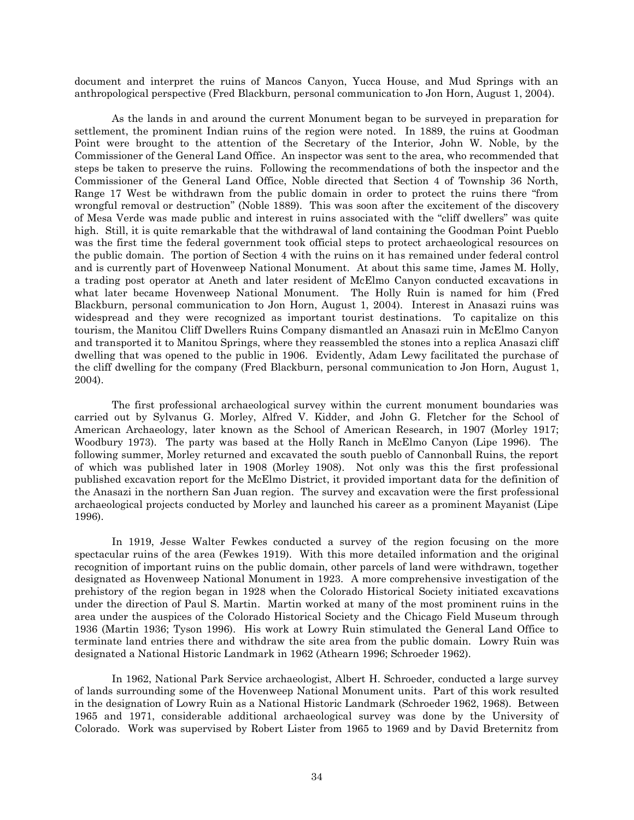document and interpret the ruins of Mancos Canyon, Yucca House, and Mud Springs with an anthropological perspective (Fred Blackburn, personal communication to Jon Horn, August 1, 2004).

As the lands in and around the current Monument began to be surveyed in preparation for settlement, the prominent Indian ruins of the region were noted. In 1889, the ruins at Goodman Point were brought to the attention of the Secretary of the Interior, John W. Noble, by the Commissioner of the General Land Office. An inspector was sent to the area, who recommended that steps be taken to preserve the ruins. Following the recommendations of both the inspector and the Commissioner of the General Land Office, Noble directed that Section 4 of Township 36 North, Range 17 West be withdrawn from the public domain in order to protect the ruins there "from wrongful removal or destruction" (Noble 1889). This was soon after the excitement of the discovery of Mesa Verde was made public and interest in ruins associated with the "cliff dwellers" was quite high. Still, it is quite remarkable that the withdrawal of land containing the Goodman Point Pueblo was the first time the federal government took official steps to protect archaeological resources on the public domain. The portion of Section 4 with the ruins on it has remained under federal control and is currently part of Hovenweep National Monument. At about this same time, James M. Holly, a trading post operator at Aneth and later resident of McElmo Canyon conducted excavations in what later became Hovenweep National Monument. The Holly Ruin is named for him (Fred Blackburn, personal communication to Jon Horn, August 1, 2004). Interest in Anasazi ruins was widespread and they were recognized as important tourist destinations. To capitalize on this tourism, the Manitou Cliff Dwellers Ruins Company dismantled an Anasazi ruin in McElmo Canyon and transported it to Manitou Springs, where they reassembled the stones into a replica Anasazi cliff dwelling that was opened to the public in 1906. Evidently, Adam Lewy facilitated the purchase of the cliff dwelling for the company (Fred Blackburn, personal communication to Jon Horn, August 1, 2004).

The first professional archaeological survey within the current monument boundaries was carried out by Sylvanus G. Morley, Alfred V. Kidder, and John G. Fletcher for the School of American Archaeology, later known as the School of American Research, in 1907 (Morley 1917; Woodbury 1973). The party was based at the Holly Ranch in McElmo Canyon (Lipe 1996). The following summer, Morley returned and excavated the south pueblo of Cannonball Ruins, the report of which was published later in 1908 (Morley 1908). Not only was this the first professional published excavation report for the McElmo District, it provided important data for the definition of the Anasazi in the northern San Juan region. The survey and excavation were the first professional archaeological projects conducted by Morley and launched his career as a prominent Mayanist (Lipe 1996).

In 1919, Jesse Walter Fewkes conducted a survey of the region focusing on the more spectacular ruins of the area (Fewkes 1919). With this more detailed information and the original recognition of important ruins on the public domain, other parcels of land were withdrawn, together designated as Hovenweep National Monument in 1923. A more comprehensive investigation of the prehistory of the region began in 1928 when the Colorado Historical Society initiated excavations under the direction of Paul S. Martin. Martin worked at many of the most prominent ruins in the area under the auspices of the Colorado Historical Society and the Chicago Field Museum through 1936 (Martin 1936; Tyson 1996). His work at Lowry Ruin stimulated the General Land Office to terminate land entries there and withdraw the site area from the public domain. Lowry Ruin was designated a National Historic Landmark in 1962 (Athearn 1996; Schroeder 1962).

In 1962, National Park Service archaeologist, Albert H. Schroeder, conducted a large survey of lands surrounding some of the Hovenweep National Monument units. Part of this work resulted in the designation of Lowry Ruin as a National Historic Landmark (Schroeder 1962, 1968). Between 1965 and 1971, considerable additional archaeological survey was done by the University of Colorado. Work was supervised by Robert Lister from 1965 to 1969 and by David Breternitz from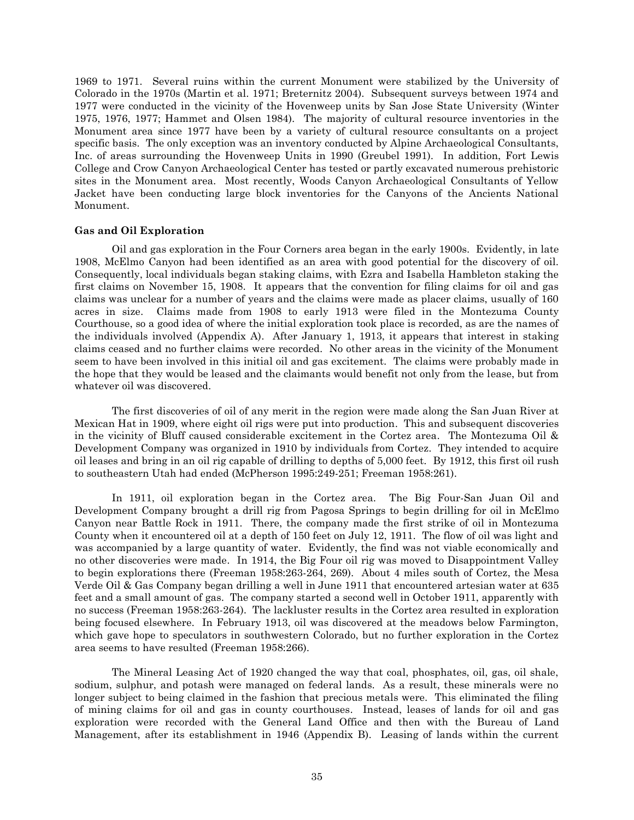1969 to 1971. Several ruins within the current Monument were stabilized by the University of Colorado in the 1970s (Martin et al. 1971; Breternitz 2004). Subsequent surveys between 1974 and 1977 were conducted in the vicinity of the Hovenweep units by San Jose State University (Winter 1975, 1976, 1977; Hammet and Olsen 1984). The majority of cultural resource inventories in the Monument area since 1977 have been by a variety of cultural resource consultants on a project specific basis. The only exception was an inventory conducted by Alpine Archaeological Consultants, Inc. of areas surrounding the Hovenweep Units in 1990 (Greubel 1991). In addition, Fort Lewis College and Crow Canyon Archaeological Center has tested or partly excavated numerous prehistoric sites in the Monument area. Most recently, Woods Canyon Archaeological Consultants of Yellow Jacket have been conducting large block inventories for the Canyons of the Ancients National Monument.

## **Gas and Oil Exploration**

Oil and gas exploration in the Four Corners area began in the early 1900s. Evidently, in late 1908, McElmo Canyon had been identified as an area with good potential for the discovery of oil. Consequently, local individuals began staking claims, with Ezra and Isabella Hambleton staking the first claims on November 15, 1908. It appears that the convention for filing claims for oil and gas claims was unclear for a number of years and the claims were made as placer claims, usually of 160 acres in size. Claims made from 1908 to early 1913 were filed in the Montezuma County Courthouse, so a good idea of where the initial exploration took place is recorded, as are the names of the individuals involved (Appendix A). After January 1, 1913, it appears that interest in staking claims ceased and no further claims were recorded. No other areas in the vicinity of the Monument seem to have been involved in this initial oil and gas excitement. The claims were probably made in the hope that they would be leased and the claimants would benefit not only from the lease, but from whatever oil was discovered.

The first discoveries of oil of any merit in the region were made along the San Juan River at Mexican Hat in 1909, where eight oil rigs were put into production. This and subsequent discoveries in the vicinity of Bluff caused considerable excitement in the Cortez area. The Montezuma Oil & Development Company was organized in 1910 by individuals from Cortez. They intended to acquire oil leases and bring in an oil rig capable of drilling to depths of 5,000 feet. By 1912, this first oil rush to southeastern Utah had ended (McPherson 1995:249-251; Freeman 1958:261).

In 1911, oil exploration began in the Cortez area. The Big Four-San Juan Oil and Development Company brought a drill rig from Pagosa Springs to begin drilling for oil in McElmo Canyon near Battle Rock in 1911. There, the company made the first strike of oil in Montezuma County when it encountered oil at a depth of 150 feet on July 12, 1911. The flow of oil was light and was accompanied by a large quantity of water. Evidently, the find was not viable economically and no other discoveries were made. In 1914, the Big Four oil rig was moved to Disappointment Valley to begin explorations there (Freeman 1958:263-264, 269). About 4 miles south of Cortez, the Mesa Verde Oil & Gas Company began drilling a well in June 1911 that encountered artesian water at 635 feet and a small amount of gas. The company started a second well in October 1911, apparently with no success (Freeman 1958:263-264). The lackluster results in the Cortez area resulted in exploration being focused elsewhere. In February 1913, oil was discovered at the meadows below Farmington, which gave hope to speculators in southwestern Colorado, but no further exploration in the Cortez area seems to have resulted (Freeman 1958:266).

The Mineral Leasing Act of 1920 changed the way that coal, phosphates, oil, gas, oil shale, sodium, sulphur, and potash were managed on federal lands. As a result, these minerals were no longer subject to being claimed in the fashion that precious metals were. This eliminated the filing of mining claims for oil and gas in county courthouses. Instead, leases of lands for oil and gas exploration were recorded with the General Land Office and then with the Bureau of Land Management, after its establishment in 1946 (Appendix B). Leasing of lands within the current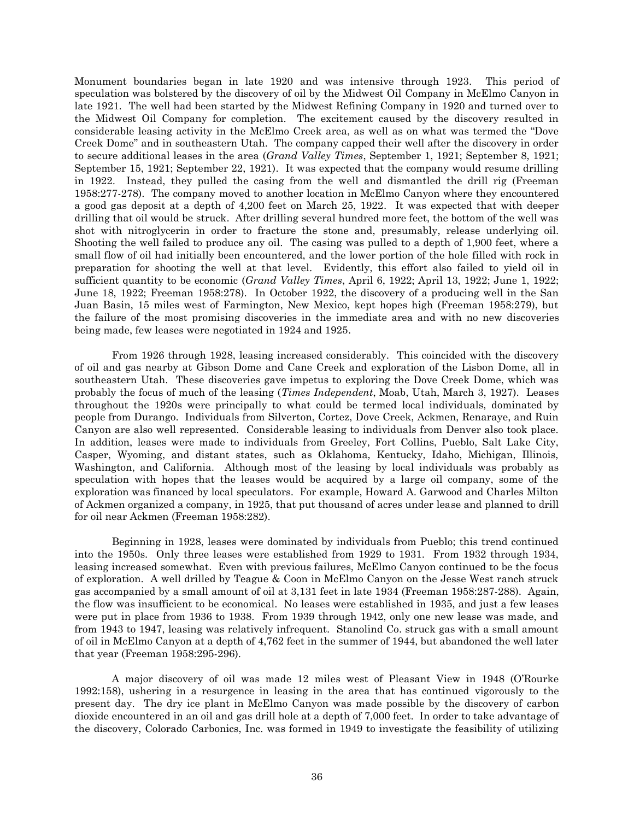Monument boundaries began in late 1920 and was intensive through 1923. This period of speculation was bolstered by the discovery of oil by the Midwest Oil Company in McElmo Canyon in late 1921. The well had been started by the Midwest Refining Company in 1920 and turned over to the Midwest Oil Company for completion. The excitement caused by the discovery resulted in considerable leasing activity in the McElmo Creek area, as well as on what was termed the "Dove Creek Dome" and in southeastern Utah. The company capped their well after the discovery in order to secure additional leases in the area (*Grand Valley Times*, September 1, 1921; September 8, 1921; September 15, 1921; September 22, 1921). It was expected that the company would resume drilling in 1922. Instead, they pulled the casing from the well and dismantled the drill rig (Freeman 1958:277-278). The company moved to another location in McElmo Canyon where they encountered a good gas deposit at a depth of 4,200 feet on March 25, 1922. It was expected that with deeper drilling that oil would be struck. After drilling several hundred more feet, the bottom of the well was shot with nitroglycerin in order to fracture the stone and, presumably, release underlying oil. Shooting the well failed to produce any oil. The casing was pulled to a depth of 1,900 feet, where a small flow of oil had initially been encountered, and the lower portion of the hole filled with rock in preparation for shooting the well at that level. Evidently, this effort also failed to yield oil in sufficient quantity to be economic (*Grand Valley Times*, April 6, 1922; April 13, 1922; June 1, 1922; June 18, 1922; Freeman 1958:278). In October 1922, the discovery of a producing well in the San Juan Basin, 15 miles west of Farmington, New Mexico, kept hopes high (Freeman 1958:279), but the failure of the most promising discoveries in the immediate area and with no new discoveries being made, few leases were negotiated in 1924 and 1925.

From 1926 through 1928, leasing increased considerably. This coincided with the discovery of oil and gas nearby at Gibson Dome and Cane Creek and exploration of the Lisbon Dome, all in southeastern Utah. These discoveries gave impetus to exploring the Dove Creek Dome, which was probably the focus of much of the leasing (*Times Independent*, Moab, Utah, March 3, 1927). Leases throughout the 1920s were principally to what could be termed local individuals, dominated by people from Durango. Individuals from Silverton, Cortez, Dove Creek, Ackmen, Renaraye, and Ruin Canyon are also well represented. Considerable leasing to individuals from Denver also took place. In addition, leases were made to individuals from Greeley, Fort Collins, Pueblo, Salt Lake City, Casper, Wyoming, and distant states, such as Oklahoma, Kentucky, Idaho, Michigan, Illinois, Washington, and California. Although most of the leasing by local individuals was probably as speculation with hopes that the leases would be acquired by a large oil company, some of the exploration was financed by local speculators. For example, Howard A. Garwood and Charles Milton of Ackmen organized a company, in 1925, that put thousand of acres under lease and planned to drill for oil near Ackmen (Freeman 1958:282).

Beginning in 1928, leases were dominated by individuals from Pueblo; this trend continued into the 1950s. Only three leases were established from 1929 to 1931. From 1932 through 1934, leasing increased somewhat. Even with previous failures, McElmo Canyon continued to be the focus of exploration. A well drilled by Teague & Coon in McElmo Canyon on the Jesse West ranch struck gas accompanied by a small amount of oil at 3,131 feet in late 1934 (Freeman 1958:287-288). Again, the flow was insufficient to be economical. No leases were established in 1935, and just a few leases were put in place from 1936 to 1938. From 1939 through 1942, only one new lease was made, and from 1943 to 1947, leasing was relatively infrequent. Stanolind Co. struck gas with a small amount of oil in McElmo Canyon at a depth of 4,762 feet in the summer of 1944, but abandoned the well later that year (Freeman 1958:295-296).

A major discovery of oil was made 12 miles west of Pleasant View in 1948 (O'Rourke 1992:158), ushering in a resurgence in leasing in the area that has continued vigorously to the present day. The dry ice plant in McElmo Canyon was made possible by the discovery of carbon dioxide encountered in an oil and gas drill hole at a depth of 7,000 feet. In order to take advantage of the discovery, Colorado Carbonics, Inc. was formed in 1949 to investigate the feasibility of utilizing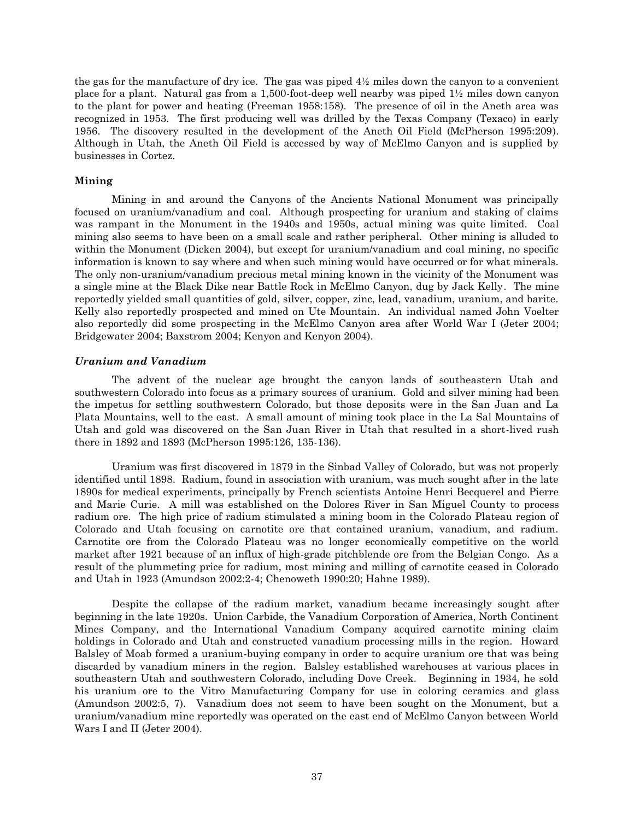the gas for the manufacture of dry ice. The gas was piped 4½ miles down the canyon to a convenient place for a plant. Natural gas from a 1,500-foot-deep well nearby was piped 1½ miles down canyon to the plant for power and heating (Freeman 1958:158). The presence of oil in the Aneth area was recognized in 1953. The first producing well was drilled by the Texas Company (Texaco) in early 1956. The discovery resulted in the development of the Aneth Oil Field (McPherson 1995:209). Although in Utah, the Aneth Oil Field is accessed by way of McElmo Canyon and is supplied by businesses in Cortez.

## **Mining**

Mining in and around the Canyons of the Ancients National Monument was principally focused on uranium/vanadium and coal. Although prospecting for uranium and staking of claims was rampant in the Monument in the 1940s and 1950s, actual mining was quite limited. Coal mining also seems to have been on a small scale and rather peripheral. Other mining is alluded to within the Monument (Dicken 2004), but except for uranium/vanadium and coal mining, no specific information is known to say where and when such mining would have occurred or for what minerals. The only non-uranium/vanadium precious metal mining known in the vicinity of the Monument was a single mine at the Black Dike near Battle Rock in McElmo Canyon, dug by Jack Kelly. The mine reportedly yielded small quantities of gold, silver, copper, zinc, lead, vanadium, uranium, and barite. Kelly also reportedly prospected and mined on Ute Mountain. An individual named John Voelter also reportedly did some prospecting in the McElmo Canyon area after World War I (Jeter 2004; Bridgewater 2004; Baxstrom 2004; Kenyon and Kenyon 2004).

## *Uranium and Vanadium*

The advent of the nuclear age brought the canyon lands of southeastern Utah and southwestern Colorado into focus as a primary sources of uranium. Gold and silver mining had been the impetus for settling southwestern Colorado, but those deposits were in the San Juan and La Plata Mountains, well to the east. A small amount of mining took place in the La Sal Mountains of Utah and gold was discovered on the San Juan River in Utah that resulted in a short-lived rush there in 1892 and 1893 (McPherson 1995:126, 135-136).

Uranium was first discovered in 1879 in the Sinbad Valley of Colorado, but was not properly identified until 1898. Radium, found in association with uranium, was much sought after in the late 1890s for medical experiments, principally by French scientists Antoine Henri Becquerel and Pierre and Marie Curie. A mill was established on the Dolores River in San Miguel County to process radium ore. The high price of radium stimulated a mining boom in the Colorado Plateau region of Colorado and Utah focusing on carnotite ore that contained uranium, vanadium, and radium. Carnotite ore from the Colorado Plateau was no longer economically competitive on the world market after 1921 because of an influx of high-grade pitchblende ore from the Belgian Congo. As a result of the plummeting price for radium, most mining and milling of carnotite ceased in Colorado and Utah in 1923 (Amundson 2002:2-4; Chenoweth 1990:20; Hahne 1989).

Despite the collapse of the radium market, vanadium became increasingly sought after beginning in the late 1920s. Union Carbide, the Vanadium Corporation of America, North Continent Mines Company, and the International Vanadium Company acquired carnotite mining claim holdings in Colorado and Utah and constructed vanadium processing mills in the region. Howard Balsley of Moab formed a uranium-buying company in order to acquire uranium ore that was being discarded by vanadium miners in the region. Balsley established warehouses at various places in southeastern Utah and southwestern Colorado, including Dove Creek. Beginning in 1934, he sold his uranium ore to the Vitro Manufacturing Company for use in coloring ceramics and glass (Amundson 2002:5, 7). Vanadium does not seem to have been sought on the Monument, but a uranium/vanadium mine reportedly was operated on the east end of McElmo Canyon between World Wars I and II (Jeter 2004).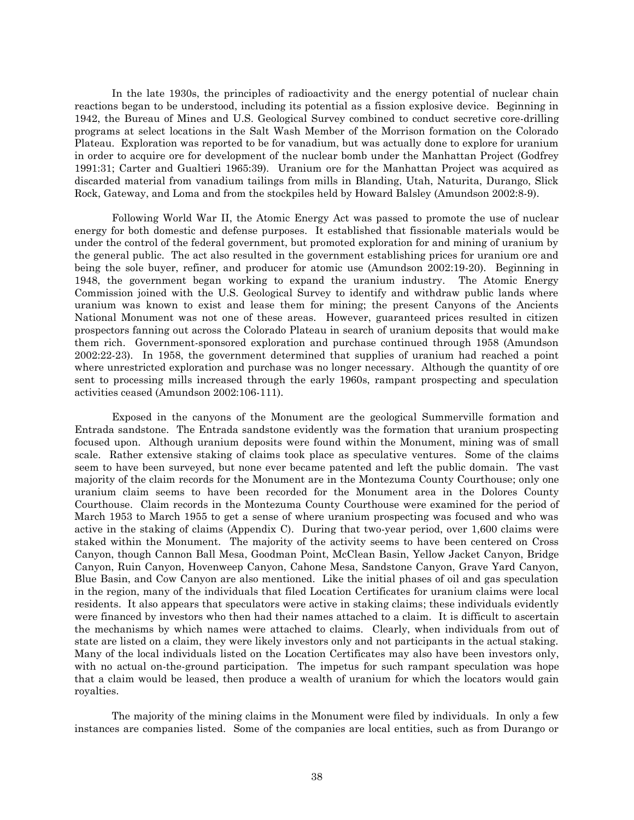In the late 1930s, the principles of radioactivity and the energy potential of nuclear chain reactions began to be understood, including its potential as a fission explosive device. Beginning in 1942, the Bureau of Mines and U.S. Geological Survey combined to conduct secretive core-drilling programs at select locations in the Salt Wash Member of the Morrison formation on the Colorado Plateau. Exploration was reported to be for vanadium, but was actually done to explore for uranium in order to acquire ore for development of the nuclear bomb under the Manhattan Project (Godfrey 1991:31; Carter and Gualtieri 1965:39). Uranium ore for the Manhattan Project was acquired as discarded material from vanadium tailings from mills in Blanding, Utah, Naturita, Durango, Slick Rock, Gateway, and Loma and from the stockpiles held by Howard Balsley (Amundson 2002:8-9).

Following World War II, the Atomic Energy Act was passed to promote the use of nuclear energy for both domestic and defense purposes. It established that fissionable materials would be under the control of the federal government, but promoted exploration for and mining of uranium by the general public. The act also resulted in the government establishing prices for uranium ore and being the sole buyer, refiner, and producer for atomic use (Amundson 2002:19-20). Beginning in 1948, the government began working to expand the uranium industry. The Atomic Energy Commission joined with the U.S. Geological Survey to identify and withdraw public lands where uranium was known to exist and lease them for mining; the present Canyons of the Ancients National Monument was not one of these areas. However, guaranteed prices resulted in citizen prospectors fanning out across the Colorado Plateau in search of uranium deposits that would make them rich. Government-sponsored exploration and purchase continued through 1958 (Amundson 2002:22-23). In 1958, the government determined that supplies of uranium had reached a point where unrestricted exploration and purchase was no longer necessary. Although the quantity of ore sent to processing mills increased through the early 1960s, rampant prospecting and speculation activities ceased (Amundson 2002:106-111).

Exposed in the canyons of the Monument are the geological Summerville formation and Entrada sandstone. The Entrada sandstone evidently was the formation that uranium prospecting focused upon. Although uranium deposits were found within the Monument, mining was of small scale. Rather extensive staking of claims took place as speculative ventures. Some of the claims seem to have been surveyed, but none ever became patented and left the public domain. The vast majority of the claim records for the Monument are in the Montezuma County Courthouse; only one uranium claim seems to have been recorded for the Monument area in the Dolores County Courthouse. Claim records in the Montezuma County Courthouse were examined for the period of March 1953 to March 1955 to get a sense of where uranium prospecting was focused and who was active in the staking of claims (Appendix C). During that two-year period, over 1,600 claims were staked within the Monument. The majority of the activity seems to have been centered on Cross Canyon, though Cannon Ball Mesa, Goodman Point, McClean Basin, Yellow Jacket Canyon, Bridge Canyon, Ruin Canyon, Hovenweep Canyon, Cahone Mesa, Sandstone Canyon, Grave Yard Canyon, Blue Basin, and Cow Canyon are also mentioned. Like the initial phases of oil and gas speculation in the region, many of the individuals that filed Location Certificates for uranium claims were local residents. It also appears that speculators were active in staking claims; these individuals evidently were financed by investors who then had their names attached to a claim. It is difficult to ascertain the mechanisms by which names were attached to claims. Clearly, when individuals from out of state are listed on a claim, they were likely investors only and not participants in the actual staking. Many of the local individuals listed on the Location Certificates may also have been investors only, with no actual on-the-ground participation. The impetus for such rampant speculation was hope that a claim would be leased, then produce a wealth of uranium for which the locators would gain royalties.

The majority of the mining claims in the Monument were filed by individuals. In only a few instances are companies listed. Some of the companies are local entities, such as from Durango or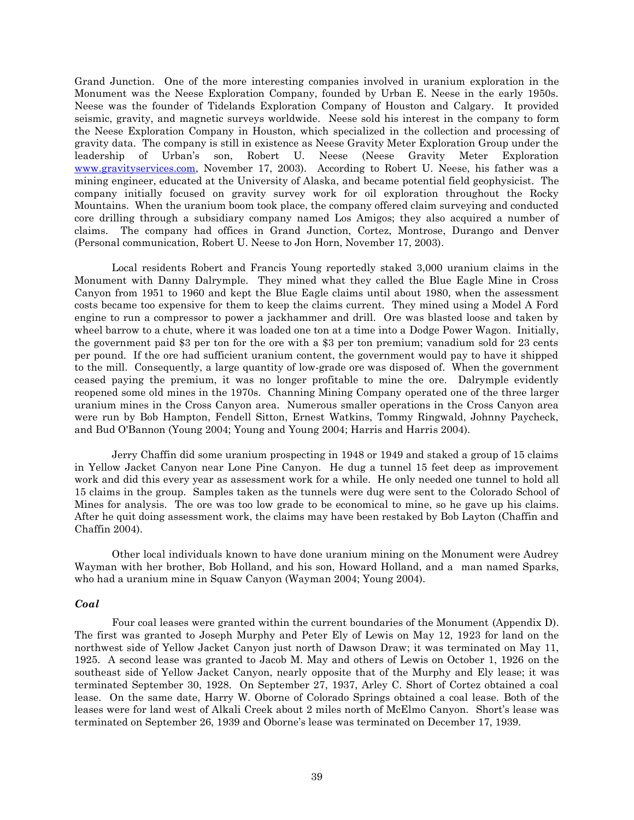Grand Junction. One of the more interesting companies involved in uranium exploration in the Monument was the Neese Exploration Company, founded by Urban E. Neese in the early 1950s. Neese was the founder of Tidelands Exploration Company of Houston and Calgary. It provided seismic, gravity, and magnetic surveys worldwide. Neese sold his interest in the company to form the Neese Exploration Company in Houston, which specialized in the collection and processing of gravity data. The company is still in existence as Neese Gravity Meter Exploration Group under the leadership of Urban's son, Robert U. Neese (Neese Gravity Meter Exploration [www.gravityservices.com,](http://www.gravityservices.com/) November 17, 2003). According to Robert U. Neese, his father was a mining engineer, educated at the University of Alaska, and became potential field geophysicist. The company initially focused on gravity survey work for oil exploration throughout the Rocky Mountains. When the uranium boom took place, the company offered claim surveying and conducted core drilling through a subsidiary company named Los Amigos; they also acquired a number of claims. The company had offices in Grand Junction, Cortez, Montrose, Durango and Denver (Personal communication, Robert U. Neese to Jon Horn, November 17, 2003).

Local residents Robert and Francis Young reportedly staked 3,000 uranium claims in the Monument with Danny Dalrymple. They mined what they called the Blue Eagle Mine in Cross Canyon from 1951 to 1960 and kept the Blue Eagle claims until about 1980, when the assessment costs became too expensive for them to keep the claims current. They mined using a Model A Ford engine to run a compressor to power a jackhammer and drill. Ore was blasted loose and taken by wheel barrow to a chute, where it was loaded one ton at a time into a Dodge Power Wagon. Initially, the government paid \$3 per ton for the ore with a \$3 per ton premium; vanadium sold for 23 cents per pound. If the ore had sufficient uranium content, the government would pay to have it shipped to the mill. Consequently, a large quantity of low-grade ore was disposed of. When the government ceased paying the premium, it was no longer profitable to mine the ore. Dalrymple evidently reopened some old mines in the 1970s. Channing Mining Company operated one of the three larger uranium mines in the Cross Canyon area. Numerous smaller operations in the Cross Canyon area were run by Bob Hampton, Fendell Sitton, Ernest Watkins, Tommy Ringwald, Johnny Paycheck, and Bud O'Bannon (Young 2004; Young and Young 2004; Harris and Harris 2004).

Jerry Chaffin did some uranium prospecting in 1948 or 1949 and staked a group of 15 claims in Yellow Jacket Canyon near Lone Pine Canyon. He dug a tunnel 15 feet deep as improvement work and did this every year as assessment work for a while. He only needed one tunnel to hold all 15 claims in the group. Samples taken as the tunnels were dug were sent to the Colorado School of Mines for analysis. The ore was too low grade to be economical to mine, so he gave up his claims. After he quit doing assessment work, the claims may have been restaked by Bob Layton (Chaffin and Chaffin 2004).

Other local individuals known to have done uranium mining on the Monument were Audrey Wayman with her brother, Bob Holland, and his son, Howard Holland, and a man named Sparks, who had a uranium mine in Squaw Canyon (Wayman 2004; Young 2004).

## *Coal*

Four coal leases were granted within the current boundaries of the Monument (Appendix D). The first was granted to Joseph Murphy and Peter Ely of Lewis on May 12, 1923 for land on the northwest side of Yellow Jacket Canyon just north of Dawson Draw; it was terminated on May 11, 1925. A second lease was granted to Jacob M. May and others of Lewis on October 1, 1926 on the southeast side of Yellow Jacket Canyon, nearly opposite that of the Murphy and Ely lease; it was terminated September 30, 1928. On September 27, 1937, Arley C. Short of Cortez obtained a coal lease. On the same date, Harry W. Oborne of Colorado Springs obtained a coal lease. Both of the leases were for land west of Alkali Creek about 2 miles north of McElmo Canyon. Short's lease was terminated on September 26, 1939 and Oborne's lease was terminated on December 17, 1939.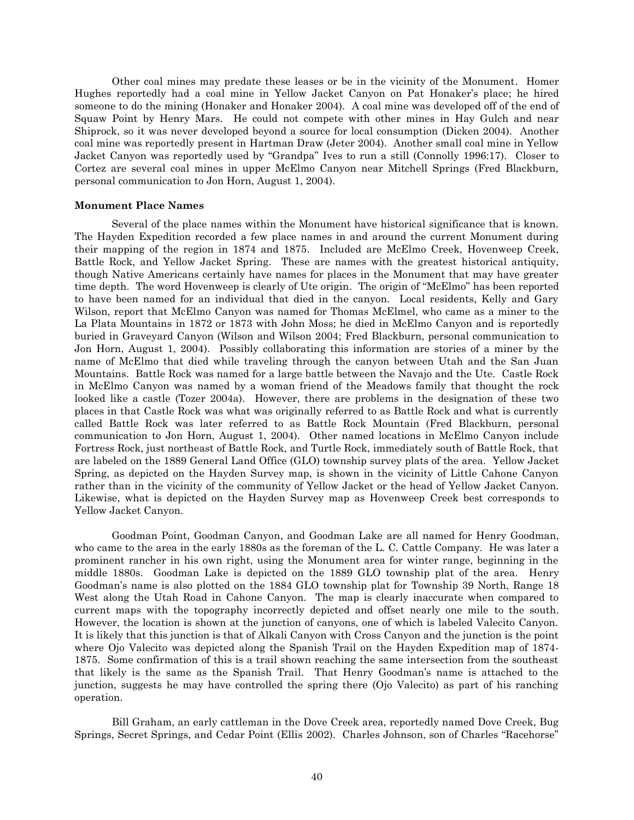Other coal mines may predate these leases or be in the vicinity of the Monument. Homer Hughes reportedly had a coal mine in Yellow Jacket Canyon on Pat Honaker's place; he hired someone to do the mining (Honaker and Honaker 2004). A coal mine was developed off of the end of Squaw Point by Henry Mars. He could not compete with other mines in Hay Gulch and near Shiprock, so it was never developed beyond a source for local consumption (Dicken 2004). Another coal mine was reportedly present in Hartman Draw (Jeter 2004). Another small coal mine in Yellow Jacket Canyon was reportedly used by "Grandpa" Ives to run a still (Connolly 1996:17). Closer to Cortez are several coal mines in upper McElmo Canyon near Mitchell Springs (Fred Blackburn, personal communication to Jon Horn, August 1, 2004).

## **Monument Place Names**

Several of the place names within the Monument have historical significance that is known. The Hayden Expedition recorded a few place names in and around the current Monument during their mapping of the region in 1874 and 1875. Included are McElmo Creek, Hovenweep Creek, Battle Rock, and Yellow Jacket Spring. These are names with the greatest historical antiquity, though Native Americans certainly have names for places in the Monument that may have greater time depth. The word Hovenweep is clearly of Ute origin. The origin of "McElmo" has been reported to have been named for an individual that died in the canyon. Local residents, Kelly and Gary Wilson, report that McElmo Canyon was named for Thomas McElmel, who came as a miner to the La Plata Mountains in 1872 or 1873 with John Moss; he died in McElmo Canyon and is reportedly buried in Graveyard Canyon (Wilson and Wilson 2004; Fred Blackburn, personal communication to Jon Horn, August 1, 2004). Possibly collaborating this information are stories of a miner by the name of McElmo that died while traveling through the canyon between Utah and the San Juan Mountains. Battle Rock was named for a large battle between the Navajo and the Ute. Castle Rock in McElmo Canyon was named by a woman friend of the Meadows family that thought the rock looked like a castle (Tozer 2004a). However, there are problems in the designation of these two places in that Castle Rock was what was originally referred to as Battle Rock and what is currently called Battle Rock was later referred to as Battle Rock Mountain (Fred Blackburn, personal communication to Jon Horn, August 1, 2004). Other named locations in McElmo Canyon include Fortress Rock, just northeast of Battle Rock, and Turtle Rock, immediately south of Battle Rock, that are labeled on the 1889 General Land Office (GLO) township survey plats of the area. Yellow Jacket Spring, as depicted on the Hayden Survey map, is shown in the vicinity of Little Cahone Canyon rather than in the vicinity of the community of Yellow Jacket or the head of Yellow Jacket Canyon. Likewise, what is depicted on the Hayden Survey map as Hovenweep Creek best corresponds to Yellow Jacket Canyon.

Goodman Point, Goodman Canyon, and Goodman Lake are all named for Henry Goodman, who came to the area in the early 1880s as the foreman of the L. C. Cattle Company. He was later a prominent rancher in his own right, using the Monument area for winter range, beginning in the middle 1880s. Goodman Lake is depicted on the 1889 GLO township plat of the area. Henry Goodman's name is also plotted on the 1884 GLO township plat for Township 39 North, Range 18 West along the Utah Road in Cahone Canyon. The map is clearly inaccurate when compared to current maps with the topography incorrectly depicted and offset nearly one mile to the south. However, the location is shown at the junction of canyons, one of which is labeled Valecito Canyon. It is likely that this junction is that of Alkali Canyon with Cross Canyon and the junction is the point where Ojo Valecito was depicted along the Spanish Trail on the Hayden Expedition map of 1874- 1875. Some confirmation of this is a trail shown reaching the same intersection from the southeast that likely is the same as the Spanish Trail. That Henry Goodman's name is attached to the junction, suggests he may have controlled the spring there (Ojo Valecito) as part of his ranching operation.

Bill Graham, an early cattleman in the Dove Creek area, reportedly named Dove Creek, Bug Springs, Secret Springs, and Cedar Point (Ellis 2002). Charles Johnson, son of Charles "Racehorse"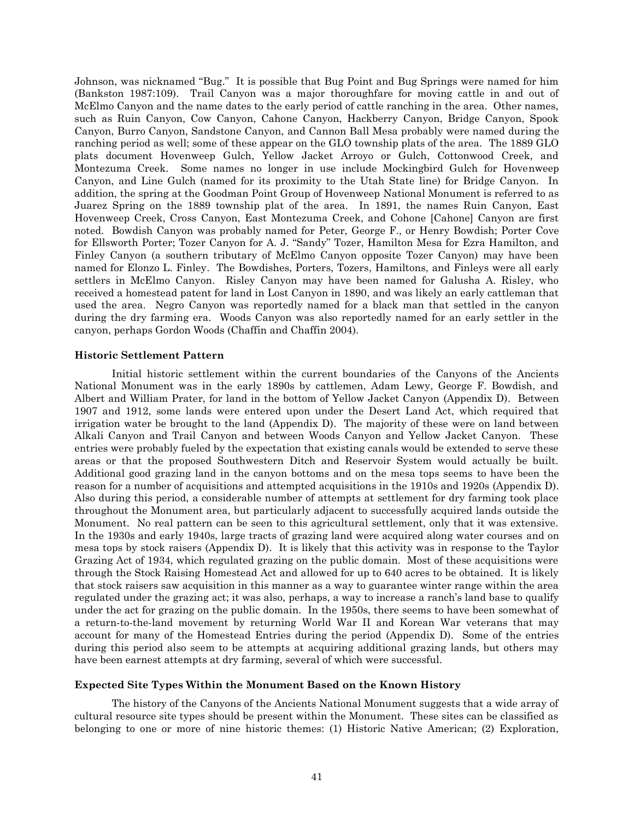Johnson, was nicknamed "Bug." It is possible that Bug Point and Bug Springs were named for him (Bankston 1987:109). Trail Canyon was a major thoroughfare for moving cattle in and out of McElmo Canyon and the name dates to the early period of cattle ranching in the area. Other names, such as Ruin Canyon, Cow Canyon, Cahone Canyon, Hackberry Canyon, Bridge Canyon, Spook Canyon, Burro Canyon, Sandstone Canyon, and Cannon Ball Mesa probably were named during the ranching period as well; some of these appear on the GLO township plats of the area. The 1889 GLO plats document Hovenweep Gulch, Yellow Jacket Arroyo or Gulch, Cottonwood Creek, and Montezuma Creek. Some names no longer in use include Mockingbird Gulch for Hovenweep Canyon, and Line Gulch (named for its proximity to the Utah State line) for Bridge Canyon. In addition, the spring at the Goodman Point Group of Hovenweep National Monument is referred to as Juarez Spring on the 1889 township plat of the area. In 1891, the names Ruin Canyon, East Hovenweep Creek, Cross Canyon, East Montezuma Creek, and Cohone [Cahone] Canyon are first noted. Bowdish Canyon was probably named for Peter, George F., or Henry Bowdish; Porter Cove for Ellsworth Porter; Tozer Canyon for A. J. "Sandy" Tozer, Hamilton Mesa for Ezra Hamilton, and Finley Canyon (a southern tributary of McElmo Canyon opposite Tozer Canyon) may have been named for Elonzo L. Finley. The Bowdishes, Porters, Tozers, Hamiltons, and Finleys were all early settlers in McElmo Canyon. Risley Canyon may have been named for Galusha A. Risley, who received a homestead patent for land in Lost Canyon in 1890, and was likely an early cattleman that used the area. Negro Canyon was reportedly named for a black man that settled in the canyon during the dry farming era. Woods Canyon was also reportedly named for an early settler in the canyon, perhaps Gordon Woods (Chaffin and Chaffin 2004).

## **Historic Settlement Pattern**

Initial historic settlement within the current boundaries of the Canyons of the Ancients National Monument was in the early 1890s by cattlemen, Adam Lewy, George F. Bowdish, and Albert and William Prater, for land in the bottom of Yellow Jacket Canyon (Appendix D). Between 1907 and 1912, some lands were entered upon under the Desert Land Act, which required that irrigation water be brought to the land (Appendix D). The majority of these were on land between Alkali Canyon and Trail Canyon and between Woods Canyon and Yellow Jacket Canyon. These entries were probably fueled by the expectation that existing canals would be extended to serve these areas or that the proposed Southwestern Ditch and Reservoir System would actually be built. Additional good grazing land in the canyon bottoms and on the mesa tops seems to have been the reason for a number of acquisitions and attempted acquisitions in the 1910s and 1920s (Appendix D). Also during this period, a considerable number of attempts at settlement for dry farming took place throughout the Monument area, but particularly adjacent to successfully acquired lands outside the Monument. No real pattern can be seen to this agricultural settlement, only that it was extensive. In the 1930s and early 1940s, large tracts of grazing land were acquired along water courses and on mesa tops by stock raisers (Appendix D). It is likely that this activity was in response to the Taylor Grazing Act of 1934, which regulated grazing on the public domain. Most of these acquisitions were through the Stock Raising Homestead Act and allowed for up to 640 acres to be obtained. It is likely that stock raisers saw acquisition in this manner as a way to guarantee winter range within the area regulated under the grazing act; it was also, perhaps, a way to increase a ranch's land base to qualify under the act for grazing on the public domain. In the 1950s, there seems to have been somewhat of a return-to-the-land movement by returning World War II and Korean War veterans that may account for many of the Homestead Entries during the period (Appendix D). Some of the entries during this period also seem to be attempts at acquiring additional grazing lands, but others may have been earnest attempts at dry farming, several of which were successful.

## **Expected Site Types Within the Monument Based on the Known History**

The history of the Canyons of the Ancients National Monument suggests that a wide array of cultural resource site types should be present within the Monument. These sites can be classified as belonging to one or more of nine historic themes: (1) Historic Native American; (2) Exploration,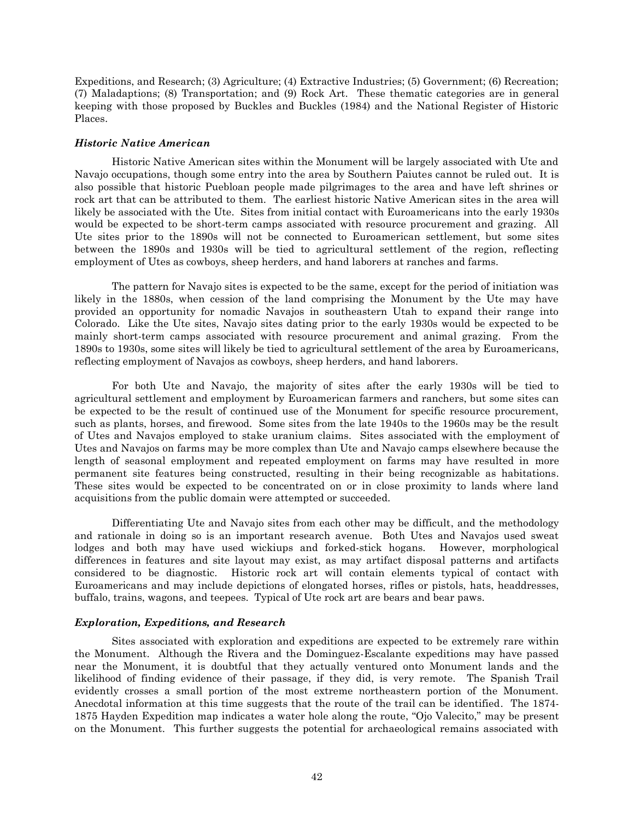Expeditions, and Research; (3) Agriculture; (4) Extractive Industries; (5) Government; (6) Recreation; (7) Maladaptions; (8) Transportation; and (9) Rock Art. These thematic categories are in general keeping with those proposed by Buckles and Buckles (1984) and the National Register of Historic Places.

## *Historic Native American*

Historic Native American sites within the Monument will be largely associated with Ute and Navajo occupations, though some entry into the area by Southern Paiutes cannot be ruled out. It is also possible that historic Puebloan people made pilgrimages to the area and have left shrines or rock art that can be attributed to them. The earliest historic Native American sites in the area will likely be associated with the Ute. Sites from initial contact with Euroamericans into the early 1930s would be expected to be short-term camps associated with resource procurement and grazing. All Ute sites prior to the 1890s will not be connected to Euroamerican settlement, but some sites between the 1890s and 1930s will be tied to agricultural settlement of the region, reflecting employment of Utes as cowboys, sheep herders, and hand laborers at ranches and farms.

The pattern for Navajo sites is expected to be the same, except for the period of initiation was likely in the 1880s, when cession of the land comprising the Monument by the Ute may have provided an opportunity for nomadic Navajos in southeastern Utah to expand their range into Colorado. Like the Ute sites, Navajo sites dating prior to the early 1930s would be expected to be mainly short-term camps associated with resource procurement and animal grazing. From the 1890s to 1930s, some sites will likely be tied to agricultural settlement of the area by Euroamericans, reflecting employment of Navajos as cowboys, sheep herders, and hand laborers.

For both Ute and Navajo, the majority of sites after the early 1930s will be tied to agricultural settlement and employment by Euroamerican farmers and ranchers, but some sites can be expected to be the result of continued use of the Monument for specific resource procurement, such as plants, horses, and firewood. Some sites from the late 1940s to the 1960s may be the result of Utes and Navajos employed to stake uranium claims. Sites associated with the employment of Utes and Navajos on farms may be more complex than Ute and Navajo camps elsewhere because the length of seasonal employment and repeated employment on farms may have resulted in more permanent site features being constructed, resulting in their being recognizable as habitations. These sites would be expected to be concentrated on or in close proximity to lands where land acquisitions from the public domain were attempted or succeeded.

Differentiating Ute and Navajo sites from each other may be difficult, and the methodology and rationale in doing so is an important research avenue. Both Utes and Navajos used sweat lodges and both may have used wickiups and forked-stick hogans. However, morphological differences in features and site layout may exist, as may artifact disposal patterns and artifacts considered to be diagnostic. Historic rock art will contain elements typical of contact with Euroamericans and may include depictions of elongated horses, rifles or pistols, hats, headdresses, buffalo, trains, wagons, and teepees. Typical of Ute rock art are bears and bear paws.

## *Exploration, Expeditions, and Research*

Sites associated with exploration and expeditions are expected to be extremely rare within the Monument. Although the Rivera and the Dominguez-Escalante expeditions may have passed near the Monument, it is doubtful that they actually ventured onto Monument lands and the likelihood of finding evidence of their passage, if they did, is very remote. The Spanish Trail evidently crosses a small portion of the most extreme northeastern portion of the Monument. Anecdotal information at this time suggests that the route of the trail can be identified. The 1874- 1875 Hayden Expedition map indicates a water hole along the route, "Ojo Valecito," may be present on the Monument. This further suggests the potential for archaeological remains associated with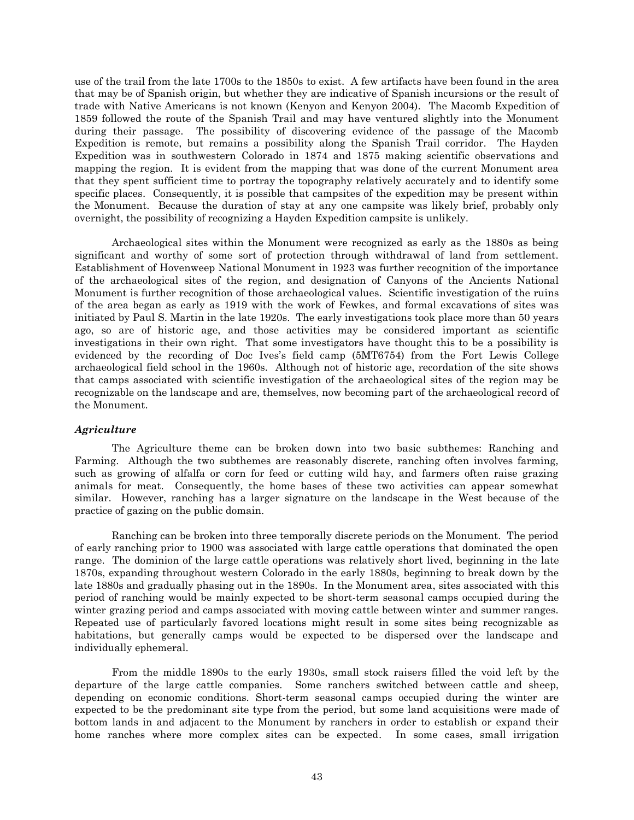use of the trail from the late 1700s to the 1850s to exist. A few artifacts have been found in the area that may be of Spanish origin, but whether they are indicative of Spanish incursions or the result of trade with Native Americans is not known (Kenyon and Kenyon 2004). The Macomb Expedition of 1859 followed the route of the Spanish Trail and may have ventured slightly into the Monument during their passage. The possibility of discovering evidence of the passage of the Macomb Expedition is remote, but remains a possibility along the Spanish Trail corridor. The Hayden Expedition was in southwestern Colorado in 1874 and 1875 making scientific observations and mapping the region. It is evident from the mapping that was done of the current Monument area that they spent sufficient time to portray the topography relatively accurately and to identify some specific places. Consequently, it is possible that campsites of the expedition may be present within the Monument. Because the duration of stay at any one campsite was likely brief, probably only overnight, the possibility of recognizing a Hayden Expedition campsite is unlikely.

Archaeological sites within the Monument were recognized as early as the 1880s as being significant and worthy of some sort of protection through withdrawal of land from settlement. Establishment of Hovenweep National Monument in 1923 was further recognition of the importance of the archaeological sites of the region, and designation of Canyons of the Ancients National Monument is further recognition of those archaeological values. Scientific investigation of the ruins of the area began as early as 1919 with the work of Fewkes, and formal excavations of sites was initiated by Paul S. Martin in the late 1920s. The early investigations took place more than 50 years ago, so are of historic age, and those activities may be considered important as scientific investigations in their own right. That some investigators have thought this to be a possibility is evidenced by the recording of Doc Ives's field camp (5MT6754) from the Fort Lewis College archaeological field school in the 1960s. Although not of historic age, recordation of the site shows that camps associated with scientific investigation of the archaeological sites of the region may be recognizable on the landscape and are, themselves, now becoming part of the archaeological record of the Monument.

## *Agriculture*

The Agriculture theme can be broken down into two basic subthemes: Ranching and Farming. Although the two subthemes are reasonably discrete, ranching often involves farming, such as growing of alfalfa or corn for feed or cutting wild hay, and farmers often raise grazing animals for meat. Consequently, the home bases of these two activities can appear somewhat similar. However, ranching has a larger signature on the landscape in the West because of the practice of gazing on the public domain.

Ranching can be broken into three temporally discrete periods on the Monument. The period of early ranching prior to 1900 was associated with large cattle operations that dominated the open range. The dominion of the large cattle operations was relatively short lived, beginning in the late 1870s, expanding throughout western Colorado in the early 1880s, beginning to break down by the late 1880s and gradually phasing out in the 1890s. In the Monument area, sites associated with this period of ranching would be mainly expected to be short-term seasonal camps occupied during the winter grazing period and camps associated with moving cattle between winter and summer ranges. Repeated use of particularly favored locations might result in some sites being recognizable as habitations, but generally camps would be expected to be dispersed over the landscape and individually ephemeral.

From the middle 1890s to the early 1930s, small stock raisers filled the void left by the departure of the large cattle companies. Some ranchers switched between cattle and sheep, depending on economic conditions. Short-term seasonal camps occupied during the winter are expected to be the predominant site type from the period, but some land acquisitions were made of bottom lands in and adjacent to the Monument by ranchers in order to establish or expand their home ranches where more complex sites can be expected. In some cases, small irrigation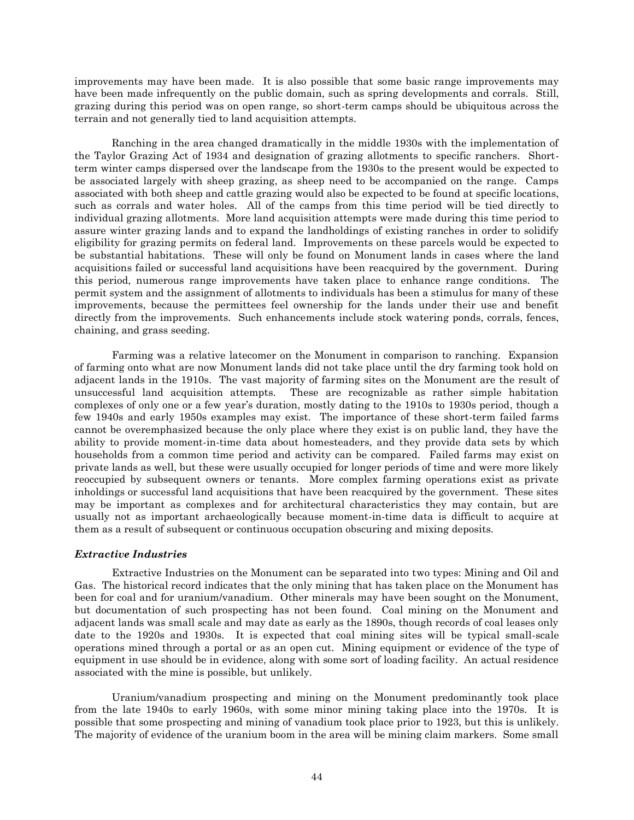improvements may have been made. It is also possible that some basic range improvements may have been made infrequently on the public domain, such as spring developments and corrals. Still, grazing during this period was on open range, so short-term camps should be ubiquitous across the terrain and not generally tied to land acquisition attempts.

Ranching in the area changed dramatically in the middle 1930s with the implementation of the Taylor Grazing Act of 1934 and designation of grazing allotments to specific ranchers. Shortterm winter camps dispersed over the landscape from the 1930s to the present would be expected to be associated largely with sheep grazing, as sheep need to be accompanied on the range. Camps associated with both sheep and cattle grazing would also be expected to be found at specific locations, such as corrals and water holes. All of the camps from this time period will be tied directly to individual grazing allotments. More land acquisition attempts were made during this time period to assure winter grazing lands and to expand the landholdings of existing ranches in order to solidify eligibility for grazing permits on federal land. Improvements on these parcels would be expected to be substantial habitations. These will only be found on Monument lands in cases where the land acquisitions failed or successful land acquisitions have been reacquired by the government. During this period, numerous range improvements have taken place to enhance range conditions. The permit system and the assignment of allotments to individuals has been a stimulus for many of these improvements, because the permittees feel ownership for the lands under their use and benefit directly from the improvements. Such enhancements include stock watering ponds, corrals, fences, chaining, and grass seeding.

Farming was a relative latecomer on the Monument in comparison to ranching. Expansion of farming onto what are now Monument lands did not take place until the dry farming took hold on adjacent lands in the 1910s. The vast majority of farming sites on the Monument are the result of unsuccessful land acquisition attempts. These are recognizable as rather simple habitation complexes of only one or a few year's duration, mostly dating to the 1910s to 1930s period, though a few 1940s and early 1950s examples may exist. The importance of these short-term failed farms cannot be overemphasized because the only place where they exist is on public land, they have the ability to provide moment-in-time data about homesteaders, and they provide data sets by which households from a common time period and activity can be compared. Failed farms may exist on private lands as well, but these were usually occupied for longer periods of time and were more likely reoccupied by subsequent owners or tenants. More complex farming operations exist as private inholdings or successful land acquisitions that have been reacquired by the government. These sites may be important as complexes and for architectural characteristics they may contain, but are usually not as important archaeologically because moment-in-time data is difficult to acquire at them as a result of subsequent or continuous occupation obscuring and mixing deposits.

## *Extractive Industries*

Extractive Industries on the Monument can be separated into two types: Mining and Oil and Gas. The historical record indicates that the only mining that has taken place on the Monument has been for coal and for uranium/vanadium. Other minerals may have been sought on the Monument, but documentation of such prospecting has not been found. Coal mining on the Monument and adjacent lands was small scale and may date as early as the 1890s, though records of coal leases only date to the 1920s and 1930s. It is expected that coal mining sites will be typical small-scale operations mined through a portal or as an open cut. Mining equipment or evidence of the type of equipment in use should be in evidence, along with some sort of loading facility. An actual residence associated with the mine is possible, but unlikely.

Uranium/vanadium prospecting and mining on the Monument predominantly took place from the late 1940s to early 1960s, with some minor mining taking place into the 1970s. It is possible that some prospecting and mining of vanadium took place prior to 1923, but this is unlikely. The majority of evidence of the uranium boom in the area will be mining claim markers. Some small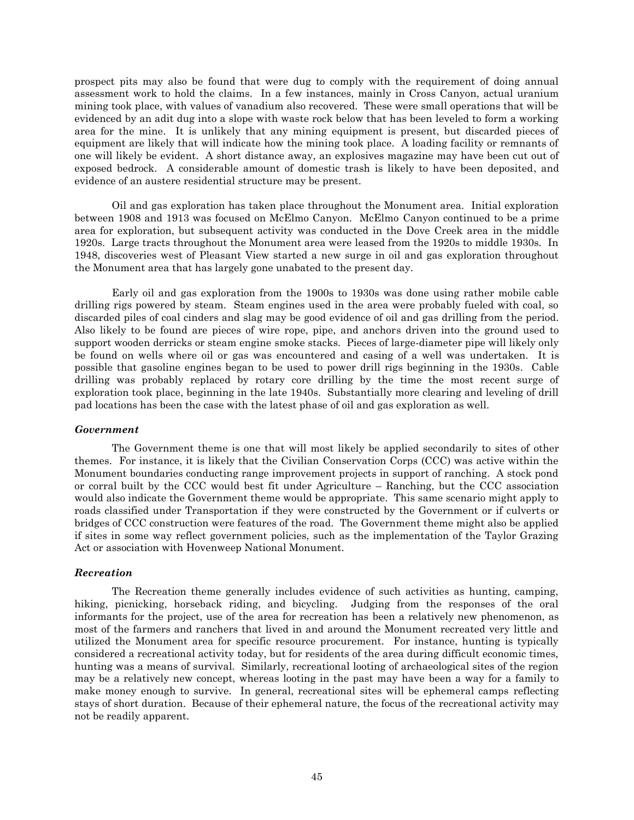prospect pits may also be found that were dug to comply with the requirement of doing annual assessment work to hold the claims. In a few instances, mainly in Cross Canyon, actual uranium mining took place, with values of vanadium also recovered. These were small operations that will be evidenced by an adit dug into a slope with waste rock below that has been leveled to form a working area for the mine. It is unlikely that any mining equipment is present, but discarded pieces of equipment are likely that will indicate how the mining took place. A loading facility or remnants of one will likely be evident. A short distance away, an explosives magazine may have been cut out of exposed bedrock. A considerable amount of domestic trash is likely to have been deposited, and evidence of an austere residential structure may be present.

Oil and gas exploration has taken place throughout the Monument area. Initial exploration between 1908 and 1913 was focused on McElmo Canyon. McElmo Canyon continued to be a prime area for exploration, but subsequent activity was conducted in the Dove Creek area in the middle 1920s. Large tracts throughout the Monument area were leased from the 1920s to middle 1930s. In 1948, discoveries west of Pleasant View started a new surge in oil and gas exploration throughout the Monument area that has largely gone unabated to the present day.

Early oil and gas exploration from the 1900s to 1930s was done using rather mobile cable drilling rigs powered by steam. Steam engines used in the area were probably fueled with coal, so discarded piles of coal cinders and slag may be good evidence of oil and gas drilling from the period. Also likely to be found are pieces of wire rope, pipe, and anchors driven into the ground used to support wooden derricks or steam engine smoke stacks. Pieces of large-diameter pipe will likely only be found on wells where oil or gas was encountered and casing of a well was undertaken. It is possible that gasoline engines began to be used to power drill rigs beginning in the 1930s. Cable drilling was probably replaced by rotary core drilling by the time the most recent surge of exploration took place, beginning in the late 1940s. Substantially more clearing and leveling of drill pad locations has been the case with the latest phase of oil and gas exploration as well.

## *Government*

The Government theme is one that will most likely be applied secondarily to sites of other themes. For instance, it is likely that the Civilian Conservation Corps (CCC) was active within the Monument boundaries conducting range improvement projects in support of ranching. A stock pond or corral built by the CCC would best fit under Agriculture – Ranching, but the CCC association would also indicate the Government theme would be appropriate. This same scenario might apply to roads classified under Transportation if they were constructed by the Government or if culverts or bridges of CCC construction were features of the road. The Government theme might also be applied if sites in some way reflect government policies, such as the implementation of the Taylor Grazing Act or association with Hovenweep National Monument.

## *Recreation*

The Recreation theme generally includes evidence of such activities as hunting, camping, hiking, picnicking, horseback riding, and bicycling. Judging from the responses of the oral informants for the project, use of the area for recreation has been a relatively new phenomenon, as most of the farmers and ranchers that lived in and around the Monument recreated very little and utilized the Monument area for specific resource procurement. For instance, hunting is typically considered a recreational activity today, but for residents of the area during difficult economic times, hunting was a means of survival. Similarly, recreational looting of archaeological sites of the region may be a relatively new concept, whereas looting in the past may have been a way for a family to make money enough to survive. In general, recreational sites will be ephemeral camps reflecting stays of short duration. Because of their ephemeral nature, the focus of the recreational activity may not be readily apparent.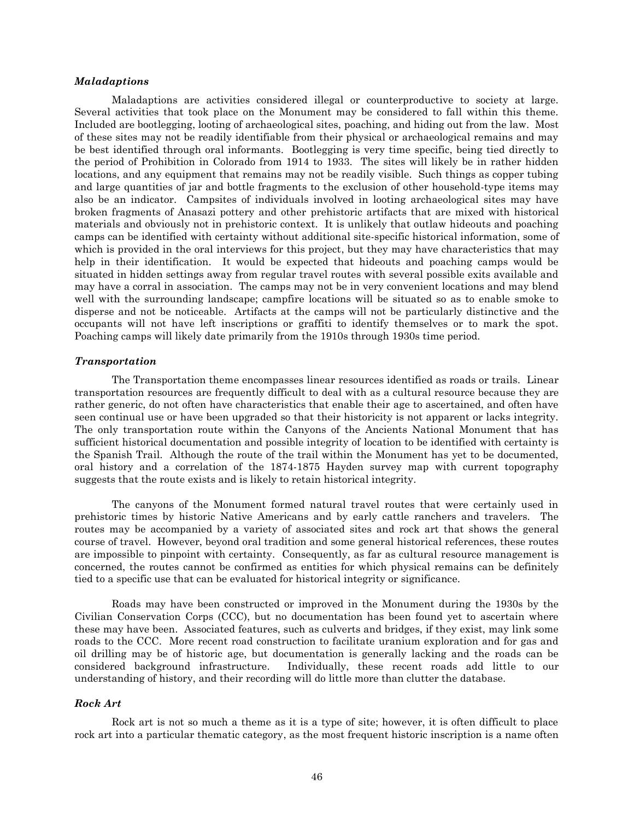#### *Maladaptions*

Maladaptions are activities considered illegal or counterproductive to society at large. Several activities that took place on the Monument may be considered to fall within this theme. Included are bootlegging, looting of archaeological sites, poaching, and hiding out from the law. Most of these sites may not be readily identifiable from their physical or archaeological remains and may be best identified through oral informants. Bootlegging is very time specific, being tied directly to the period of Prohibition in Colorado from 1914 to 1933. The sites will likely be in rather hidden locations, and any equipment that remains may not be readily visible. Such things as copper tubing and large quantities of jar and bottle fragments to the exclusion of other household-type items may also be an indicator. Campsites of individuals involved in looting archaeological sites may have broken fragments of Anasazi pottery and other prehistoric artifacts that are mixed with historical materials and obviously not in prehistoric context. It is unlikely that outlaw hideouts and poaching camps can be identified with certainty without additional site-specific historical information, some of which is provided in the oral interviews for this project, but they may have characteristics that may help in their identification. It would be expected that hideouts and poaching camps would be situated in hidden settings away from regular travel routes with several possible exits available and may have a corral in association. The camps may not be in very convenient locations and may blend well with the surrounding landscape; campfire locations will be situated so as to enable smoke to disperse and not be noticeable. Artifacts at the camps will not be particularly distinctive and the occupants will not have left inscriptions or graffiti to identify themselves or to mark the spot. Poaching camps will likely date primarily from the 1910s through 1930s time period.

#### *Transportation*

The Transportation theme encompasses linear resources identified as roads or trails. Linear transportation resources are frequently difficult to deal with as a cultural resource because they are rather generic, do not often have characteristics that enable their age to ascertained, and often have seen continual use or have been upgraded so that their historicity is not apparent or lacks integrity. The only transportation route within the Canyons of the Ancients National Monument that has sufficient historical documentation and possible integrity of location to be identified with certainty is the Spanish Trail. Although the route of the trail within the Monument has yet to be documented, oral history and a correlation of the 1874-1875 Hayden survey map with current topography suggests that the route exists and is likely to retain historical integrity.

The canyons of the Monument formed natural travel routes that were certainly used in prehistoric times by historic Native Americans and by early cattle ranchers and travelers. The routes may be accompanied by a variety of associated sites and rock art that shows the general course of travel. However, beyond oral tradition and some general historical references, these routes are impossible to pinpoint with certainty. Consequently, as far as cultural resource management is concerned, the routes cannot be confirmed as entities for which physical remains can be definitely tied to a specific use that can be evaluated for historical integrity or significance.

Roads may have been constructed or improved in the Monument during the 1930s by the Civilian Conservation Corps (CCC), but no documentation has been found yet to ascertain where these may have been. Associated features, such as culverts and bridges, if they exist, may link some roads to the CCC. More recent road construction to facilitate uranium exploration and for gas and oil drilling may be of historic age, but documentation is generally lacking and the roads can be considered background infrastructure. Individually, these recent roads add little to our understanding of history, and their recording will do little more than clutter the database.

#### *Rock Art*

Rock art is not so much a theme as it is a type of site; however, it is often difficult to place rock art into a particular thematic category, as the most frequent historic inscription is a name often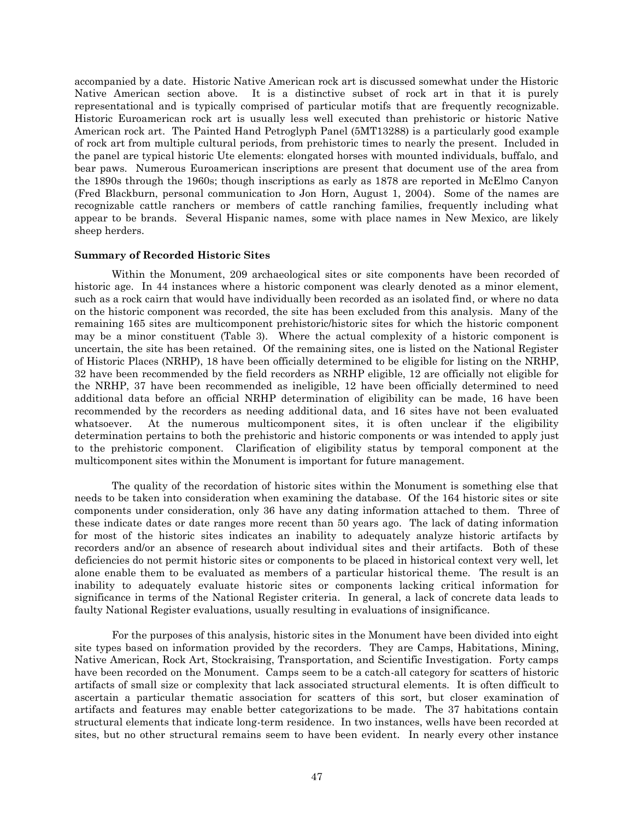accompanied by a date. Historic Native American rock art is discussed somewhat under the Historic Native American section above. It is a distinctive subset of rock art in that it is purely representational and is typically comprised of particular motifs that are frequently recognizable. Historic Euroamerican rock art is usually less well executed than prehistoric or historic Native American rock art. The Painted Hand Petroglyph Panel (5MT13288) is a particularly good example of rock art from multiple cultural periods, from prehistoric times to nearly the present. Included in the panel are typical historic Ute elements: elongated horses with mounted individuals, buffalo, and bear paws. Numerous Euroamerican inscriptions are present that document use of the area from the 1890s through the 1960s; though inscriptions as early as 1878 are reported in McElmo Canyon (Fred Blackburn, personal communication to Jon Horn, August 1, 2004). Some of the names are recognizable cattle ranchers or members of cattle ranching families, frequently including what appear to be brands. Several Hispanic names, some with place names in New Mexico, are likely sheep herders.

#### **Summary of Recorded Historic Sites**

Within the Monument, 209 archaeological sites or site components have been recorded of historic age. In 44 instances where a historic component was clearly denoted as a minor element, such as a rock cairn that would have individually been recorded as an isolated find, or where no data on the historic component was recorded, the site has been excluded from this analysis. Many of the remaining 165 sites are multicomponent prehistoric/historic sites for which the historic component may be a minor constituent [\(Table 3\)](#page-50-0). Where the actual complexity of a historic component is uncertain, the site has been retained. Of the remaining sites, one is listed on the National Register of Historic Places (NRHP), 18 have been officially determined to be eligible for listing on the NRHP, 32 have been recommended by the field recorders as NRHP eligible, 12 are officially not eligible for the NRHP, 37 have been recommended as ineligible, 12 have been officially determined to need additional data before an official NRHP determination of eligibility can be made, 16 have been recommended by the recorders as needing additional data, and 16 sites have not been evaluated whatsoever. At the numerous multicomponent sites, it is often unclear if the eligibility determination pertains to both the prehistoric and historic components or was intended to apply just to the prehistoric component. Clarification of eligibility status by temporal component at the multicomponent sites within the Monument is important for future management.

The quality of the recordation of historic sites within the Monument is something else that needs to be taken into consideration when examining the database. Of the 164 historic sites or site components under consideration, only 36 have any dating information attached to them. Three of these indicate dates or date ranges more recent than 50 years ago. The lack of dating information for most of the historic sites indicates an inability to adequately analyze historic artifacts by recorders and/or an absence of research about individual sites and their artifacts. Both of these deficiencies do not permit historic sites or components to be placed in historical context very well, let alone enable them to be evaluated as members of a particular historical theme. The result is an inability to adequately evaluate historic sites or components lacking critical information for significance in terms of the National Register criteria. In general, a lack of concrete data leads to faulty National Register evaluations, usually resulting in evaluations of insignificance.

For the purposes of this analysis, historic sites in the Monument have been divided into eight site types based on information provided by the recorders. They are Camps, Habitations, Mining, Native American, Rock Art, Stockraising, Transportation, and Scientific Investigation. Forty camps have been recorded on the Monument. Camps seem to be a catch-all category for scatters of historic artifacts of small size or complexity that lack associated structural elements. It is often difficult to ascertain a particular thematic association for scatters of this sort, but closer examination of artifacts and features may enable better categorizations to be made. The 37 habitations contain structural elements that indicate long-term residence. In two instances, wells have been recorded at sites, but no other structural remains seem to have been evident. In nearly every other instance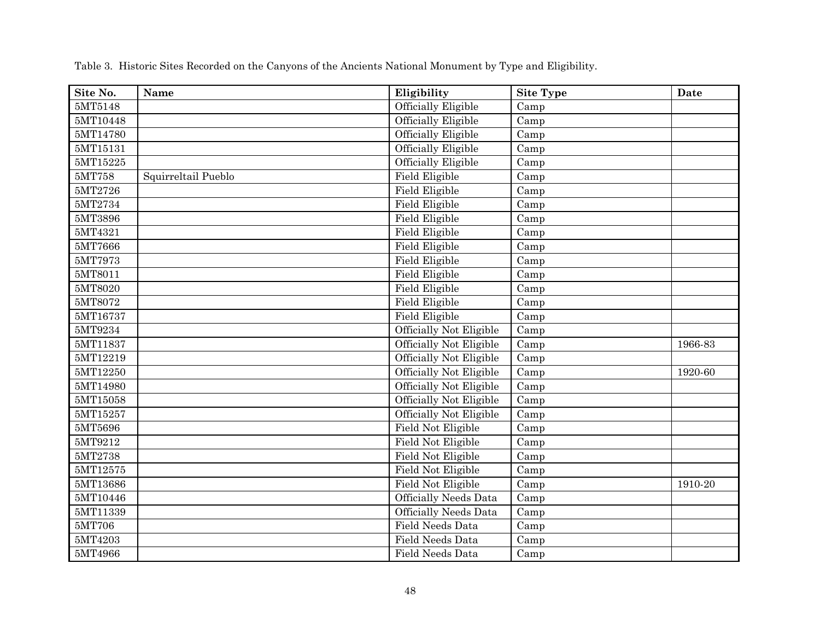<span id="page-50-0"></span>

| Site No.          | Name                | Eligibility                  | <b>Site Type</b> | Date    |
|-------------------|---------------------|------------------------------|------------------|---------|
| 5MT5148           |                     | Officially Eligible          | Camp             |         |
| 5MT10448          |                     | Officially Eligible          | Camp             |         |
| 5MT14780          |                     | Officially Eligible          | Camp             |         |
| 5MT15131          |                     | <b>Officially Eligible</b>   | Camp             |         |
| 5MT15225          |                     | Officially Eligible          | Camp             |         |
| 5MT758            | Squirreltail Pueblo | <b>Field Eligible</b>        | Camp             |         |
| 5MT2726           |                     | <b>Field Eligible</b>        | Camp             |         |
| 5MT2734           |                     | <b>Field Eligible</b>        | Camp             |         |
| 5MT3896           |                     | <b>Field Eligible</b>        | Camp             |         |
| 5MT4321           |                     | Field Eligible               | Camp             |         |
| 5MT7666           |                     | Field Eligible               | Camp             |         |
| 5MT7973           |                     | Field Eligible               | Camp             |         |
| 5MT8011           |                     | Field Eligible               | Camp             |         |
| 5MT8020           |                     | Field Eligible               | Camp             |         |
| 5MT8072           |                     | <b>Field Eligible</b>        | Camp             |         |
| 5MT16737          |                     | Field Eligible               | Camp             |         |
| 5MT9234           |                     | Officially Not Eligible      | Camp             |         |
| 5MT11837          |                     | Officially Not Eligible      | Camp             | 1966-83 |
| 5MT12219          |                     | Officially Not Eligible      | Camp             |         |
| 5MT12250          |                     | Officially Not Eligible      | Camp             | 1920-60 |
| 5MT14980          |                     | Officially Not Eligible      | Camp             |         |
| 5MT15058          |                     | Officially Not Eligible      | Camp             |         |
| 5MT15257          |                     | Officially Not Eligible      | Camp             |         |
| 5MT5696           |                     | Field Not Eligible           | Camp             |         |
| 5MT9212           |                     | Field Not Eligible           | Camp             |         |
| 5MT2738           |                     | Field Not Eligible           | Camp             |         |
| 5MT12575          |                     | Field Not Eligible           | Camp             |         |
| 5MT13686          |                     | <b>Field Not Eligible</b>    | Camp             | 1910-20 |
| 5MT10446          |                     | <b>Officially Needs Data</b> | Camp             |         |
| 5MT11339          |                     | <b>Officially Needs Data</b> | Camp             |         |
| $5\mathrm{MT}706$ |                     | Field Needs Data             | Camp             |         |
| 5MT4203           |                     | <b>Field Needs Data</b>      | Camp             |         |
| 5MT4966           |                     | <b>Field Needs Data</b>      | Camp             |         |

Table 3. Historic Sites Recorded on the Canyons of the Ancients National Monument by Type and Eligibility.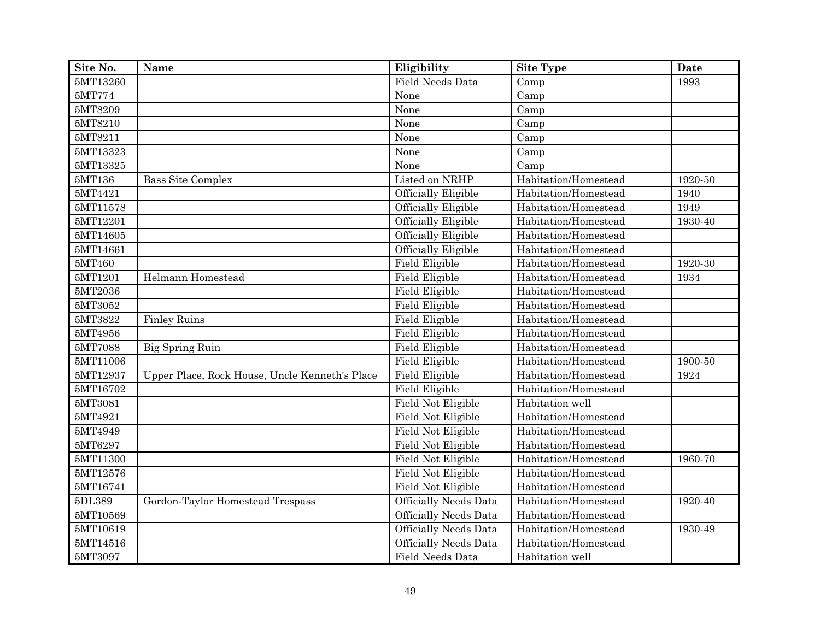| Site No.                 | Name                                           | Eligibility                  | Site Type            | Date    |
|--------------------------|------------------------------------------------|------------------------------|----------------------|---------|
| 5MT13260                 |                                                | <b>Field Needs Data</b>      | Camp                 | 1993    |
| 5MT774                   |                                                | None                         | Camp                 |         |
| 5MT8209                  |                                                | None                         | Camp                 |         |
| 5MT8210                  |                                                | None                         | Camp                 |         |
| 5MT8211                  |                                                | None                         | Camp                 |         |
| 5MT13323                 |                                                | None                         | Camp                 |         |
| $5\mathrm{MT}13325$      |                                                | None                         | Camp                 |         |
| 5MT136                   | <b>Bass Site Complex</b>                       | Listed on NRHP               | Habitation/Homestead | 1920-50 |
| 5MT4421                  |                                                | Officially Eligible          | Habitation/Homestead | 1940    |
| 5MT11578                 |                                                | Officially Eligible          | Habitation/Homestead | 1949    |
| 5MT12201                 |                                                | <b>Officially Eligible</b>   | Habitation/Homestead | 1930-40 |
| 5MT14605                 |                                                | Officially Eligible          | Habitation/Homestead |         |
| 5MT14661                 |                                                | Officially Eligible          | Habitation/Homestead |         |
| 5MT460                   |                                                | Field Eligible               | Habitation/Homestead | 1920-30 |
| 5MT1201                  | Helmann Homestead                              | Field Eligible               | Habitation/Homestead | 1934    |
| 5MT2036                  |                                                | Field Eligible               | Habitation/Homestead |         |
| $\overline{\rm 5MT}3052$ |                                                | Field Eligible               | Habitation/Homestead |         |
| 5MT3822                  | <b>Finley Ruins</b>                            | Field Eligible               | Habitation/Homestead |         |
| 5MT4956                  |                                                | Field Eligible               | Habitation/Homestead |         |
| 5MT7088                  | Big Spring Ruin                                | Field Eligible               | Habitation/Homestead |         |
| 5MT11006                 |                                                | Field Eligible               | Habitation/Homestead | 1900-50 |
| 5MT12937                 | Upper Place, Rock House, Uncle Kenneth's Place | Field Eligible               | Habitation/Homestead | 1924    |
| 5MT16702                 |                                                | <b>Field Eligible</b>        | Habitation/Homestead |         |
| 5MT3081                  |                                                | Field Not Eligible           | Habitation well      |         |
| 5MT4921                  |                                                | Field Not Eligible           | Habitation/Homestead |         |
| 5MT4949                  |                                                | Field Not Eligible           | Habitation/Homestead |         |
| 5MT6297                  |                                                | Field Not Eligible           | Habitation/Homestead |         |
| 5MT11300                 |                                                | <b>Field Not Eligible</b>    | Habitation/Homestead | 1960-70 |
| 5MT12576                 |                                                | <b>Field Not Eligible</b>    | Habitation/Homestead |         |
| 5MT16741                 |                                                | Field Not Eligible           | Habitation/Homestead |         |
| 5DL389                   | Gordon-Taylor Homestead Trespass               | <b>Officially Needs Data</b> | Habitation/Homestead | 1920-40 |
| 5MT10569                 |                                                | <b>Officially Needs Data</b> | Habitation/Homestead |         |
| 5MT10619                 |                                                | <b>Officially Needs Data</b> | Habitation/Homestead | 1930-49 |
| 5MT14516                 |                                                | <b>Officially Needs Data</b> | Habitation/Homestead |         |
| 5MT3097                  |                                                | Field Needs Data             | Habitation well      |         |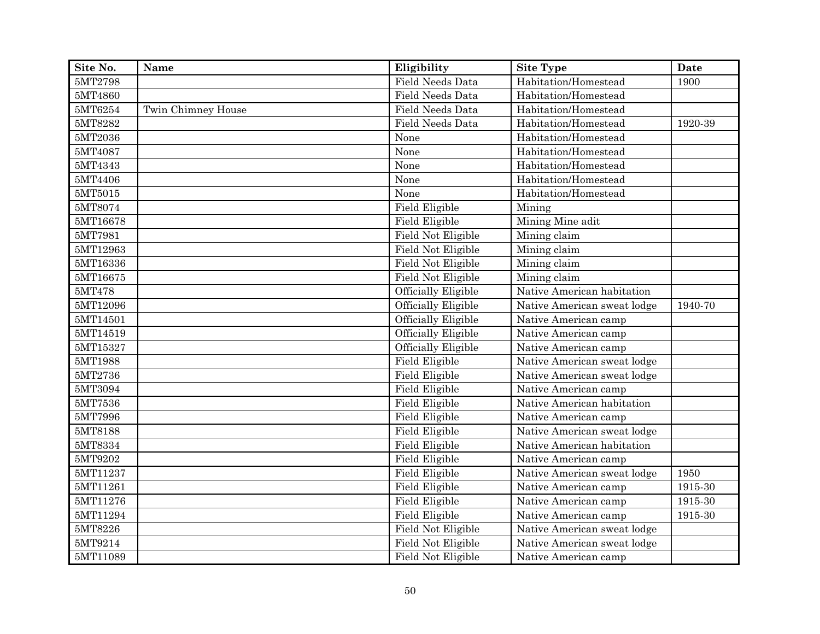| Site No.           | Name               | Eligibility             | <b>Site Type</b>            | Date    |
|--------------------|--------------------|-------------------------|-----------------------------|---------|
| 5MT2798            |                    | Field Needs Data        | Habitation/Homestead        | 1900    |
| 5MT4860            |                    | Field Needs Data        | Habitation/Homestead        |         |
| 5MT6254            | Twin Chimney House | Field Needs Data        | Habitation/Homestead        |         |
| 5MT8282            |                    | <b>Field Needs Data</b> | Habitation/Homestead        | 1920-39 |
| 5MT2036            |                    | None                    | Habitation/Homestead        |         |
| 5MT4087            |                    | None                    | Habitation/Homestead        |         |
| 5MT4343            |                    | None                    | Habitation/Homestead        |         |
| 5MT4406            |                    | None                    | Habitation/Homestead        |         |
| $5\mathrm{MT}5015$ |                    | None                    | Habitation/Homestead        |         |
| 5MT8074            |                    | <b>Field Eligible</b>   | Mining                      |         |
| 5MT16678           |                    | Field Eligible          | Mining Mine adit            |         |
| 5MT7981            |                    | Field Not Eligible      | Mining claim                |         |
| 5MT12963           |                    | Field Not Eligible      | Mining claim                |         |
| 5MT16336           |                    | Field Not Eligible      | Mining claim                |         |
| 5MT16675           |                    | Field Not Eligible      | Mining claim                |         |
| 5MT478             |                    | Officially Eligible     | Native American habitation  |         |
| 5MT12096           |                    | Officially Eligible     | Native American sweat lodge | 1940-70 |
| 5MT14501           |                    | Officially Eligible     | Native American camp        |         |
| 5MT14519           |                    | Officially Eligible     | Native American camp        |         |
| 5MT15327           |                    | Officially Eligible     | Native American camp        |         |
| 5MT1988            |                    | <b>Field Eligible</b>   | Native American sweat lodge |         |
| 5MT2736            |                    | <b>Field Eligible</b>   | Native American sweat lodge |         |
| 5MT3094            |                    | Field Eligible          | Native American camp        |         |
| 5MT7536            |                    | <b>Field Eligible</b>   | Native American habitation  |         |
| 5MT7996            |                    | Field Eligible          | Native American camp        |         |
| 5MT8188            |                    | Field Eligible          | Native American sweat lodge |         |
| 5MT8334            |                    | Field Eligible          | Native American habitation  |         |
| 5MT9202            |                    | <b>Field Eligible</b>   | Native American camp        |         |
| 5MT11237           |                    | Field Eligible          | Native American sweat lodge | 1950    |
| 5MT11261           |                    | Field Eligible          | Native American camp        | 1915-30 |
| 5MT11276           |                    | <b>Field Eligible</b>   | Native American camp        | 1915-30 |
| 5MT11294           |                    | Field Eligible          | Native American camp        | 1915-30 |
| 5MT8226            |                    | Field Not Eligible      | Native American sweat lodge |         |
| 5MT9214            |                    | Field Not Eligible      | Native American sweat lodge |         |
| 5MT11089           |                    | Field Not Eligible      | Native American camp        |         |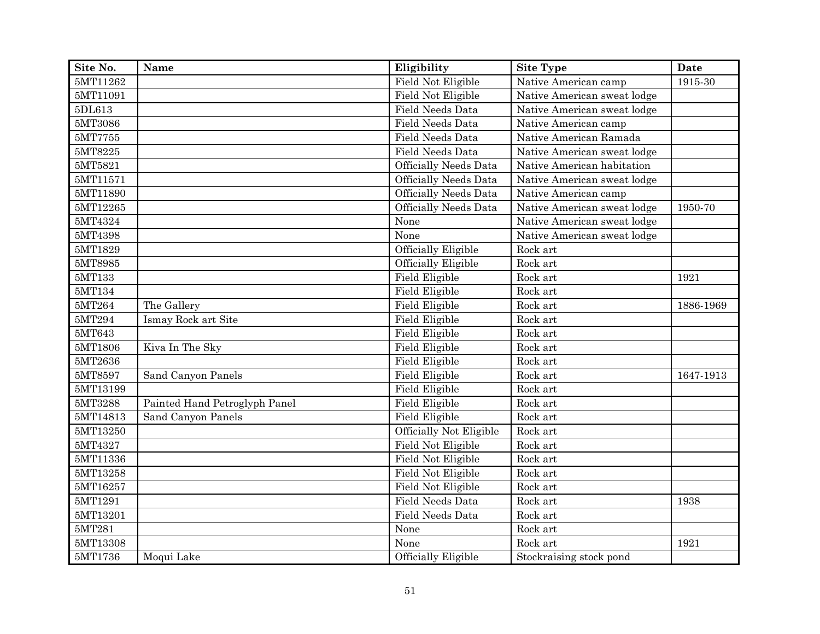| Site No.                 | Name                          | Eligibility                    | <b>Site Type</b>            | Date      |
|--------------------------|-------------------------------|--------------------------------|-----------------------------|-----------|
| 5MT11262                 |                               | Field Not Eligible             | Native American camp        | 1915-30   |
| 5MT11091                 |                               | Field Not Eligible             | Native American sweat lodge |           |
| 5DL613                   |                               | <b>Field Needs Data</b>        | Native American sweat lodge |           |
| 5MT3086                  |                               | Field Needs Data               | Native American camp        |           |
| $\overline{\rm 5MT7755}$ |                               | Field Needs Data               | Native American Ramada      |           |
| 5MT8225                  |                               | Field Needs Data               | Native American sweat lodge |           |
| 5MT5821                  |                               | <b>Officially Needs Data</b>   | Native American habitation  |           |
| 5MT11571                 |                               | <b>Officially Needs Data</b>   | Native American sweat lodge |           |
| 5MT11890                 |                               | <b>Officially Needs Data</b>   | Native American camp        |           |
| 5MT12265                 |                               | <b>Officially Needs Data</b>   | Native American sweat lodge | 1950-70   |
| 5MT4324                  |                               | None                           | Native American sweat lodge |           |
| 5MT4398                  |                               | None                           | Native American sweat lodge |           |
| 5MT1829                  |                               | Officially Eligible            | Rock art                    |           |
| 5MT8985                  |                               | Officially Eligible            | Rock art                    |           |
| 5MT133                   |                               | Field Eligible                 | Rock art                    | 1921      |
| 5MT134                   |                               | Field Eligible                 | Rock art                    |           |
| 5MT264                   | The Gallery                   | Field Eligible                 | Rock art                    | 1886-1969 |
| 5MT294                   | Ismay Rock art Site           | Field Eligible                 | Rock art                    |           |
| 5MT643                   |                               | Field Eligible                 | Rock art                    |           |
| 5MT1806                  | Kiva In The Sky               | Field Eligible                 | Rock art                    |           |
| 5MT2636                  |                               | <b>Field Eligible</b>          | Rock art                    |           |
| 5MT8597                  | Sand Canyon Panels            | <b>Field Eligible</b>          | Rock art                    | 1647-1913 |
| 5MT13199                 |                               | <b>Field Eligible</b>          | Rock art                    |           |
| 5MT3288                  | Painted Hand Petroglyph Panel | Field Eligible                 | Rock art                    |           |
| 5MT14813                 | Sand Canyon Panels            | <b>Field Eligible</b>          | Rock art                    |           |
| 5MT13250                 |                               | <b>Officially Not Eligible</b> | Rock art                    |           |
| 5MT4327                  |                               | <b>Field Not Eligible</b>      | Rock art                    |           |
| 5MT11336                 |                               | Field Not Eligible             | Rock art                    |           |
| 5MT13258                 |                               | Field Not Eligible             | Rock art                    |           |
| 5MT16257                 |                               | Field Not Eligible             | Rock art                    |           |
| 5MT1291                  |                               | Field Needs Data               | Rock art                    | 1938      |
| 5MT13201                 |                               | Field Needs Data               | Rock art                    |           |
| 5MT281                   |                               | None                           | Rock art                    |           |
| 5MT13308                 |                               | None                           | Rock art                    | 1921      |
| 5MT1736                  | Moqui Lake                    | Officially Eligible            | Stockraising stock pond     |           |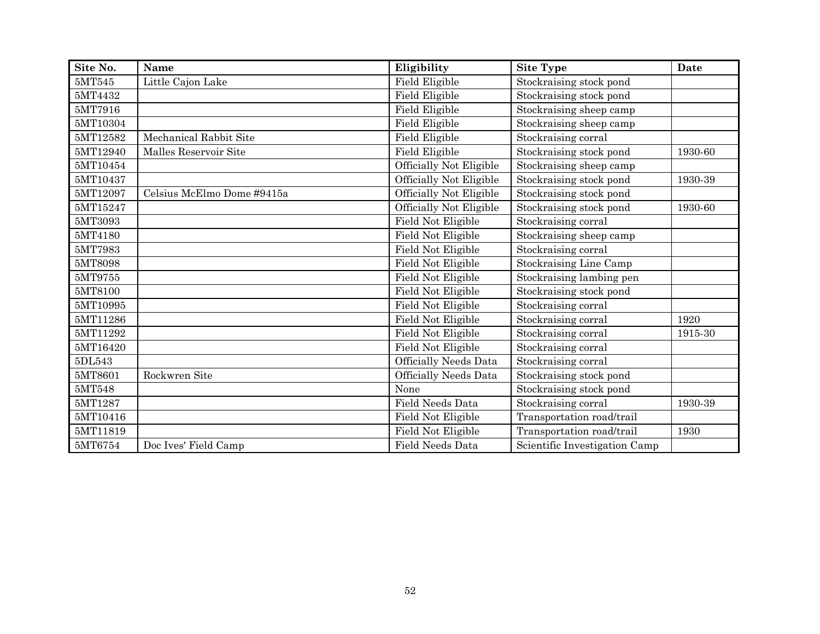| Site No. | Name                       | Eligibility                  | <b>Site Type</b>              | Date    |
|----------|----------------------------|------------------------------|-------------------------------|---------|
| 5MT545   | Little Cajon Lake          | Field Eligible               | Stockraising stock pond       |         |
| 5MT4432  |                            | Field Eligible               | Stockraising stock pond       |         |
| 5MT7916  |                            | Field Eligible               | Stockraising sheep camp       |         |
| 5MT10304 |                            | Field Eligible               | Stockraising sheep camp       |         |
| 5MT12582 | Mechanical Rabbit Site     | Field Eligible               | Stockraising corral           |         |
| 5MT12940 | Malles Reservoir Site      | Field Eligible               | Stockraising stock pond       | 1930-60 |
| 5MT10454 |                            | Officially Not Eligible      | Stockraising sheep camp       |         |
| 5MT10437 |                            | Officially Not Eligible      | Stockraising stock pond       | 1930-39 |
| 5MT12097 | Celsius McElmo Dome #9415a | Officially Not Eligible      | Stockraising stock pond       |         |
| 5MT15247 |                            | Officially Not Eligible      | Stockraising stock pond       | 1930-60 |
| 5MT3093  |                            | Field Not Eligible           | Stockraising corral           |         |
| 5MT4180  |                            | Field Not Eligible           | Stockraising sheep camp       |         |
| 5MT7983  |                            | Field Not Eligible           | Stockraising corral           |         |
| 5MT8098  |                            | Field Not Eligible           | Stockraising Line Camp        |         |
| 5MT9755  |                            | Field Not Eligible           | Stockraising lambing pen      |         |
| 5MT8100  |                            | Field Not Eligible           | Stockraising stock pond       |         |
| 5MT10995 |                            | Field Not Eligible           | Stockraising corral           |         |
| 5MT11286 |                            | Field Not Eligible           | Stockraising corral           | 1920    |
| 5MT11292 |                            | Field Not Eligible           | Stockraising corral           | 1915-30 |
| 5MT16420 |                            | Field Not Eligible           | Stockraising corral           |         |
| 5DL543   |                            | <b>Officially Needs Data</b> | Stockraising corral           |         |
| 5MT8601  | Rockwren Site              | <b>Officially Needs Data</b> | Stockraising stock pond       |         |
| 5MT548   |                            | None                         | Stockraising stock pond       |         |
| 5MT1287  |                            | Field Needs Data             | Stockraising corral           | 1930-39 |
| 5MT10416 |                            | Field Not Eligible           | Transportation road/trail     |         |
| 5MT11819 |                            | Field Not Eligible           | Transportation road/trail     | 1930    |
| 5MT6754  | Doc Ives' Field Camp       | <b>Field Needs Data</b>      | Scientific Investigation Camp |         |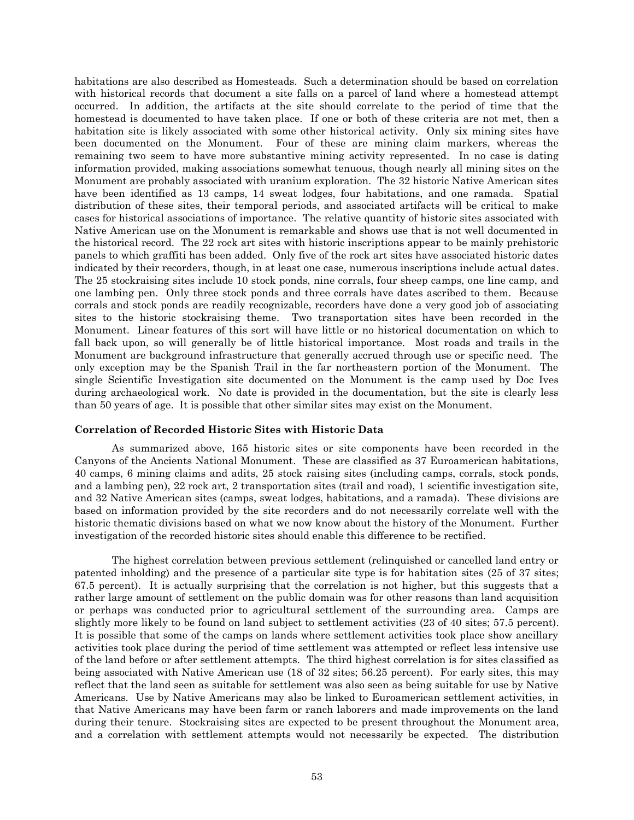habitations are also described as Homesteads. Such a determination should be based on correlation with historical records that document a site falls on a parcel of land where a homestead attempt occurred. In addition, the artifacts at the site should correlate to the period of time that the homestead is documented to have taken place. If one or both of these criteria are not met, then a habitation site is likely associated with some other historical activity. Only six mining sites have been documented on the Monument. Four of these are mining claim markers, whereas the remaining two seem to have more substantive mining activity represented. In no case is dating information provided, making associations somewhat tenuous, though nearly all mining sites on the Monument are probably associated with uranium exploration. The 32 historic Native American sites have been identified as 13 camps, 14 sweat lodges, four habitations, and one ramada. Spatial distribution of these sites, their temporal periods, and associated artifacts will be critical to make cases for historical associations of importance. The relative quantity of historic sites associated with Native American use on the Monument is remarkable and shows use that is not well documented in the historical record. The 22 rock art sites with historic inscriptions appear to be mainly prehistoric panels to which graffiti has been added. Only five of the rock art sites have associated historic dates indicated by their recorders, though, in at least one case, numerous inscriptions include actual dates. The 25 stockraising sites include 10 stock ponds, nine corrals, four sheep camps, one line camp, and one lambing pen. Only three stock ponds and three corrals have dates ascribed to them. Because corrals and stock ponds are readily recognizable, recorders have done a very good job of associating sites to the historic stockraising theme. Two transportation sites have been recorded in the Monument. Linear features of this sort will have little or no historical documentation on which to fall back upon, so will generally be of little historical importance. Most roads and trails in the Monument are background infrastructure that generally accrued through use or specific need. The only exception may be the Spanish Trail in the far northeastern portion of the Monument. The single Scientific Investigation site documented on the Monument is the camp used by Doc Ives during archaeological work. No date is provided in the documentation, but the site is clearly less than 50 years of age. It is possible that other similar sites may exist on the Monument.

## **Correlation of Recorded Historic Sites with Historic Data**

As summarized above, 165 historic sites or site components have been recorded in the Canyons of the Ancients National Monument. These are classified as 37 Euroamerican habitations, 40 camps, 6 mining claims and adits, 25 stock raising sites (including camps, corrals, stock ponds, and a lambing pen), 22 rock art, 2 transportation sites (trail and road), 1 scientific investigation site, and 32 Native American sites (camps, sweat lodges, habitations, and a ramada). These divisions are based on information provided by the site recorders and do not necessarily correlate well with the historic thematic divisions based on what we now know about the history of the Monument. Further investigation of the recorded historic sites should enable this difference to be rectified.

The highest correlation between previous settlement (relinquished or cancelled land entry or patented inholding) and the presence of a particular site type is for habitation sites (25 of 37 sites; 67.5 percent). It is actually surprising that the correlation is not higher, but this suggests that a rather large amount of settlement on the public domain was for other reasons than land acquisition or perhaps was conducted prior to agricultural settlement of the surrounding area. Camps are slightly more likely to be found on land subject to settlement activities (23 of 40 sites; 57.5 percent). It is possible that some of the camps on lands where settlement activities took place show ancillary activities took place during the period of time settlement was attempted or reflect less intensive use of the land before or after settlement attempts. The third highest correlation is for sites classified as being associated with Native American use (18 of 32 sites; 56.25 percent). For early sites, this may reflect that the land seen as suitable for settlement was also seen as being suitable for use by Native Americans. Use by Native Americans may also be linked to Euroamerican settlement activities, in that Native Americans may have been farm or ranch laborers and made improvements on the land during their tenure. Stockraising sites are expected to be present throughout the Monument area, and a correlation with settlement attempts would not necessarily be expected. The distribution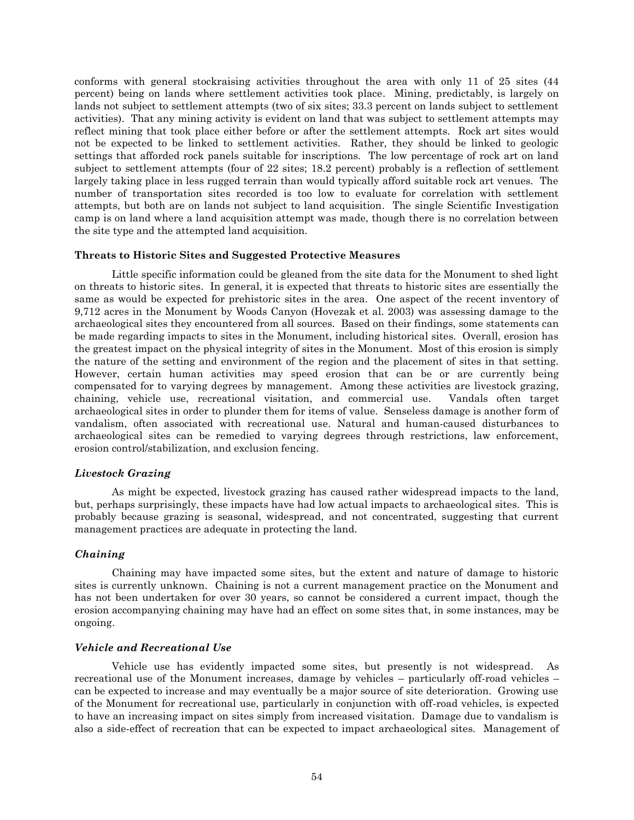conforms with general stockraising activities throughout the area with only 11 of 25 sites (44 percent) being on lands where settlement activities took place. Mining, predictably, is largely on lands not subject to settlement attempts (two of six sites; 33.3 percent on lands subject to settlement activities). That any mining activity is evident on land that was subject to settlement attempts may reflect mining that took place either before or after the settlement attempts. Rock art sites would not be expected to be linked to settlement activities. Rather, they should be linked to geologic settings that afforded rock panels suitable for inscriptions. The low percentage of rock art on land subject to settlement attempts (four of 22 sites; 18.2 percent) probably is a reflection of settlement largely taking place in less rugged terrain than would typically afford suitable rock art venues. The number of transportation sites recorded is too low to evaluate for correlation with settlement attempts, but both are on lands not subject to land acquisition. The single Scientific Investigation camp is on land where a land acquisition attempt was made, though there is no correlation between the site type and the attempted land acquisition.

#### **Threats to Historic Sites and Suggested Protective Measures**

Little specific information could be gleaned from the site data for the Monument to shed light on threats to historic sites. In general, it is expected that threats to historic sites are essentially the same as would be expected for prehistoric sites in the area. One aspect of the recent inventory of 9,712 acres in the Monument by Woods Canyon (Hovezak et al. 2003) was assessing damage to the archaeological sites they encountered from all sources. Based on their findings, some statements can be made regarding impacts to sites in the Monument, including historical sites. Overall, erosion has the greatest impact on the physical integrity of sites in the Monument. Most of this erosion is simply the nature of the setting and environment of the region and the placement of sites in that setting. However, certain human activities may speed erosion that can be or are currently being compensated for to varying degrees by management. Among these activities are livestock grazing, chaining, vehicle use, recreational visitation, and commercial use. Vandals often target archaeological sites in order to plunder them for items of value. Senseless damage is another form of vandalism, often associated with recreational use. Natural and human-caused disturbances to archaeological sites can be remedied to varying degrees through restrictions, law enforcement, erosion control/stabilization, and exclusion fencing.

## *Livestock Grazing*

As might be expected, livestock grazing has caused rather widespread impacts to the land, but, perhaps surprisingly, these impacts have had low actual impacts to archaeological sites. This is probably because grazing is seasonal, widespread, and not concentrated, suggesting that current management practices are adequate in protecting the land.

#### *Chaining*

Chaining may have impacted some sites, but the extent and nature of damage to historic sites is currently unknown. Chaining is not a current management practice on the Monument and has not been undertaken for over 30 years, so cannot be considered a current impact, though the erosion accompanying chaining may have had an effect on some sites that, in some instances, may be ongoing.

### *Vehicle and Recreational Use*

Vehicle use has evidently impacted some sites, but presently is not widespread. As recreational use of the Monument increases, damage by vehicles – particularly off-road vehicles – can be expected to increase and may eventually be a major source of site deterioration. Growing use of the Monument for recreational use, particularly in conjunction with off-road vehicles, is expected to have an increasing impact on sites simply from increased visitation. Damage due to vandalism is also a side-effect of recreation that can be expected to impact archaeological sites. Management of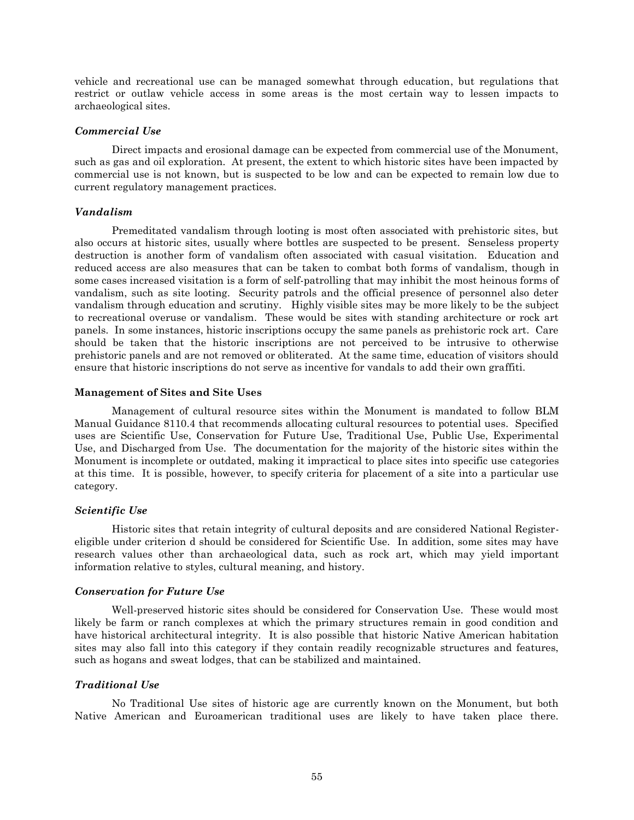vehicle and recreational use can be managed somewhat through education, but regulations that restrict or outlaw vehicle access in some areas is the most certain way to lessen impacts to archaeological sites.

## *Commercial Use*

Direct impacts and erosional damage can be expected from commercial use of the Monument, such as gas and oil exploration. At present, the extent to which historic sites have been impacted by commercial use is not known, but is suspected to be low and can be expected to remain low due to current regulatory management practices.

## *Vandalism*

Premeditated vandalism through looting is most often associated with prehistoric sites, but also occurs at historic sites, usually where bottles are suspected to be present. Senseless property destruction is another form of vandalism often associated with casual visitation. Education and reduced access are also measures that can be taken to combat both forms of vandalism, though in some cases increased visitation is a form of self-patrolling that may inhibit the most heinous forms of vandalism, such as site looting. Security patrols and the official presence of personnel also deter vandalism through education and scrutiny. Highly visible sites may be more likely to be the subject to recreational overuse or vandalism. These would be sites with standing architecture or rock art panels. In some instances, historic inscriptions occupy the same panels as prehistoric rock art. Care should be taken that the historic inscriptions are not perceived to be intrusive to otherwise prehistoric panels and are not removed or obliterated. At the same time, education of visitors should ensure that historic inscriptions do not serve as incentive for vandals to add their own graffiti.

## **Management of Sites and Site Uses**

Management of cultural resource sites within the Monument is mandated to follow BLM Manual Guidance 8110.4 that recommends allocating cultural resources to potential uses. Specified uses are Scientific Use, Conservation for Future Use, Traditional Use, Public Use, Experimental Use, and Discharged from Use. The documentation for the majority of the historic sites within the Monument is incomplete or outdated, making it impractical to place sites into specific use categories at this time. It is possible, however, to specify criteria for placement of a site into a particular use category.

## *Scientific Use*

Historic sites that retain integrity of cultural deposits and are considered National Registereligible under criterion d should be considered for Scientific Use. In addition, some sites may have research values other than archaeological data, such as rock art, which may yield important information relative to styles, cultural meaning, and history.

## *Conservation for Future Use*

Well-preserved historic sites should be considered for Conservation Use. These would most likely be farm or ranch complexes at which the primary structures remain in good condition and have historical architectural integrity. It is also possible that historic Native American habitation sites may also fall into this category if they contain readily recognizable structures and features, such as hogans and sweat lodges, that can be stabilized and maintained.

## *Traditional Use*

No Traditional Use sites of historic age are currently known on the Monument, but both Native American and Euroamerican traditional uses are likely to have taken place there.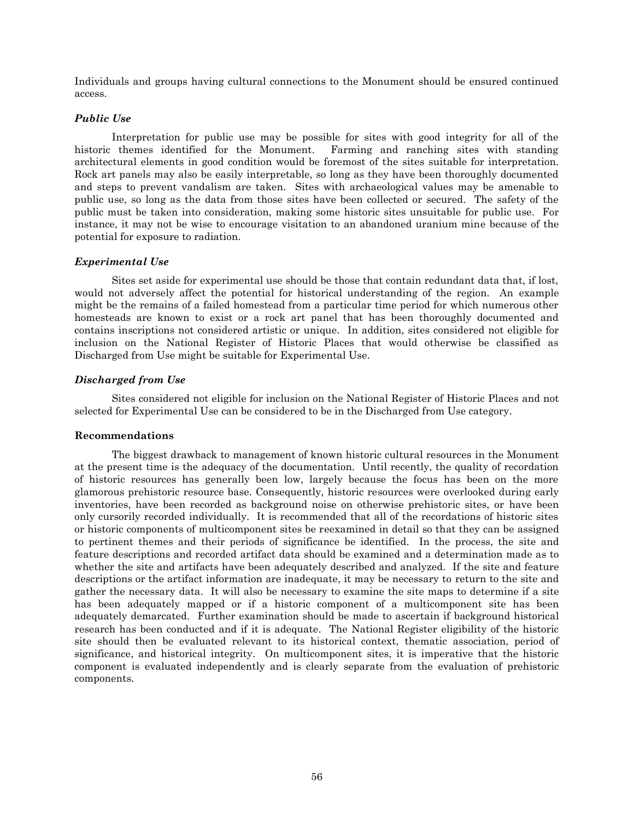Individuals and groups having cultural connections to the Monument should be ensured continued access.

## *Public Use*

Interpretation for public use may be possible for sites with good integrity for all of the historic themes identified for the Monument. Farming and ranching sites with standing architectural elements in good condition would be foremost of the sites suitable for interpretation. Rock art panels may also be easily interpretable, so long as they have been thoroughly documented and steps to prevent vandalism are taken. Sites with archaeological values may be amenable to public use, so long as the data from those sites have been collected or secured. The safety of the public must be taken into consideration, making some historic sites unsuitable for public use. For instance, it may not be wise to encourage visitation to an abandoned uranium mine because of the potential for exposure to radiation.

## *Experimental Use*

Sites set aside for experimental use should be those that contain redundant data that, if lost, would not adversely affect the potential for historical understanding of the region. An example might be the remains of a failed homestead from a particular time period for which numerous other homesteads are known to exist or a rock art panel that has been thoroughly documented and contains inscriptions not considered artistic or unique. In addition, sites considered not eligible for inclusion on the National Register of Historic Places that would otherwise be classified as Discharged from Use might be suitable for Experimental Use.

## *Discharged from Use*

Sites considered not eligible for inclusion on the National Register of Historic Places and not selected for Experimental Use can be considered to be in the Discharged from Use category.

## **Recommendations**

The biggest drawback to management of known historic cultural resources in the Monument at the present time is the adequacy of the documentation. Until recently, the quality of recordation of historic resources has generally been low, largely because the focus has been on the more glamorous prehistoric resource base. Consequently, historic resources were overlooked during early inventories, have been recorded as background noise on otherwise prehistoric sites, or have been only cursorily recorded individually. It is recommended that all of the recordations of historic sites or historic components of multicomponent sites be reexamined in detail so that they can be assigned to pertinent themes and their periods of significance be identified. In the process, the site and feature descriptions and recorded artifact data should be examined and a determination made as to whether the site and artifacts have been adequately described and analyzed. If the site and feature descriptions or the artifact information are inadequate, it may be necessary to return to the site and gather the necessary data. It will also be necessary to examine the site maps to determine if a site has been adequately mapped or if a historic component of a multicomponent site has been adequately demarcated. Further examination should be made to ascertain if background historical research has been conducted and if it is adequate. The National Register eligibility of the historic site should then be evaluated relevant to its historical context, thematic association, period of significance, and historical integrity. On multicomponent sites, it is imperative that the historic component is evaluated independently and is clearly separate from the evaluation of prehistoric components.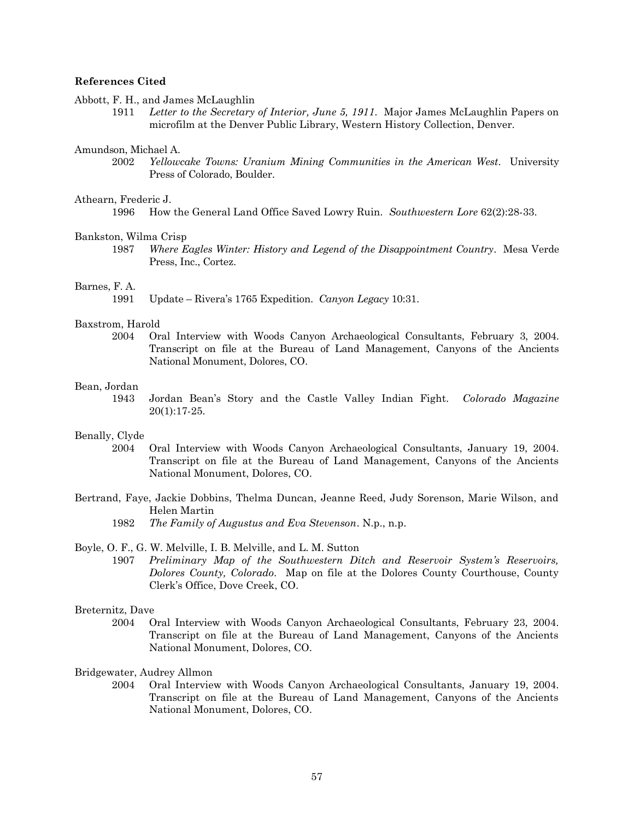#### **References Cited**

Abbott, F. H., and James McLaughlin

1911 *Letter to the Secretary of Interior, June 5, 1911*. Major James McLaughlin Papers on microfilm at the Denver Public Library, Western History Collection, Denver.

#### Amundson, Michael A.

2002 *Yellowcake Towns: Uranium Mining Communities in the American West*. University Press of Colorado, Boulder.

#### Athearn, Frederic J.

1996 How the General Land Office Saved Lowry Ruin. *Southwestern Lore* 62(2):28-33.

#### Bankston, Wilma Crisp

1987 *Where Eagles Winter: History and Legend of the Disappointment Country*. Mesa Verde Press, Inc., Cortez.

#### Barnes, F. A.

1991 Update – Rivera's 1765 Expedition. *Canyon Legacy* 10:31.

#### Baxstrom, Harold

2004 Oral Interview with Woods Canyon Archaeological Consultants, February 3, 2004. Transcript on file at the Bureau of Land Management, Canyons of the Ancients National Monument, Dolores, CO.

## Bean, Jordan

1943 Jordan Bean's Story and the Castle Valley Indian Fight. *Colorado Magazine* 20(1):17-25.

#### Benally, Clyde

- 2004 Oral Interview with Woods Canyon Archaeological Consultants, January 19, 2004. Transcript on file at the Bureau of Land Management, Canyons of the Ancients National Monument, Dolores, CO.
- Bertrand, Faye, Jackie Dobbins, Thelma Duncan, Jeanne Reed, Judy Sorenson, Marie Wilson, and Helen Martin
	- 1982 *The Family of Augustus and Eva Stevenson*. N.p., n.p.

### Boyle, O. F., G. W. Melville, I. B. Melville, and L. M. Sutton

1907 *Preliminary Map of the Southwestern Ditch and Reservoir System's Reservoirs, Dolores County, Colorado*. Map on file at the Dolores County Courthouse, County Clerk's Office, Dove Creek, CO.

## Breternitz, Dave

2004 Oral Interview with Woods Canyon Archaeological Consultants, February 23, 2004. Transcript on file at the Bureau of Land Management, Canyons of the Ancients National Monument, Dolores, CO.

## Bridgewater, Audrey Allmon

2004 Oral Interview with Woods Canyon Archaeological Consultants, January 19, 2004. Transcript on file at the Bureau of Land Management, Canyons of the Ancients National Monument, Dolores, CO.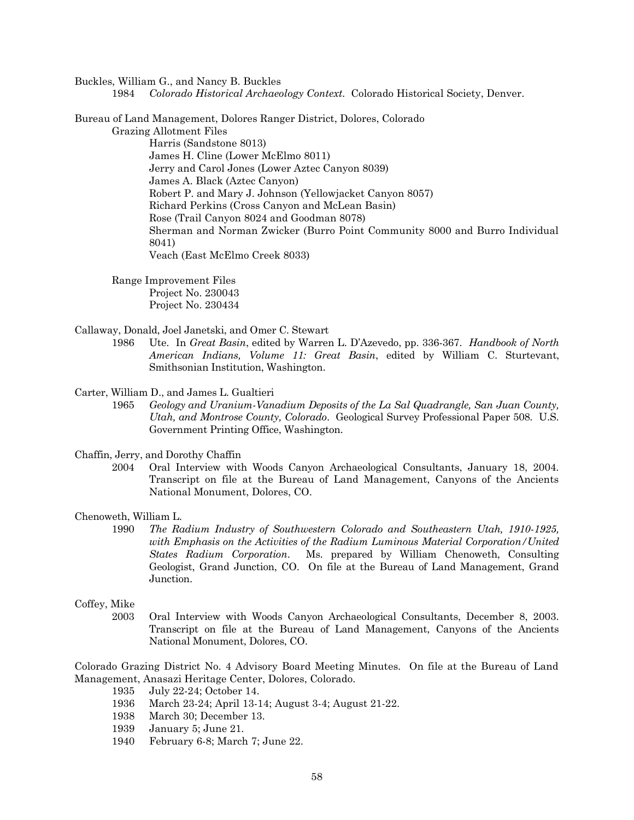Buckles, William G., and Nancy B. Buckles

1984 *Colorado Historical Archaeology Context.* Colorado Historical Society, Denver.

Bureau of Land Management, Dolores Ranger District, Dolores, Colorado

Grazing Allotment Files Harris (Sandstone 8013) James H. Cline (Lower McElmo 8011) Jerry and Carol Jones (Lower Aztec Canyon 8039) James A. Black (Aztec Canyon) Robert P. and Mary J. Johnson (Yellowjacket Canyon 8057) Richard Perkins (Cross Canyon and McLean Basin) Rose (Trail Canyon 8024 and Goodman 8078) Sherman and Norman Zwicker (Burro Point Community 8000 and Burro Individual 8041) Veach (East McElmo Creek 8033)

Range Improvement Files Project No. 230043 Project No. 230434

Callaway, Donald, Joel Janetski, and Omer C. Stewart

1986 Ute. In *Great Basin*, edited by Warren L. D'Azevedo, pp. 336-367. *Handbook of North American Indians, Volume 11: Great Basin*, edited by William C. Sturtevant, Smithsonian Institution, Washington.

Carter, William D., and James L. Gualtieri

1965 *Geology and Uranium-Vanadium Deposits of the La Sal Quadrangle, San Juan County, Utah, and Montrose County, Colorado*. Geological Survey Professional Paper 508. U.S. Government Printing Office, Washington.

Chaffin, Jerry, and Dorothy Chaffin

2004 Oral Interview with Woods Canyon Archaeological Consultants, January 18, 2004. Transcript on file at the Bureau of Land Management, Canyons of the Ancients National Monument, Dolores, CO.

Chenoweth, William L.

1990 *The Radium Industry of Southwestern Colorado and Southeastern Utah, 1910-1925, with Emphasis on the Activities of the Radium Luminous Material Corporation/United States Radium Corporation*. Ms. prepared by William Chenoweth, Consulting Geologist, Grand Junction, CO. On file at the Bureau of Land Management, Grand Junction.

## Coffey, Mike

2003 Oral Interview with Woods Canyon Archaeological Consultants, December 8, 2003. Transcript on file at the Bureau of Land Management, Canyons of the Ancients National Monument, Dolores, CO.

Colorado Grazing District No. 4 Advisory Board Meeting Minutes. On file at the Bureau of Land Management, Anasazi Heritage Center, Dolores, Colorado.

- 1935 July 22-24; October 14.
- 1936 March 23-24; April 13-14; August 3-4; August 21-22.
- 1938 March 30; December 13.
- 1939 January 5; June 21.
- 1940 February 6-8; March 7; June 22.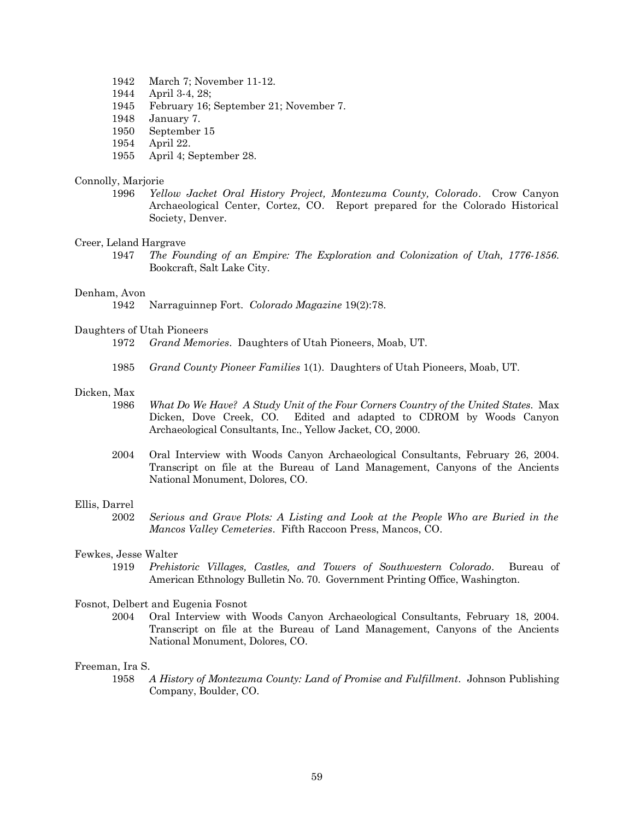- 1942 March 7; November 11-12.
- 1944 April 3-4, 28;
- 1945 February 16; September 21; November 7.
- 1948 January 7.
- 1950 September 15
- 1954 April 22.
- 1955 April 4; September 28.

#### Connolly, Marjorie

1996 *Yellow Jacket Oral History Project, Montezuma County, Colorado*. Crow Canyon Archaeological Center, Cortez, CO. Report prepared for the Colorado Historical Society, Denver.

#### Creer, Leland Hargrave

1947 *The Founding of an Empire: The Exploration and Colonization of Utah, 1776-1856*. Bookcraft, Salt Lake City.

#### Denham, Avon

1942 Narraguinnep Fort. *Colorado Magazine* 19(2):78.

#### Daughters of Utah Pioneers

- 1972 *Grand Memories*. Daughters of Utah Pioneers, Moab, UT.
- 1985 *Grand County Pioneer Families* 1(1). Daughters of Utah Pioneers, Moab, UT.

## Dicken, Max

- 1986 *What Do We Have? A Study Unit of the Four Corners Country of the United States*. Max Dicken, Dove Creek, CO. Edited and adapted to CDROM by Woods Canyon Archaeological Consultants, Inc., Yellow Jacket, CO, 2000.
- 2004 Oral Interview with Woods Canyon Archaeological Consultants, February 26, 2004. Transcript on file at the Bureau of Land Management, Canyons of the Ancients National Monument, Dolores, CO.

#### Ellis, Darrel

2002 *Serious and Grave Plots: A Listing and Look at the People Who are Buried in the Mancos Valley Cemeteries*. Fifth Raccoon Press, Mancos, CO.

#### Fewkes, Jesse Walter

1919 *Prehistoric Villages, Castles, and Towers of Southwestern Colorado*. Bureau of American Ethnology Bulletin No. 70. Government Printing Office, Washington.

#### Fosnot, Delbert and Eugenia Fosnot

2004 Oral Interview with Woods Canyon Archaeological Consultants, February 18, 2004. Transcript on file at the Bureau of Land Management, Canyons of the Ancients National Monument, Dolores, CO.

#### Freeman, Ira S.

1958 *A History of Montezuma County: Land of Promise and Fulfillment*. Johnson Publishing Company, Boulder, CO.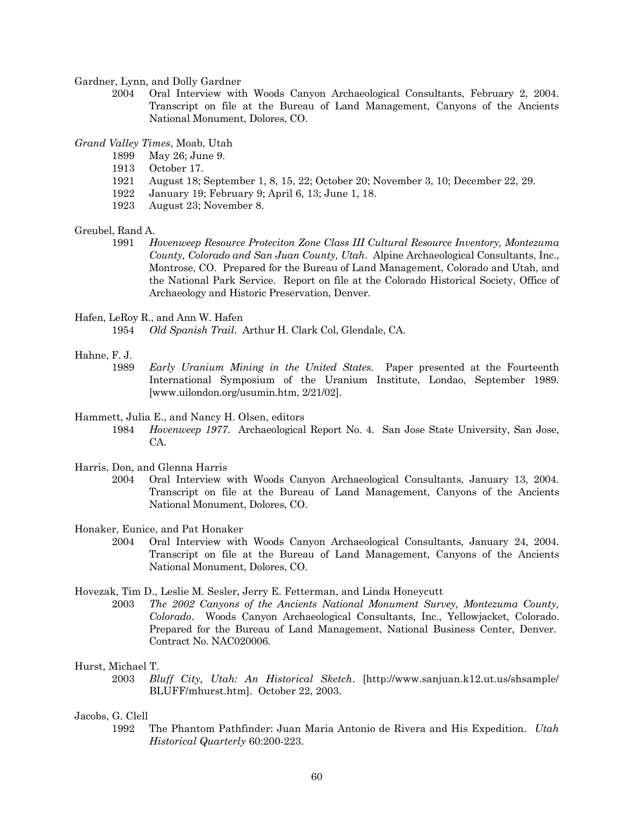Gardner, Lynn, and Dolly Gardner

2004 Oral Interview with Woods Canyon Archaeological Consultants, February 2, 2004. Transcript on file at the Bureau of Land Management, Canyons of the Ancients National Monument, Dolores, CO.

*Grand Valley Times*, Moab, Utah

- 1899 May 26; June 9.
- 1913 October 17.
- 1921 August 18; September 1, 8, 15, 22; October 20; November 3, 10; December 22, 29.
- 1922 January 19; February 9; April 6, 13; June 1, 18.
- 1923 August 23; November 8.

### Greubel, Rand A.

1991 *Hovenweep Resource Proteciton Zone Class III Cultural Resource Inventory, Montezuma County, Colorado and San Juan County, Utah*. Alpine Archaeological Consultants, Inc., Montrose, CO. Prepared for the Bureau of Land Management, Colorado and Utah, and the National Park Service. Report on file at the Colorado Historical Society, Office of Archaeology and Historic Preservation, Denver.

## Hafen, LeRoy R., and Ann W. Hafen

1954 *Old Spanish Trail*. Arthur H. Clark Col, Glendale, CA.

#### Hahne, F. J.

1989 *Early Uranium Mining in the United States.* Paper presented at the Fourteenth International Symposium of the Uranium Institute, Londao, September 1989. [www.uilondon.org/usumin.htm, 2/21/02].

#### Hammett, Julia E., and Nancy H. Olsen, editors

- 1984 *Hovenweep 1977*. Archaeological Report No. 4. San Jose State University, San Jose, CA.
- Harris, Don, and Glenna Harris
	- 2004 Oral Interview with Woods Canyon Archaeological Consultants, January 13, 2004. Transcript on file at the Bureau of Land Management, Canyons of the Ancients National Monument, Dolores, CO.
- Honaker, Eunice, and Pat Honaker
	- 2004 Oral Interview with Woods Canyon Archaeological Consultants, January 24, 2004. Transcript on file at the Bureau of Land Management, Canyons of the Ancients National Monument, Dolores, CO.

## Hovezak, Tim D., Leslie M. Sesler, Jerry E. Fetterman, and Linda Honeycutt

2003 *The 2002 Canyons of the Ancients National Monument Survey, Montezuma County, Colorado*. Woods Canyon Archaeological Consultants, Inc., Yellowjacket, Colorado. Prepared for the Bureau of Land Management, National Business Center, Denver. Contract No. NAC020006.

#### Hurst, Michael T.

2003 *Bluff City, Utah: An Historical Sketch*. [http://www.sanjuan.k12.ut.us/shsample/ BLUFF/mhurst.htm]. October 22, 2003.

## Jacobs, G. Clell

1992 The Phantom Pathfinder: Juan Maria Antonio de Rivera and His Expedition. *Utah Historical Quarterly* 60:200-223.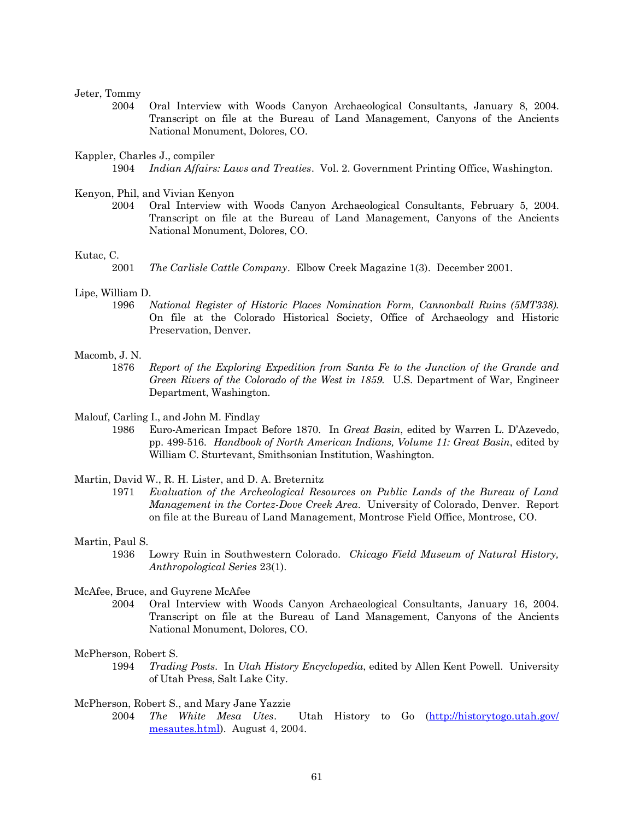### Jeter, Tommy

2004 Oral Interview with Woods Canyon Archaeological Consultants, January 8, 2004. Transcript on file at the Bureau of Land Management, Canyons of the Ancients National Monument, Dolores, CO.

#### Kappler, Charles J., compiler

1904 *Indian Affairs: Laws and Treaties*. Vol. 2. Government Printing Office, Washington.

#### Kenyon, Phil, and Vivian Kenyon

2004 Oral Interview with Woods Canyon Archaeological Consultants, February 5, 2004. Transcript on file at the Bureau of Land Management, Canyons of the Ancients National Monument, Dolores, CO.

#### Kutac, C.

#### Lipe, William D.

1996 *National Register of Historic Places Nomination Form, Cannonball Ruins (5MT338).* On file at the Colorado Historical Society, Office of Archaeology and Historic Preservation, Denver.

#### Macomb, J. N.

- 1876 *Report of the Exploring Expedition from Santa Fe to the Junction of the Grande and Green Rivers of the Colorado of the West in 1859.* U.S. Department of War, Engineer Department, Washington.
- Malouf, Carling I., and John M. Findlay
	- 1986 Euro-American Impact Before 1870. In *Great Basin*, edited by Warren L. D'Azevedo, pp. 499-516. *Handbook of North American Indians, Volume 11: Great Basin*, edited by William C. Sturtevant, Smithsonian Institution, Washington.

Martin, David W., R. H. Lister, and D. A. Breternitz

1971 *Evaluation of the Archeological Resources on Public Lands of the Bureau of Land Management in the Cortez-Dove Creek Area*. University of Colorado, Denver. Report on file at the Bureau of Land Management, Montrose Field Office, Montrose, CO.

#### Martin, Paul S.

1936 Lowry Ruin in Southwestern Colorado. *Chicago Field Museum of Natural History, Anthropological Series* 23(1).

## McAfee, Bruce, and Guyrene McAfee

2004 Oral Interview with Woods Canyon Archaeological Consultants, January 16, 2004. Transcript on file at the Bureau of Land Management, Canyons of the Ancients National Monument, Dolores, CO.

#### McPherson, Robert S.

1994 *Trading Posts*. In *Utah History Encyclopedia*, edited by Allen Kent Powell. University of Utah Press, Salt Lake City.

#### McPherson, Robert S., and Mary Jane Yazzie

2004 *The White Mesa Utes*. Utah History to Go [\(http://historytogo.utah.gov/](http://historytogo.utah.gov/%20mesautes.html)  [mesautes.html\)](http://historytogo.utah.gov/%20mesautes.html). August 4, 2004.

<sup>2001</sup> *The Carlisle Cattle Company*. Elbow Creek Magazine 1(3). December 2001.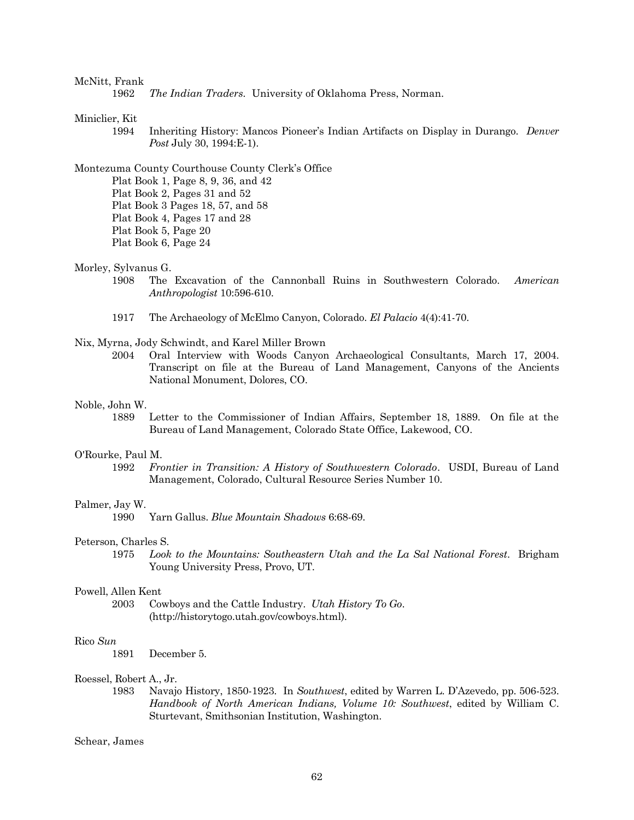#### McNitt, Frank

1962 *The Indian Traders.* University of Oklahoma Press, Norman.

## Miniclier, Kit

1994 Inheriting History: Mancos Pioneer's Indian Artifacts on Display in Durango. *Denver Post* July 30, 1994:E-1).

Montezuma County Courthouse County Clerk's Office

- Plat Book 1, Page 8, 9, 36, and 42 Plat Book 2, Pages 31 and 52 Plat Book 3 Pages 18, 57, and 58
- Plat Book 4, Pages 17 and 28
- Plat Book 5, Page 20
- Plat Book 6, Page 24

## Morley, Sylvanus G.

- 1908 The Excavation of the Cannonball Ruins in Southwestern Colorado. *American Anthropologist* 10:596-610.
- 1917 The Archaeology of McElmo Canyon, Colorado. *El Palacio* 4(4):41-70.

## Nix, Myrna, Jody Schwindt, and Karel Miller Brown

2004 Oral Interview with Woods Canyon Archaeological Consultants, March 17, 2004. Transcript on file at the Bureau of Land Management, Canyons of the Ancients National Monument, Dolores, CO.

#### Noble, John W.

1889 Letter to the Commissioner of Indian Affairs, September 18, 1889. On file at the Bureau of Land Management, Colorado State Office, Lakewood, CO.

#### O'Rourke, Paul M.

1992 *Frontier in Transition: A History of Southwestern Colorado*. USDI, Bureau of Land Management, Colorado, Cultural Resource Series Number 10.

#### Palmer, Jay W.

1990 Yarn Gallus. *Blue Mountain Shadows* 6:68-69.

#### Peterson, Charles S.

1975 *Look to the Mountains: Southeastern Utah and the La Sal National Forest*. Brigham Young University Press, Provo, UT.

#### Powell, Allen Kent

2003 Cowboys and the Cattle Industry. *Utah History To Go*. (http://historytogo.utah.gov/cowboys.html).

#### Rico *Sun*

1891 December 5.

## Roessel, Robert A., Jr.

1983 Navajo History, 1850-1923. In *Southwest*, edited by Warren L. D'Azevedo, pp. 506-523. *Handbook of North American Indians, Volume 10: Southwest*, edited by William C. Sturtevant, Smithsonian Institution, Washington.

## Schear, James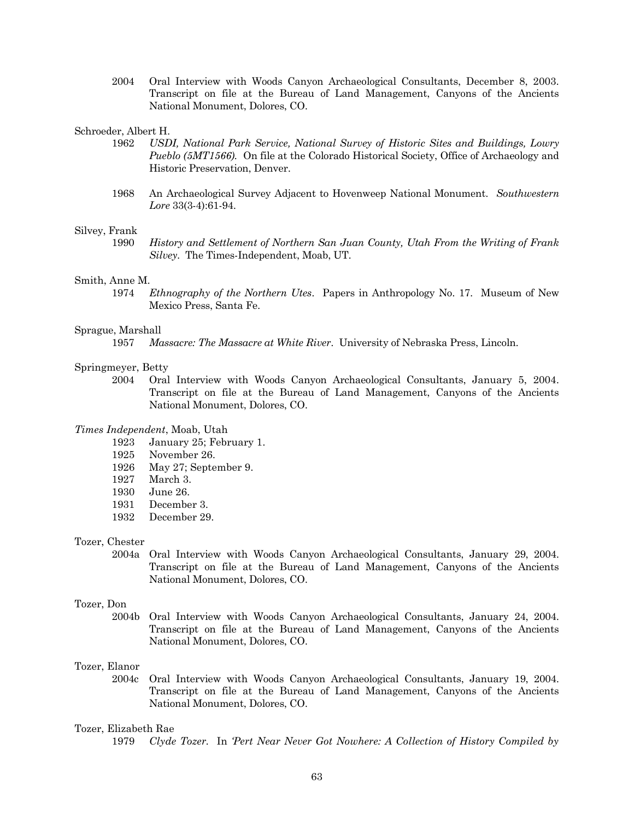2004 Oral Interview with Woods Canyon Archaeological Consultants, December 8, 2003. Transcript on file at the Bureau of Land Management, Canyons of the Ancients National Monument, Dolores, CO.

#### Schroeder, Albert H.

- 1962 *USDI, National Park Service, National Survey of Historic Sites and Buildings, Lowry Pueblo (5MT1566).* On file at the Colorado Historical Society, Office of Archaeology and Historic Preservation, Denver.
- 1968 An Archaeological Survey Adjacent to Hovenweep National Monument. *Southwestern Lore* 33(3-4):61-94.

#### Silvey, Frank

1990 *History and Settlement of Northern San Juan County, Utah From the Writing of Frank Silvey*. The Times-Independent, Moab, UT.

#### Smith, Anne M.

1974 *Ethnography of the Northern Utes*. Papers in Anthropology No. 17. Museum of New Mexico Press, Santa Fe.

## Sprague, Marshall

1957 *Massacre: The Massacre at White River*. University of Nebraska Press, Lincoln.

#### Springmeyer, Betty

2004 Oral Interview with Woods Canyon Archaeological Consultants, January 5, 2004. Transcript on file at the Bureau of Land Management, Canyons of the Ancients National Monument, Dolores, CO.

## *Times Independent*, Moab, Utah

- 1923 January 25; February 1.
- 1925 November 26.
- 1926 May 27; September 9.
- 1927 March 3.
- 1930 June 26.
- 1931 December 3.
- 1932 December 29.

#### Tozer, Chester

2004a Oral Interview with Woods Canyon Archaeological Consultants, January 29, 2004. Transcript on file at the Bureau of Land Management, Canyons of the Ancients National Monument, Dolores, CO.

#### Tozer, Don

2004b Oral Interview with Woods Canyon Archaeological Consultants, January 24, 2004. Transcript on file at the Bureau of Land Management, Canyons of the Ancients National Monument, Dolores, CO.

## Tozer, Elanor

2004c Oral Interview with Woods Canyon Archaeological Consultants, January 19, 2004. Transcript on file at the Bureau of Land Management, Canyons of the Ancients National Monument, Dolores, CO.

#### Tozer, Elizabeth Rae

1979 *Clyde Tozer.* In *'Pert Near Never Got Nowhere: A Collection of History Compiled by*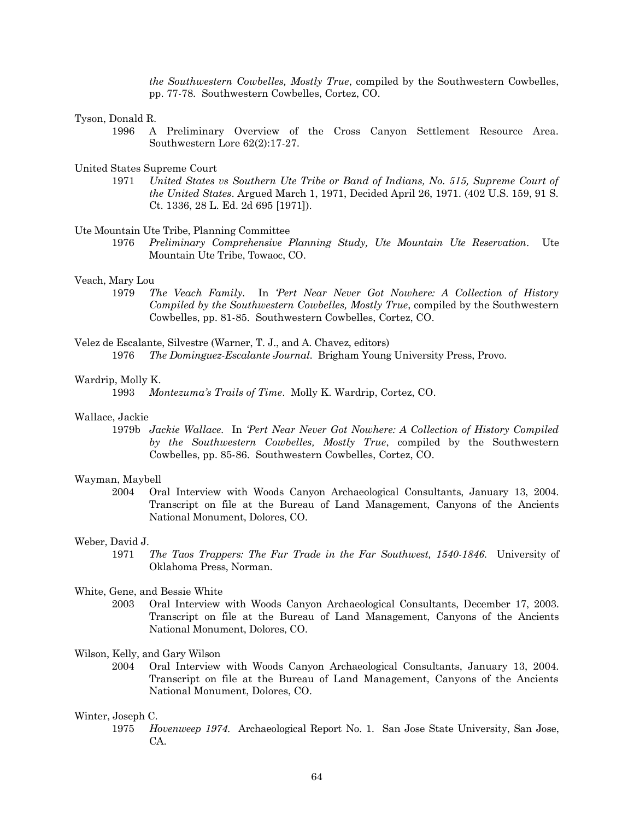*the Southwestern Cowbelles, Mostly True*, compiled by the Southwestern Cowbelles, pp. 77-78. Southwestern Cowbelles, Cortez, CO.

### Tyson, Donald R.

1996 A Preliminary Overview of the Cross Canyon Settlement Resource Area. Southwestern Lore 62(2):17-27.

#### United States Supreme Court

1971 *United States vs Southern Ute Tribe or Band of Indians, No. 515, Supreme Court of the United States*. Argued March 1, 1971, Decided April 26, 1971. (402 U.S. 159, 91 S. Ct. 1336, 28 L. Ed. 2d 695 [1971]).

#### Ute Mountain Ute Tribe, Planning Committee

1976 *Preliminary Comprehensive Planning Study, Ute Mountain Ute Reservation*. Ute Mountain Ute Tribe, Towaoc, CO.

#### Veach, Mary Lou

1979 *The Veach Family.* In *'Pert Near Never Got Nowhere: A Collection of History Compiled by the Southwestern Cowbelles, Mostly True*, compiled by the Southwestern Cowbelles, pp. 81-85. Southwestern Cowbelles, Cortez, CO.

## Velez de Escalante, Silvestre (Warner, T. J., and A. Chavez, editors) 1976 *The Dominguez-Escalante Journal*. Brigham Young University Press, Provo.

#### Wardrip, Molly K.

#### Wallace, Jackie

1979b *Jackie Wallace.* In *'Pert Near Never Got Nowhere: A Collection of History Compiled by the Southwestern Cowbelles, Mostly True*, compiled by the Southwestern Cowbelles, pp. 85-86. Southwestern Cowbelles, Cortez, CO.

### Wayman, Maybell

2004 Oral Interview with Woods Canyon Archaeological Consultants, January 13, 2004. Transcript on file at the Bureau of Land Management, Canyons of the Ancients National Monument, Dolores, CO.

#### Weber, David J.

1971 *The Taos Trappers: The Fur Trade in the Far Southwest, 1540-1846*. University of Oklahoma Press, Norman.

#### White, Gene, and Bessie White

2003 Oral Interview with Woods Canyon Archaeological Consultants, December 17, 2003. Transcript on file at the Bureau of Land Management, Canyons of the Ancients National Monument, Dolores, CO.

Wilson, Kelly, and Gary Wilson

2004 Oral Interview with Woods Canyon Archaeological Consultants, January 13, 2004. Transcript on file at the Bureau of Land Management, Canyons of the Ancients National Monument, Dolores, CO.

#### Winter, Joseph C.

1975 *Hovenweep 1974*. Archaeological Report No. 1. San Jose State University, San Jose, CA.

<sup>1993</sup> *Montezuma's Trails of Time*. Molly K. Wardrip, Cortez, CO.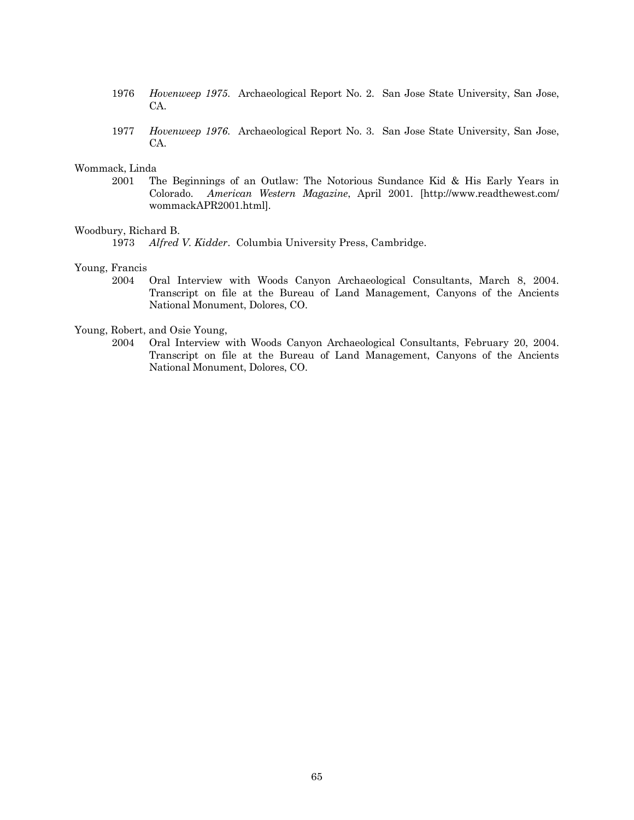- 1976 *Hovenweep 1975*. Archaeological Report No. 2. San Jose State University, San Jose, CA.
- 1977 *Hovenweep 1976*. Archaeological Report No. 3. San Jose State University, San Jose, CA.

## Wommack, Linda

2001 The Beginnings of an Outlaw: The Notorious Sundance Kid & His Early Years in Colorado. *American Western Magazine*, April 2001. [http://www.readthewest.com/ wommackAPR2001.html].

## Woodbury, Richard B.

1973 *Alfred V. Kidder*. Columbia University Press, Cambridge.

## Young, Francis

2004 Oral Interview with Woods Canyon Archaeological Consultants, March 8, 2004. Transcript on file at the Bureau of Land Management, Canyons of the Ancients National Monument, Dolores, CO.

#### Young, Robert, and Osie Young,

2004 Oral Interview with Woods Canyon Archaeological Consultants, February 20, 2004. Transcript on file at the Bureau of Land Management, Canyons of the Ancients National Monument, Dolores, CO.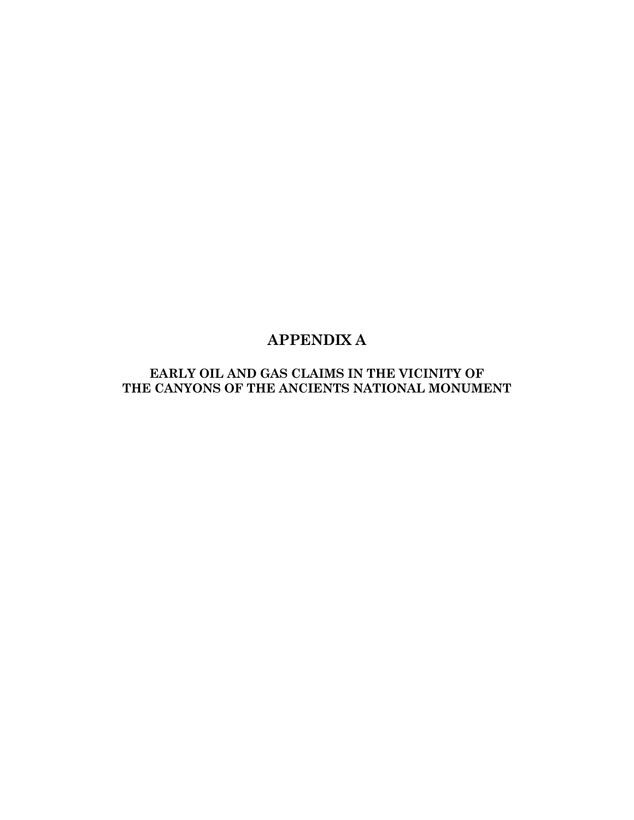# **APPENDIX A**

## **EARLY OIL AND GAS CLAIMS IN THE VICINITY OF THE CANYONS OF THE ANCIENTS NATIONAL MONUMENT**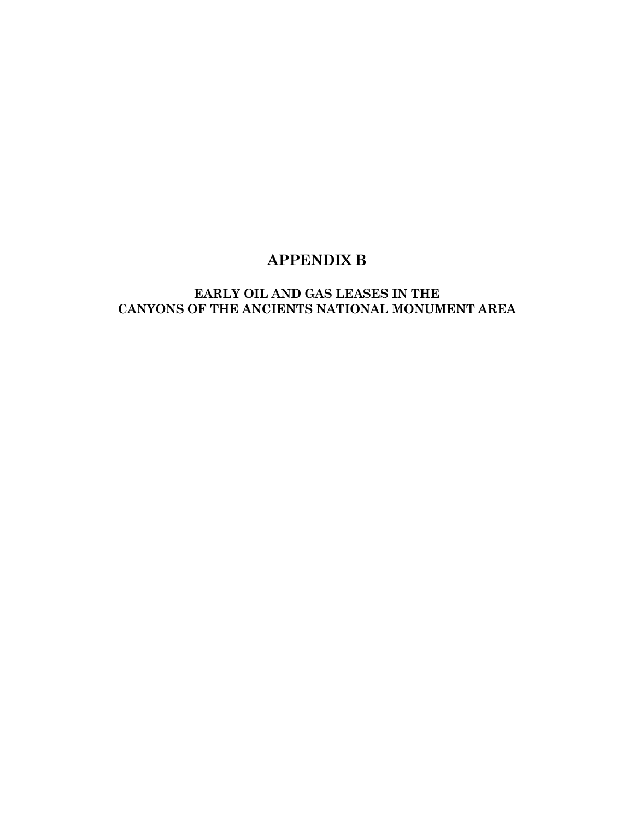# **APPENDIX B**

## **EARLY OIL AND GAS LEASES IN THE CANYONS OF THE ANCIENTS NATIONAL MONUMENT AREA**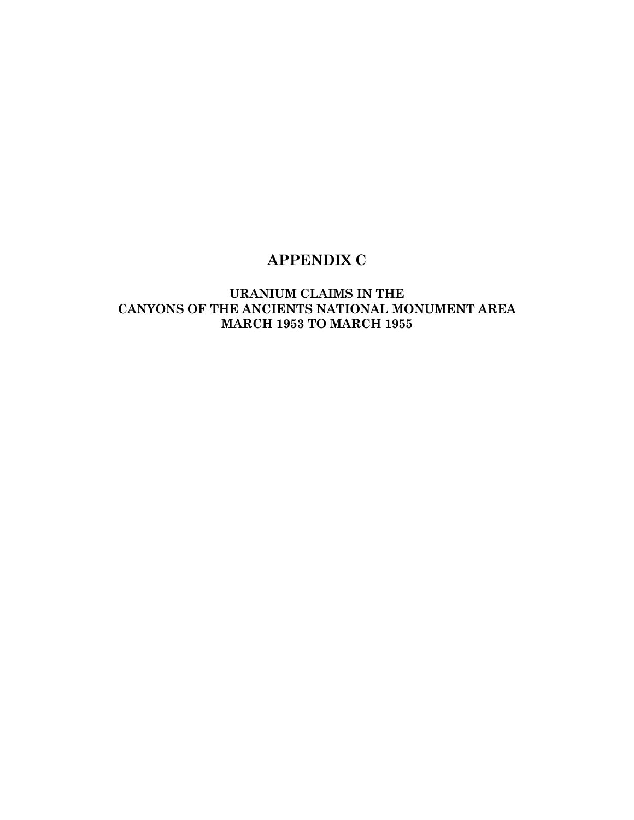# **APPENDIX C**

## **URANIUM CLAIMS IN THE CANYONS OF THE ANCIENTS NATIONAL MONUMENT AREA MARCH 1953 TO MARCH 1955**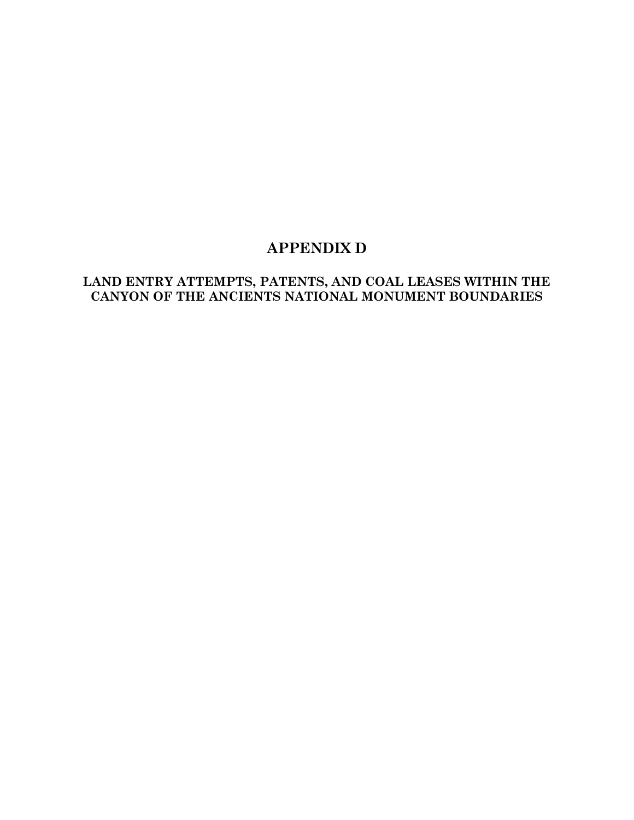# **APPENDIX D**

## **LAND ENTRY ATTEMPTS, PATENTS, AND COAL LEASES WITHIN THE CANYON OF THE ANCIENTS NATIONAL MONUMENT BOUNDARIES**